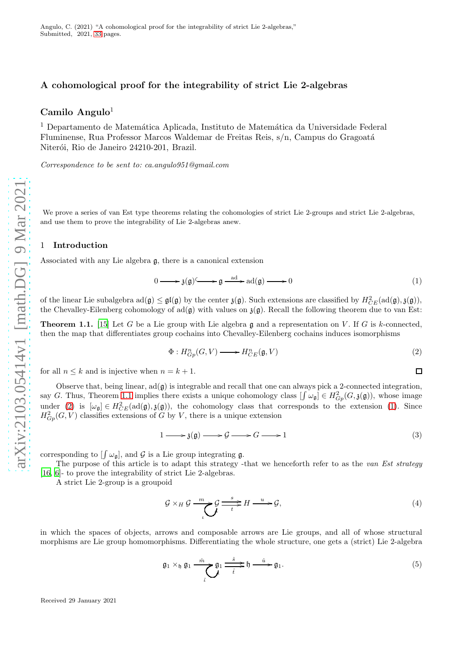# A cohomological proof for the integrability of strict Lie 2-algebras

# Camilo Angulo 1

 $^1$  Departamento de Matemática Aplicada, Instituto de Matemática da Universidade Federal Fluminense, Rua Professor Marcos Waldemar de Freitas Reis, s/n, Campus do Gragoatá Niterói, Rio de Janeiro 24210-201, Brazil.

Correspondence to be sent to: ca.angulo951@gmail.com

We prove a series of van Est type theorems relating the cohomologies of strict Lie 2-groups and strict Lie 2-algebras, and use them to prove the integrability of Lie 2-algebras anew.

# 1 Introduction

Associated with any Lie algebra g, there is a canonical extension

<span id="page-0-2"></span>
$$
0 \longrightarrow \mathfrak{z}(\mathfrak{g}) \longrightarrow \mathfrak{g} \xrightarrow{\mathrm{ad}} \mathrm{ad}(\mathfrak{g}) \longrightarrow 0 \tag{1}
$$

of the linear Lie subalgebra  $ad(\mathfrak{g}) \leq \mathfrak{gl}(\mathfrak{g})$  by the center  $\mathfrak{z}(\mathfrak{g})$ . Such extensions are classified by  $H^2_{CE}(ad(\mathfrak{g}), \mathfrak{z}(\mathfrak{g})),$ the Chevalley-Eilenberg cohomology of  $ad(\mathfrak{g})$  with values on  $\mathfrak{z}(\mathfrak{g})$ . Recall the following theorem due to van Est:

<span id="page-0-0"></span>**Theorem 1.1.** [\[15\]](#page-32-0) Let G be a Lie group with Lie algebra  $\mathfrak{g}$  and a representation on V. If G is k-connected, then the map that differentiates group cochains into Chevalley-Eilenberg cochains induces isomorphisms

<span id="page-0-1"></span>
$$
\Phi: H^n_{Gp}(G, V) \longrightarrow H^n_{CE}(\mathfrak{g}, V) \tag{2}
$$

 $\Box$ 

for all  $n \leq k$  and is injective when  $n = k + 1$ .

Observe that, being linear,  $ad(g)$  is integrable and recall that one can always pick a 2-connected integration, say G. Thus, Theorem [1.1](#page-0-0) implies there exists a unique cohomology class  $[\int \omega_{\mathfrak{g}}] \in H^2_{G_p}(G, \mathfrak{z}(\mathfrak{g}))$ , whose image under [\(2\)](#page-0-1) is  $[\omega_{\mathfrak{g}}] \in H^2_{CE}(\text{ad}(\mathfrak{g}), \mathfrak{z}(\mathfrak{g}))$ , the cohomology class that corresponds to the extension [\(1\)](#page-0-2). Since  $H^2_{G_p}(G, V)$  classifies extensions of G by V, there is a unique extension

$$
1 \longrightarrow \mathfrak{z}(\mathfrak{g}) \longrightarrow \mathcal{G} \longrightarrow G \longrightarrow 1 \tag{3}
$$

corresponding to  $[\int \omega_{\mathfrak{g}}]$ , and  $\mathcal G$  is a Lie group integrating  $\mathfrak{g}$ .

The purpose of this article is to adapt this strategy -that we henceforth refer to as the van Est strategy [\[16,](#page-32-1) [6\]](#page-31-1)- to prove the integrability of strict Lie 2-algebras.

A strict Lie 2-group is a groupoid

<span id="page-0-4"></span>
$$
\mathcal{G} \times_{H} \mathcal{G} \xrightarrow{\phantom{a}m} \mathcal{G} \xrightarrow{\phantom{a}s} \mathcal{G} \xrightarrow{\phantom{a}s} H \xrightarrow{\phantom{a}u} \mathcal{G},\tag{4}
$$

in which the spaces of objects, arrows and composable arrows are Lie groups, and all of whose structural morphisms are Lie group homomorphisms. Differentiating the whole structure, one gets a (strict) Lie 2-algebra

<span id="page-0-3"></span>
$$
\mathfrak{g}_1 \times_{\mathfrak{h}} \mathfrak{g}_1 \xrightarrow{\hat{m}} \mathfrak{g}_1 \xrightarrow{\hat{s}} \mathfrak{h} \xrightarrow{\hat{u}} \mathfrak{g}_1. \tag{5}
$$

Received 29 January 2021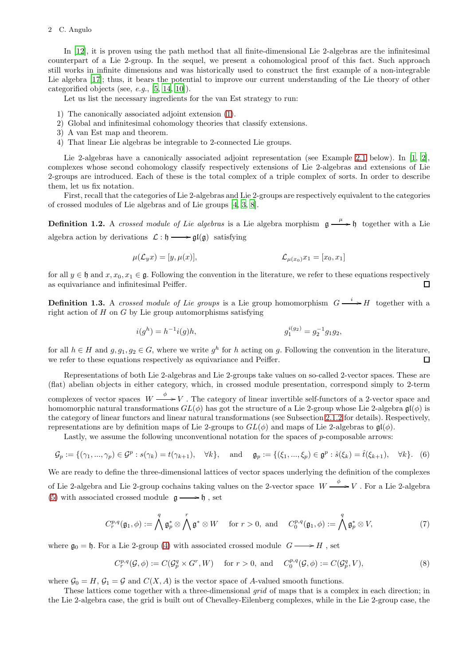#### 2 C. Angulo

In [\[12\]](#page-32-2), it is proven using the path method that all finite-dimensional Lie 2-algebras are the infinitesimal counterpart of a Lie 2-group. In the sequel, we present a cohomological proof of this fact. Such approach still works in infinite dimensions and was historically used to construct the first example of a non-integrable Lie algebra [\[17\]](#page-32-3); thus, it bears the potential to improve our current understanding of the Lie theory of other categorified objects (see, e.g., [\[5](#page-31-2), [14](#page-32-4), [10](#page-31-3)]).

Let us list the necessary ingredients for the van Est strategy to run:

- 1) The canonically associated adjoint extension [\(1\)](#page-0-2).
- 2) Global and infinitesimal cohomology theories that classify extensions.
- 3) A van Est map and theorem.
- 4) That linear Lie algebras be integrable to 2-connected Lie groups.

Lie 2-algebras have a canonically associated adjoint representation (see Example [2.1](#page-6-0) below). In [\[1](#page-31-4), [2\]](#page-31-5), complexes whose second cohomology classify respectively extensions of Lie 2-algebras and extensions of Lie 2-groups are introduced. Each of these is the total complex of a triple complex of sorts. In order to describe them, let us fix notation.

First, recall that the categories of Lie 2-algebras and Lie 2-groups are respectively equivalent to the categories of crossed modules of Lie algebras and of Lie groups [\[4](#page-31-6), [3](#page-31-7), [8](#page-31-8)].

<span id="page-1-3"></span>**Definition 1.2.** A crossed module of Lie algebras is a Lie algebra morphism  $\mathfrak{g} \xrightarrow{\mu} \mathfrak{h}$  together with a Lie algebra action by derivations  $\mathcal{L} : \mathfrak{h} \longrightarrow \mathfrak{gl}(\mathfrak{g})$  satisfying

$$
\mu(\mathcal{L}_y x) = [y, \mu(x)], \qquad \mathcal{L}_{\mu(x_0)} x_1 = [x_0, x_1]
$$

for all  $y \in \mathfrak{h}$  and  $x, x_0, x_1 \in \mathfrak{g}$ . Following the convention in the literature, we refer to these equations respectively as equivariance and infinitesimal Peiffer.  $\Box$ 

<span id="page-1-2"></span>**Definition 1.3.** A crossed module of Lie groups is a Lie group homomorphism  $G \xrightarrow{i} H$  together with a right action of  $H$  on  $G$  by Lie group automorphisms satisfying

$$
i(g^h) = h^{-1}i(g)h, \t\t g_1^{i(g_2)} = g_2^{-1}g_1g_2,
$$

for all  $h \in H$  and  $g, g_1, g_2 \in G$ , where we write  $g^h$  for h acting on g. Following the convention in the literature, we refer to these equations respectively as equivariance and Peiffer.  $\Box$ 

Representations of both Lie 2-algebras and Lie 2-groups take values on so-called 2-vector spaces. These are (flat) abelian objects in either category, which, in crossed module presentation, correspond simply to 2-term complexes of vector spaces  $W \xrightarrow{\phi} V$ . The category of linear invertible self-functors of a 2-vector space and homomorphic natural transformations  $GL(\phi)$  has got the structure of a Lie 2-group whose Lie 2-algebra  $\mathfrak{gl}(\phi)$  is the category of linear functors and linear natural transformations (see Subsection [2.1.2](#page-4-0) for details). Respectively, representations are by definition maps of Lie 2-groups to  $GL(\phi)$  and maps of Lie 2-algebras to  $\mathfrak{gl}(\phi)$ .

Lastly, we assume the following unconventional notation for the spaces of  $p$ -composable arrows:

$$
\mathcal{G}_p := \{ (\gamma_1, ..., \gamma_p) \in \mathcal{G}^p : s(\gamma_k) = t(\gamma_{k+1}), \quad \forall k \}, \quad \text{and} \quad \mathfrak{g}_p := \{ (\xi_1, ..., \xi_p) \in \mathfrak{g}^p : \hat{s}(\xi_k) = \hat{t}(\xi_{k+1}), \quad \forall k \}. \tag{6}
$$

We are ready to define the three-dimensional lattices of vector spaces underlying the definition of the complexes of Lie 2-algebra and Lie 2-group cochains taking values on the 2-vector space  $W \xrightarrow{\phi} V$ . For a Lie 2-algebra [\(5\)](#page-0-3) with associated crossed module  $\mathfrak{g} \longrightarrow \mathfrak{h}$  , set

<span id="page-1-0"></span>
$$
C_r^{p,q}(\mathfrak{g}_1,\phi) := \bigwedge^q \mathfrak{g}_p^* \otimes \bigwedge^r \mathfrak{g}^* \otimes W \quad \text{for } r > 0, \text{ and } C_0^{p,q}(\mathfrak{g}_1,\phi) := \bigwedge^q \mathfrak{g}_p^* \otimes V, \tag{7}
$$

where  $\mathfrak{g}_0 = \mathfrak{h}$ . For a Lie 2-group [\(4\)](#page-0-4) with associated crossed module  $G \longrightarrow H$ , set

<span id="page-1-1"></span>
$$
C_r^{p,q}(\mathcal{G}, \phi) := C(\mathcal{G}_p^q \times G^r, W) \quad \text{ for } r > 0, \text{ and } C_0^{p,q}(\mathcal{G}, \phi) := C(\mathcal{G}_p^q, V), \tag{8}
$$

where  $\mathcal{G}_0 = H$ ,  $\mathcal{G}_1 = \mathcal{G}$  and  $C(X, A)$  is the vector space of A-valued smooth functions.

These lattices come together with a three-dimensional *grid* of maps that is a complex in each direction; in the Lie 2-algebra case, the grid is built out of Chevalley-Eilenberg complexes, while in the Lie 2-group case, the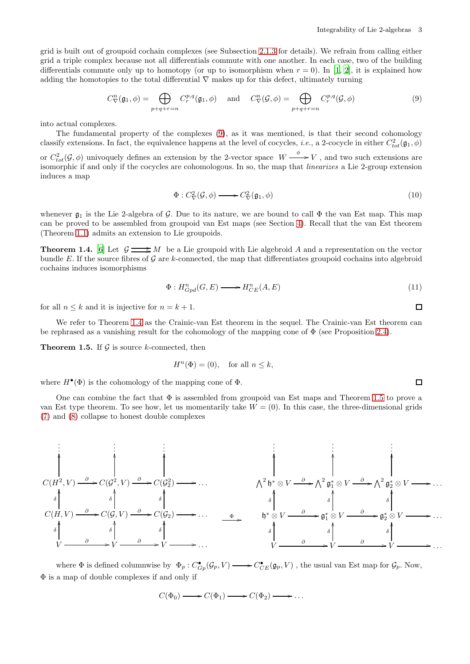grid is built out of groupoid cochain complexes (see Subsection [2.1.3](#page-6-1) for details). We refrain from calling either grid a triple complex because not all differentials commute with one another. In each case, two of the building differentials commute only up to homotopy (or up to isomorphism when  $r = 0$ ). In [\[1,](#page-31-4) [2](#page-31-5)], it is explained how adding the homotopies to the total differential  $\nabla$  makes up for this defect, ultimately turning

<span id="page-2-0"></span>
$$
C_{\nabla}^{n}(\mathfrak{g}_{1},\phi) = \bigoplus_{p+q+r=n} C_{r}^{p,q}(\mathfrak{g}_{1},\phi) \quad \text{and} \quad C_{\nabla}^{n}(\mathcal{G},\phi) = \bigoplus_{p+q+r=n} C_{r}^{p,q}(\mathcal{G},\phi)
$$
\n
$$
(9)
$$

into actual complexes.

The fundamental property of the complexes [\(9\)](#page-2-0), as it was mentioned, is that their second cohomology classify extensions. In fact, the equivalence happens at the level of cocycles, *i.e.*, a 2-cocycle in either  $C_{tot}^2(\mathfrak{g}_1, \phi)$ or  $C_{tot}^2(\mathcal{G}, \phi)$  univoquely defines an extension by the 2-vector space  $W \xrightarrow{\phi} V$ , and two such extensions are isomorphic if and only if the cocycles are cohomologous. In so, the map that linearizes a Lie 2-group extension induces a map

$$
\Phi: C^2_{\nabla}(\mathcal{G}, \phi) \longrightarrow C^2_{\nabla}(\mathfrak{g}_1, \phi) \tag{10}
$$

whenever  $\mathfrak{g}_1$  is the Lie 2-algebra of G. Due to its nature, we are bound to call  $\Phi$  the van Est map. This map can be proved to be assembled from groupoid van Est maps (see Section [4\)](#page-22-0). Recall that the van Est theorem (Theorem [1.1\)](#page-0-0) admits an extension to Lie groupoids.

<span id="page-2-1"></span>**Theorem 1.4.** [\[6](#page-31-1)] Let  $\mathcal{G} \longrightarrow M$  be a Lie groupoid with Lie algebroid A and a representation on the vector bundle E. If the source fibres of G are k-connected, the map that differentiates groupoid cochains into algebroid cochains induces isomorphisms

$$
\Phi: H^n_{Gpd}(G, E) \longrightarrow H^n_{CE}(A, E) \tag{11}
$$

for all  $n \leq k$  and it is injective for  $n = k + 1$ .

We refer to Theorem [1.4](#page-2-1) as the Crainic-van Est theorem in the sequel. The Crainic-van Est theorem can be rephrased as a vanishing result for the cohomology of the mapping cone of  $\Phi$  (see Proposition [2.4\)](#page-10-0).

<span id="page-2-2"></span>**Theorem 1.5.** If  $\mathcal G$  is source k-connected, then

$$
H^n(\Phi) = (0), \quad \text{for all } n \le k,
$$

where  $H^{\bullet}(\Phi)$  is the cohomology of the mapping cone of  $\Phi$ .

One can combine the fact that  $\Phi$  is assembled from groupoid van Est maps and Theorem [1.5](#page-2-2) to prove a van Est type theorem. To see how, let us momentarily take  $W = (0)$ . In this case, the three-dimensional grids [\(7\)](#page-1-0) and [\(8\)](#page-1-1) collapse to honest double complexes



where  $\Phi$  is defined columnwise by  $\Phi_p: C^{\bullet}_{G_p}(\mathcal{G}_p, V) \longrightarrow C^{\bullet}_{CE}(\mathfrak{g}_p, V)$ , the usual van Est map for  $\mathcal{G}_p$ . Now, Φ is a map of double complexes if and only if

$$
C(\Phi_0) \longrightarrow C(\Phi_1) \longrightarrow C(\Phi_2) \longrightarrow \dots
$$

$$
f_{\rm{max}}
$$

 $\Box$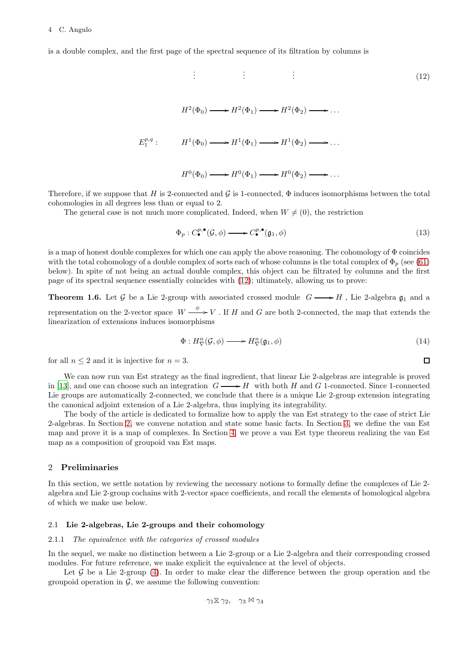is a double complex, and the first page of the spectral sequence of its filtration by columns is

<span id="page-3-0"></span>
$$
\vdots \qquad \vdots \qquad \vdots
$$
\n
$$
H^2(\Phi_0) \longrightarrow H^2(\Phi_1) \longrightarrow H^2(\Phi_2) \longrightarrow \dots
$$
\n
$$
E_1^{p,q} : \qquad H^1(\Phi_0) \longrightarrow H^1(\Phi_1) \longrightarrow H^1(\Phi_2) \longrightarrow \dots
$$
\n
$$
H^0(\Phi_0) \longrightarrow H^0(\Phi_1) \longrightarrow H^0(\Phi_2) \longrightarrow \dots
$$
\n
$$
(12)
$$

Therefore, if we suppose that H is 2-connected and  $\mathcal G$  is 1-connected,  $\Phi$  induces isomorphisms between the total cohomologies in all degrees less than or equal to 2.

The general case is not much more complicated. Indeed, when  $W \neq (0)$ , the restriction

<span id="page-3-3"></span>
$$
\Phi_p: C^{p,\bullet}_{\bullet}(\mathcal{G}, \phi) \longrightarrow C^{p,\bullet}_{\bullet}(\mathfrak{g}_1, \phi) \tag{13}
$$

is a map of honest double complexes for which one can apply the above reasoning. The cohomology of Φ coincides with the total cohomology of a double complex of sorts each of whose columns is the total complex of  $\Phi_p$  (see [\(61\)](#page-11-0) below). In spite of not being an actual double complex, this object can be filtrated by columns and the first page of its spectral sequence essentially coincides with [\(12\)](#page-3-0); ultimately, allowing us to prove:

**Theorem 1.6.** Let G be a Lie 2-group with associated crossed module  $G \longrightarrow H$ , Lie 2-algebra  $\mathfrak{g}_1$  and a representation on the 2-vector space  $W \stackrel{\phi}{\longrightarrow} V$ . If H and G are both 2-connected, the map that extends the linearization of extensions induces isomorphisms

$$
\Phi: H^n_{\nabla}(\mathcal{G}, \phi) \longrightarrow H^n_{\nabla}(\mathfrak{g}_1, \phi) \tag{14}
$$

 $\Box$ 

for all  $n \leq 2$  and it is injective for  $n = 3$ .

We can now run van Est strategy as the final ingredient, that linear Lie 2-algebras are integrable is proved in [\[13](#page-32-5)], and one can choose such an integration  $G \longrightarrow H$  with both H and G 1-connected. Since 1-connected Lie groups are automatically 2-connected, we conclude that there is a unique Lie 2-group extension integrating the canonical adjoint extension of a Lie 2-algebra, thus implying its integrability.

The body of the article is dedicated to formalize how to apply the van Est strategy to the case of strict Lie 2-algebras. In Section [2,](#page-3-1) we convene notation and state some basic facts. In Section [3,](#page-12-0) we define the van Est map and prove it is a map of complexes. In Section [4,](#page-22-0) we prove a van Est type theorem realizing the van Est map as a composition of groupoid van Est maps.

#### <span id="page-3-1"></span>2 Preliminaries

In this section, we settle notation by reviewing the necessary notions to formally define the complexes of Lie 2 algebra and Lie 2-group cochains with 2-vector space coefficients, and recall the elements of homological algebra of which we make use below.

# <span id="page-3-2"></span>2.1 Lie 2-algebras, Lie 2-groups and their cohomology

#### 2.1.1 The equivalence with the categories of crossed modules

In the sequel, we make no distinction between a Lie 2-group or a Lie 2-algebra and their corresponding crossed modules. For future reference, we make explicit the equivalence at the level of objects.

Let  $\mathcal G$  be a Lie 2-group [\(4\)](#page-0-4). In order to make clear the difference between the group operation and the groupoid operation in  $\mathcal{G}$ , we assume the following convention:

$$
\gamma_1\boxtimes\gamma_2,\quad \gamma_3\boxtimes\gamma_4
$$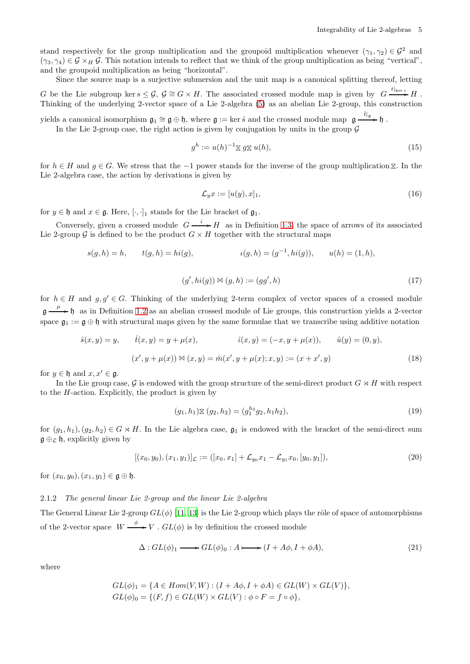stand respectively for the group multiplication and the groupoid multiplication whenever  $(\gamma_1, \gamma_2) \in \mathcal{G}^2$  and  $(\gamma_3, \gamma_4) \in \mathcal{G} \times_H \mathcal{G}$ . This notation intends to reflect that we think of the group multiplication as being "vertical", and the groupoid multiplication as being "horizontal".

Since the source map is a surjective submersion and the unit map is a canonical splitting thereof, letting G be the Lie subgroup ker  $s \leq \mathcal{G}, \ \mathcal{G} \cong G \times H$ . The associated crossed module map is given by  $G \xrightarrow{t|_{\ker s}} H$ . Thinking of the underlying 2-vector space of a Lie 2-algebra [\(5\)](#page-0-3) as an abelian Lie 2-group, this construction

yields a canonical isomorphism  $\mathfrak{g}_1 \cong \mathfrak{g} \oplus \mathfrak{h}$ , where  $\mathfrak{g} := \ker \hat{s}$  and the crossed module map  $\mathfrak{g} \xrightarrow{\hat{t}|_{\mathfrak{g}}} \mathfrak{h}$ .

In the Lie 2-group case, the right action is given by conjugation by units in the group  $\mathcal G$ 

$$
g^h := u(h)^{-1} \mathbf{X} \, g \mathbf{X} \, u(h), \tag{15}
$$

for  $h \in H$  and  $g \in G$ . We stress that the  $-1$  power stands for the inverse of the group multiplication  $\chi$ . In the Lie 2-algebra case, the action by derivations is given by

<span id="page-4-2"></span>
$$
\mathcal{L}_y x := [u(y), x]_1,\tag{16}
$$

for  $y \in \mathfrak{h}$  and  $x \in \mathfrak{g}$ . Here,  $[\cdot, \cdot]_1$  stands for the Lie bracket of  $\mathfrak{g}_1$ .

Conversely, given a crossed module  $G \xrightarrow{i} H$  as in Definition [1.3,](#page-1-2) the space of arrows of its associated Lie 2-group G is defined to be the product  $G \times H$  together with the structural maps

$$
s(g, h) = h,
$$
  $t(g, h) = hi(g),$   $\iota(g, h) = (g^{-1}, hi(g)),$   $u(h) = (1, h),$ 

$$
(g',hi(g)) \bowtie (g,h) := (gg',h) \tag{17}
$$

for  $h \in H$  and  $g, g' \in G$ . Thinking of the underlying 2-term complex of vector spaces of a crossed module  $\mathfrak{g} \longrightarrow \mathfrak{h}$  as in Definition [1.2](#page-1-3) as an abelian crossed module of Lie groups, this construction yields a 2-vector space  $\mathfrak{g}_1 := \mathfrak{g} \oplus \mathfrak{h}$  with structural maps given by the same formulae that we transcribe using additive notation

$$
\hat{s}(x, y) = y, \qquad \hat{t}(x, y) = y + \mu(x), \qquad \hat{\iota}(x, y) = (-x, y + \mu(x)), \qquad \hat{u}(y) = (0, y),
$$

$$
(x', y + \mu(x)) \bowtie (x, y) = \hat{m}(x', y + \mu(x); x, y) := (x + x', y)
$$
(18)

for  $y \in \mathfrak{h}$  and  $x, x' \in \mathfrak{g}$ .

In the Lie group case, G is endowed with the group structure of the semi-direct product  $G \rtimes H$  with respect to the  $H$ -action. Explicitly, the product is given by

<span id="page-4-1"></span>
$$
(g_1, h_1) \times (g_2, h_2) = (g_1^{h_2} g_2, h_1 h_2), \tag{19}
$$

for  $(q_1, h_1), (q_2, h_2) \in G \rtimes H$ . In the Lie algebra case,  $\mathfrak{g}_1$  is endowed with the bracket of the semi-direct sum  $\mathfrak{g} \oplus_{\mathcal{L}} \mathfrak{h}$ , explicitly given by

$$
[(x_0, y_0), (x_1, y_1)]_{\mathcal{L}} := ([x_0, x_1] + \mathcal{L}_{y_0} x_1 - \mathcal{L}_{y_1} x_0, [y_0, y_1]),
$$
\n(20)

for  $(x_0, y_0), (x_1, y_1) \in \mathfrak{g} \oplus \mathfrak{h}.$ 

# <span id="page-4-0"></span>2.1.2 The general linear Lie 2-group and the linear Lie 2-algebra

The General Linear Lie 2-group  $GL(\phi)$  [\[11,](#page-31-9) [13\]](#page-32-5) is the Lie 2-group which plays the rôle of space of automorphisms of the 2-vector space  $W \xrightarrow{\phi} V$ .  $GL(\phi)$  is by definition the crossed module

$$
\Delta: GL(\phi)_1 \longrightarrow GL(\phi)_0: A \longmapsto (I + A\phi, I + \phi A), \tag{21}
$$

where

$$
GL(\phi)_1 = \{ A \in Hom(V, W) : (I + A\phi, I + \phi A) \in GL(W) \times GL(V) \},
$$
  

$$
GL(\phi)_0 = \{ (F, f) \in GL(W) \times GL(V) : \phi \circ F = f \circ \phi \},
$$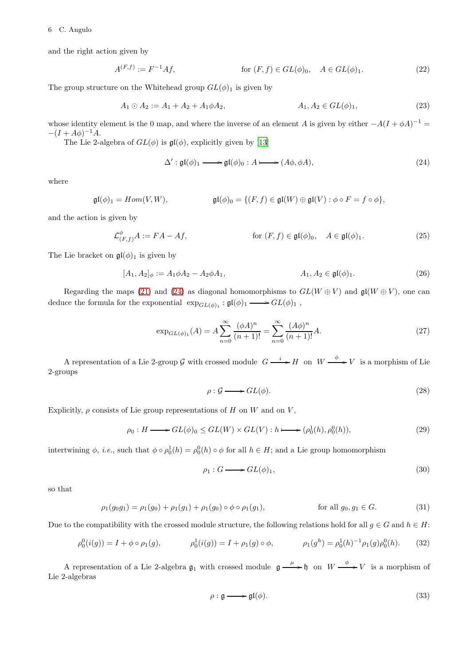and the right action given by

$$
A^{(F,f)} := F^{-1}Af, \qquad \text{for } (F,f) \in GL(\phi)_0, \quad A \in GL(\phi)_1. \tag{22}
$$

The group structure on the Whitehead group  $GL(\phi)_1$  is given by

$$
A_1 \odot A_2 := A_1 + A_2 + A_1 \phi A_2, \qquad A_1, A_2 \in GL(\phi)_1,\tag{23}
$$

whose identity element is the 0 map, and where the inverse of an element A is given by either  $-A(I+\phi A)^{-1} =$  $-(I + A\phi)^{-1}A$ .

The Lie 2-algebra of  $GL(\phi)$  is  $\mathfrak{gl}(\phi)$ , explicitly given by [\[13\]](#page-32-5)

<span id="page-5-0"></span>
$$
\Delta' : \mathfrak{gl}(\phi)_1 \longrightarrow \mathfrak{gl}(\phi)_0 : A \longmapsto (A\phi, \phi A), \tag{24}
$$

where

$$
\mathfrak{gl}(\phi)_1 = Hom(V, W), \qquad \qquad \mathfrak{gl}(\phi)_0 = \{ (F, f) \in \mathfrak{gl}(W) \oplus \mathfrak{gl}(V) : \phi \circ F = f \circ \phi \},
$$

and the action is given by

$$
\mathcal{L}^{\phi}_{(F,f)}A := FA - Af,
$$
 for  $(F, f) \in \mathfrak{gl}(\phi)_0$ ,  $A \in \mathfrak{gl}(\phi)_1$ . (25)

The Lie bracket on  $\mathfrak{gl}(\phi)_1$  is given by

$$
[A_1, A_2]_{\phi} := A_1 \phi A_2 - A_2 \phi A_1, \qquad A_1, A_2 \in \mathfrak{gl}(\phi)_1. \tag{26}
$$

Regarding the maps [\(21\)](#page-4-1) and [\(24\)](#page-5-0) as diagonal homomorphisms to  $GL(W \oplus V)$  and  $\mathfrak{gl}(W \oplus V)$ , one can deduce the formula for the exponential  $\exp_{GL(\phi)_1} : \mathfrak{gl}(\phi)_1 \longrightarrow GL(\phi)_1$ ,

$$
\exp_{GL(\phi)_1}(A) = A \sum_{n=0}^{\infty} \frac{(\phi A)^n}{(n+1)!} = \sum_{n=0}^{\infty} \frac{(A\phi)^n}{(n+1)!} A.
$$
 (27)

A representation of a Lie 2-group G with crossed module  $G \xrightarrow{i} H$  on  $W \xrightarrow{\phi} V$  is a morphism of Lie 2-groups

<span id="page-5-7"></span><span id="page-5-3"></span><span id="page-5-2"></span>
$$
\rho: \mathcal{G} \longrightarrow GL(\phi). \tag{28}
$$

Explicitly,  $\rho$  consists of Lie group representations of H on W and on V,

$$
\rho_0: H \longrightarrow GL(\phi)_0 \le GL(W) \times GL(V): h \longmapsto (\rho_0^1(h), \rho_0^0(h)),\tag{29}
$$

intertwining  $\phi$ , *i.e.*, such that  $\phi \circ \rho_0^1(h) = \rho_0^0(h) \circ \phi$  for all  $h \in H$ ; and a Lie group homomorphism

<span id="page-5-5"></span><span id="page-5-4"></span>
$$
\rho_1: G \longrightarrow GL(\phi)_1,\tag{30}
$$

so that

$$
\rho_1(g_0g_1) = \rho_1(g_0) + \rho_1(g_1) + \rho_1(g_0) \circ \phi \circ \rho_1(g_1), \qquad \text{for all } g_0, g_1 \in G. \tag{31}
$$

Due to the compatibility with the crossed module structure, the following relations hold for all  $g \in G$  and  $h \in H$ :

$$
\rho_0^0(i(g)) = I + \phi \circ \rho_1(g), \qquad \rho_0^1(i(g)) = I + \rho_1(g) \circ \phi, \qquad \rho_1(g^h) = \rho_0^1(h)^{-1} \rho_1(g) \rho_0^0(h). \tag{32}
$$

A representation of a Lie 2-algebra  $\mathfrak{g}_1$  with crossed module  $\mathfrak{g} \xrightarrow{\mu} \mathfrak{h}$  on  $W \xrightarrow{\phi} V$  is a morphism of Lie 2-algebras

<span id="page-5-6"></span><span id="page-5-1"></span>
$$
\rho: \mathfrak{g} \longrightarrow \mathfrak{gl}(\phi). \tag{33}
$$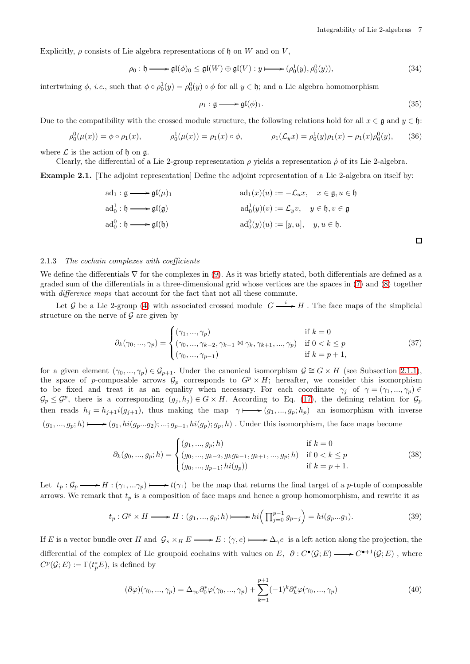<span id="page-6-4"></span><span id="page-6-3"></span><span id="page-6-2"></span> $\Box$ 

Explicitly,  $\rho$  consists of Lie algebra representations of h on W and on V,

$$
\rho_0: \mathfrak{h} \longrightarrow \mathfrak{gl}(\phi)_0 \leq \mathfrak{gl}(W) \oplus \mathfrak{gl}(V): y \longmapsto (\rho_0^1(y), \rho_0^0(y)), \tag{34}
$$

intertwining  $\phi$ , *i.e.*, such that  $\phi \circ \rho_0^1(y) = \rho_0^0(y) \circ \phi$  for all  $y \in \mathfrak{h}$ ; and a Lie algebra homomorphism

$$
\rho_1: \mathfrak{g} \longrightarrow \mathfrak{gl}(\phi)_1. \tag{35}
$$

Due to the compatibility with the crossed module structure, the following relations hold for all  $x \in \mathfrak{g}$  and  $y \in \mathfrak{h}$ :

$$
\rho_0^0(\mu(x)) = \phi \circ \rho_1(x), \qquad \rho_0^1(\mu(x)) = \rho_1(x) \circ \phi, \qquad \rho_1(\mathcal{L}_y x) = \rho_0^1(y)\rho_1(x) - \rho_1(x)\rho_0^0(y), \qquad (36)
$$

where  $\mathcal L$  is the action of h on  $\mathfrak a$ .

Clearly, the differential of a Lie 2-group representation  $\rho$  yields a representation  $\dot{\rho}$  of its Lie 2-algebra.

<span id="page-6-0"></span>Example 2.1. [The adjoint representation] Define the adjoint representation of a Lie 2-algebra on itself by:

$$
ad_1: \mathfrak{g} \longrightarrow \mathfrak{gl}(\mu)_1
$$
  
\n
$$
ad_1(x)(u) := -\mathcal{L}_u x, \quad x \in \mathfrak{g}, u \in \mathfrak{h}
$$
  
\n
$$
ad_0^1: \mathfrak{h} \longrightarrow \mathfrak{gl}(\mathfrak{g})
$$
  
\n
$$
ad_0^0: \mathfrak{h} \longrightarrow \mathfrak{gl}(\mathfrak{h})
$$
  
\n
$$
ad_0^0(y)(u) := [y, u], \quad y, u \in \mathfrak{h}.
$$

#### <span id="page-6-1"></span>2.1.3 The cochain complexes with coefficients

We define the differentials  $\nabla$  for the complexes in [\(9\)](#page-2-0). As it was briefly stated, both differentials are defined as a graded sum of the differentials in a three-dimensional grid whose vertices are the spaces in [\(7\)](#page-1-0) and [\(8\)](#page-1-1) together with *difference maps* that account for the fact that not all these commute.

Let G be a Lie 2-group [\(4\)](#page-0-4) with associated crossed module  $G \xrightarrow{i} H$ . The face maps of the simplicial structure on the nerve of  $\mathcal G$  are given by

$$
\partial_k(\gamma_0, ..., \gamma_p) = \begin{cases}\n(\gamma_1, ..., \gamma_p) & \text{if } k = 0 \\
(\gamma_0, ..., \gamma_{k-2}, \gamma_{k-1} \bowtie \gamma_k, \gamma_{k+1}, ..., \gamma_p) & \text{if } 0 < k \le p \\
(\gamma_0, ..., \gamma_{p-1}) & \text{if } k = p+1,\n\end{cases}
$$
\n(37)

for a given element  $(\gamma_0, ..., \gamma_p) \in \mathcal{G}_{p+1}$ . Under the canonical isomorphism  $\mathcal{G} \cong G \times H$  (see Subsection [2.1.1\)](#page-3-2), the space of p-composable arrows  $\mathcal{G}_p$  corresponds to  $G^p \times H$ ; hereafter, we consider this isomorphism to be fixed and treat it as an equality when necessary. For each coordinate  $\gamma_j$  of  $\gamma = (\gamma_1, ..., \gamma_p) \in$  $\mathcal{G}_p \leq \mathcal{G}^p$ , there is a corresponding  $(g_j, h_j) \in G \times H$ . According to Eq. [\(17\)](#page-4-2), the defining relation for  $\mathcal{G}_p$ then reads  $h_j = h_{j+1} i(g_{j+1})$ , thus making the map  $\gamma \mapsto (g_1, ..., g_p; h_p)$  an isomorphism with inverse  $(g_1, ..., g_p; h) \longrightarrow (g_1, hi(g_p...g_2); ...; g_{p-1}, hi(g_p); g_p, h)$ . Under this isomorphism, the face maps become

$$
\partial_k(g_0, ..., g_p; h) = \begin{cases}\n(g_1, ..., g_p; h) & \text{if } k = 0 \\
(g_0, ..., g_{k-2}, g_k g_{k-1}, g_{k+1}, ..., g_p; h) & \text{if } 0 < k \le p \\
(g_0, ..., g_{p-1}; h i(g_p)) & \text{if } k = p + 1.\n\end{cases}
$$
\n(38)

Let  $t_p : \mathcal{G}_p \longrightarrow H : (\gamma_1, \ldots \gamma_p) \longmapsto t(\gamma_1)$  be the map that returns the final target of a p-tuple of composable arrows. We remark that  $t_p$  is a composition of face maps and hence a group homomorphism, and rewrite it as

$$
t_p: G^p \times H \longrightarrow H: (g_1, ..., g_p; h) \longmapsto hi\Big(\prod_{j=0}^{p-1} g_{p-j}\Big) = hi(g_p...g_1). \tag{39}
$$

If E is a vector bundle over H and  $\mathcal{G}_s \times_H E \longrightarrow E : (\gamma, e) \longmapsto \Delta_{\gamma} e$  is a left action along the projection, the differential of the complex of Lie groupoid cochains with values on E,  $\partial: C^{\bullet}(\mathcal{G}; E) \longrightarrow C^{\bullet+1}(\mathcal{G}; E)$ , where  $C^p(\mathcal{G}; E) := \Gamma(t_p^*E)$ , is defined by

$$
(\partial \varphi)(\gamma_0, ..., \gamma_p) = \Delta_{\gamma_0} \partial_0^* \varphi(\gamma_0, ..., \gamma_p) + \sum_{k=1}^{p+1} (-1)^k \partial_k^* \varphi(\gamma_0, ..., \gamma_p)
$$
(40)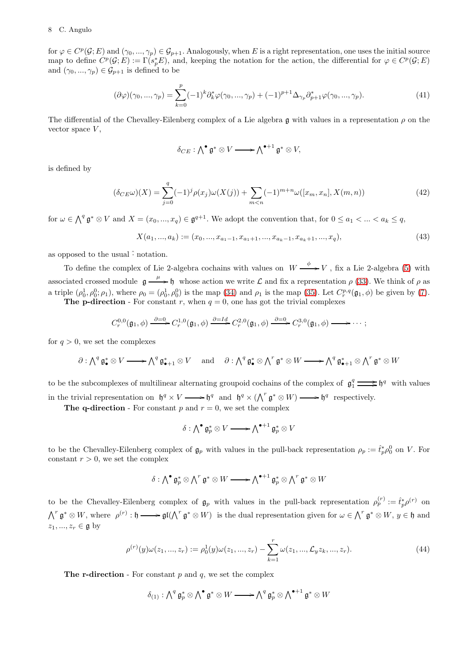### 8 C. Angulo

for  $\varphi \in C^p(\mathcal{G}; E)$  and  $(\gamma_0, ..., \gamma_p) \in \mathcal{G}_{p+1}$ . Analogously, when E is a right representation, one uses the initial source map to define  $C^p(\mathcal{G}; E) := \Gamma(s_p^*E)$ , and, keeping the notation for the action, the differential for  $\varphi \in C^p(\mathcal{G}; E)$ and  $(\gamma_0, ..., \gamma_p) \in \mathcal{G}_{p+1}$  is defined to be

$$
(\partial \varphi)(\gamma_0, ..., \gamma_p) = \sum_{k=0}^p (-1)^k \partial_k^* \varphi(\gamma_0, ..., \gamma_p) + (-1)^{p+1} \Delta_{\gamma_p} \partial_{p+1}^* \varphi(\gamma_0, ..., \gamma_p).
$$
\n(41)

The differential of the Chevalley-Eilenberg complex of a Lie algebra g with values in a representation  $\rho$  on the vector space  $V$ ,

<span id="page-7-0"></span>
$$
\delta_{CE} : \bigwedge^{\bullet} \mathfrak{g}^* \otimes V \longrightarrow \bigwedge^{\bullet+1} \mathfrak{g}^* \otimes V,
$$

is defined by

$$
(\delta_{CE}\omega)(X) = \sum_{j=0}^{q} (-1)^{j} \rho(x_j)\omega(X(j)) + \sum_{m < n} (-1)^{m+n} \omega([x_m, x_n], X(m, n)) \tag{42}
$$

for  $\omega \in \bigwedge^q \mathfrak{g}^* \otimes V$  and  $X = (x_0, ..., x_q) \in \mathfrak{g}^{q+1}$ . We adopt the convention that, for  $0 \leq a_1 < ... < a_k \leq q$ ,

$$
X(a_1, ..., a_k) := (x_0, ..., x_{a_1-1}, x_{a_1+1}, ..., x_{a_k-1}, x_{a_k+1}, ..., x_q),
$$
\n
$$
(43)
$$

as opposed to the usual  $\hat{\cdot}$  notation.

To define the complex of Lie 2-algebra cochains with values on  $W \stackrel{\phi}{\longrightarrow} V$ , fix a Lie 2-algebra [\(5\)](#page-0-3) with associated crossed module  $\mathfrak{g} \stackrel{\mu}{\longrightarrow} \mathfrak{h}$  whose action we write  $\mathcal L$  and fix a representation  $\rho$  [\(33\)](#page-5-1). We think of  $\rho$  as a triple  $(\rho_0^1, \rho_0^0; \rho_1)$ , where  $\rho_0 = (\rho_0^1, \rho_0^0)$  is the map [\(34\)](#page-6-2) and  $\rho_1$  is the map [\(35\)](#page-6-3). Let  $C_r^{p,q}(\mathfrak{g}_1, \phi)$  be given by [\(7\)](#page-1-0). The p-direction - For constant r, when  $q = 0$ , one has got the trivial complexes

$$
C_r^{0,0}(\mathfrak{g}_1,\phi) \xrightarrow{\partial=0} C_r^{1,0}(\mathfrak{g}_1,\phi) \xrightarrow{\partial=Id} C_r^{2,0}(\mathfrak{g}_1,\phi) \xrightarrow{\partial=0} C_r^{3,0}(\mathfrak{g}_1,\phi) \longrightarrow \cdots;
$$

for  $q > 0$ , we set the complexes

$$
\partial: \bigwedge^q \mathfrak{g}_\bullet^* \otimes V \longrightarrow \bigwedge^q \mathfrak{g}_{\bullet+1}^* \otimes V \quad \text{ and } \quad \partial: \bigwedge^q \mathfrak{g}_\bullet^* \otimes \bigwedge^r \mathfrak{g}^* \otimes W \longrightarrow \bigwedge^q \mathfrak{g}_{\bullet+1}^* \otimes \bigwedge^r \mathfrak{g}^* \otimes W
$$

to be the subcomplexes of multilinear alternating groupoid cochains of the complex of  $\mathfrak{g}_1^q \implies \mathfrak{h}^q$  with values in the trivial representation on  $\mathfrak{h}^q \times V \longrightarrow \mathfrak{h}^q$  and  $\mathfrak{h}^q \times (\bigwedge^r \mathfrak{g}^* \otimes W) \longrightarrow \mathfrak{h}^q$  respectively.

The q-direction - For constant p and  $r = 0$ , we set the complex

<span id="page-7-1"></span>
$$
\delta: \bigwedge^{\bullet} \mathfrak{g}_p^* \otimes V \longrightarrow \bigwedge^{\bullet+1} \mathfrak{g}_p^* \otimes V
$$

to be the Chevalley-Eilenberg complex of  $\mathfrak{g}_p$  with values in the pull-back representation  $\rho_p := \hat{t}_p^* \rho_0^0$  on V. For constant  $r > 0$ , we set the complex

$$
\delta: \bigwedge^{\bullet} \mathfrak{g}_p^* \otimes \bigwedge^r \mathfrak{g}^* \otimes W \longrightarrow \bigwedge^{\bullet+1} \mathfrak{g}_p^* \otimes \bigwedge^r \mathfrak{g}^* \otimes W
$$

to be the Chevalley-Eilenberg complex of  $\mathfrak{g}_p$  with values in the pull-back representation  $\rho_p^{(r)} := \hat{t}_p^* \rho^{(r)}$  on  $\Lambda^r \mathfrak{g}^* \otimes W$ , where  $\rho^{(r)}: \mathfrak{h} \longrightarrow \mathfrak{gl}(\Lambda^r \mathfrak{g}^* \otimes W)$  is the dual representation given for  $\omega \in \Lambda^r \mathfrak{g}^* \otimes W$ ,  $y \in \mathfrak{h}$  and  $z_1, ..., z_r \in \mathfrak{g}$  by

$$
\rho^{(r)}(y)\omega(z_1, ..., z_r) := \rho_0^1(y)\omega(z_1, ..., z_r) - \sum_{k=1}^r \omega(z_1, ..., \mathcal{L}_y z_k, ..., z_r).
$$
\n(44)

The r-direction - For constant  $p$  and  $q$ , we set the complex

$$
\delta_{(1)}: \bigwedge^q \mathfrak{g}_p^* \otimes \bigwedge^{\bullet} \mathfrak{g}^* \otimes W \longrightarrow \bigwedge^q \mathfrak{g}_p^* \otimes \bigwedge^{\bullet+1} \mathfrak{g}^* \otimes W
$$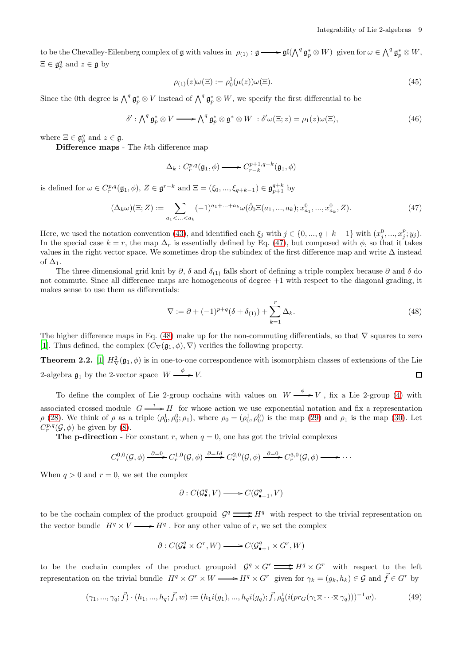to be the Chevalley-Eilenberg complex of  $\mathfrak g$  with values in  $\rho_{(1)} : \mathfrak g \longrightarrow \mathfrak{gl}(\bigwedge^q \mathfrak g_p^* \otimes W)$  given for  $\omega \in \bigwedge^q \mathfrak g_p^* \otimes W$ ,  $\Xi \in \mathfrak{g}_{p}^{q}$  and  $z \in \mathfrak{g}$  by

<span id="page-8-4"></span><span id="page-8-3"></span>
$$
\rho_{(1)}(z)\omega(\Xi) := \rho_0^1(\mu(z))\omega(\Xi). \tag{45}
$$

Since the 0th degree is  $\bigwedge^q \mathfrak{g}_p^* \otimes V$  instead of  $\bigwedge^q \mathfrak{g}_p^* \otimes W$ , we specify the first differential to be

$$
\delta': \bigwedge^q \mathfrak{g}_p^* \otimes V \longrightarrow \bigwedge^q \mathfrak{g}_p^* \otimes \mathfrak{g}^* \otimes W : \delta' \omega(\Xi; z) = \rho_1(z) \omega(\Xi), \tag{46}
$$

where  $\Xi \in \mathfrak{g}_{p}^{q}$  and  $z \in \mathfrak{g}$ .

Difference maps - The  $k$ th difference map

<span id="page-8-0"></span>
$$
\Delta_k: C_r^{p,q}(\mathfrak{g}_1, \phi) \longrightarrow C_{r-k}^{p+1,q+k}(\mathfrak{g}_1, \phi)
$$

is defined for  $\omega \in C_r^{p,q}(\mathfrak{g}_1, \phi), Z \in \mathfrak{g}^{r-k}$  and  $\Xi = (\xi_0, ..., \xi_{q+k-1}) \in \mathfrak{g}_{p+1}^{q+k}$  by

$$
(\Delta_k \omega)(\Xi; Z) := \sum_{a_1 < \ldots < a_k} (-1)^{a_1 + \ldots + a_k} \omega(\hat{\partial}_0 \Xi(a_1, \ldots, a_k); x_{a_1}^0, \ldots, x_{a_k}^0, Z). \tag{47}
$$

Here, we used the notation convention [\(43\)](#page-7-0), and identified each  $\xi_j$  with  $j \in \{0, ..., q + k - 1\}$  with  $(x_j^0, ..., x_j^p; y_j)$ . In the special case  $k = r$ , the map  $\Delta_r$  is essentially defined by Eq. [\(47\)](#page-8-0), but composed with  $\phi$ , so that it takes values in the right vector space. We sometimes drop the subindex of the first difference map and write  $\Delta$  instead of  $\Delta_1$ .

The three dimensional grid knit by  $\partial$ ,  $\delta$  and  $\delta$ <sub>(1)</sub> falls short of defining a triple complex because  $\partial$  and  $\delta$  do not commute. Since all difference maps are homogeneous of degree  $+1$  with respect to the diagonal grading, it makes sense to use them as differentials:

<span id="page-8-1"></span>
$$
\nabla := \partial + (-1)^{p+q} (\delta + \delta_{(1)}) + \sum_{k=1}^{r} \Delta_k.
$$
\n(48)

The higher difference maps in Eq. [\(48\)](#page-8-1) make up for the non-commuting differentials, so that  $\nabla$  squares to zero [\[1\]](#page-31-4). Thus defined, the complex  $(C_{\nabla}(\mathfrak{g}_1, \phi), \nabla)$  verifies the following property.

<span id="page-8-2"></span>**Theorem 2.2.** [\[1\]](#page-31-4)  $H^2_{\nabla}(\mathfrak{g}_1, \phi)$  is in one-to-one correspondence with isomorphism classes of extensions of the Lie 2-algebra  $\mathfrak{g}_1$  by the 2-vector space  $W \xrightarrow{\phi} V$ .  $\Box$ 

To define the complex of Lie 2-group cochains with values on  $W \xrightarrow{\phi} V$ , fix a Lie 2-group [\(4\)](#page-0-4) with associated crossed module  $G \xrightarrow{i} H$  for whose action we use exponential notation and fix a representation  $\rho$  [\(28\)](#page-5-2). We think of  $\rho$  as a triple  $(\rho_0^1, \rho_0^0; \rho_1)$ , where  $\rho_0 = (\rho_0^1, \rho_0^0)$  is the map [\(29\)](#page-5-3) and  $\rho_1$  is the map [\(30\)](#page-5-4). Let  $C_r^{p,q}(\mathcal{G},\phi)$  be given by [\(8\)](#page-1-1).

The **p-direction** - For constant r, when  $q = 0$ , one has got the trivial complexes

$$
C_r^{0,0}(\mathcal{G},\phi) \xrightarrow{\partial=0} C_r^{1,0}(\mathcal{G},\phi) \xrightarrow{\partial=Id} C_r^{2,0}(\mathcal{G},\phi) \xrightarrow{\partial=0} C_r^{3,0}(\mathcal{G},\phi) \longrightarrow \cdots
$$

When  $q > 0$  and  $r = 0$ , we set the complex

$$
\partial: C(\mathcal{G}_{\bullet}^q,V) \longrightarrow C(\mathcal{G}_{\bullet+1}^q,V)
$$

to be the cochain complex of the product groupoid  $\mathcal{G}^q \longrightarrow H^q$  with respect to the trivial representation on the vector bundle  $H^q \times V \longrightarrow H^q$ . For any other value of r, we set the complex

$$
\partial: C(\mathcal{G}_\bullet^q \times G^r, W) \longrightarrow C(\mathcal{G}_{\bullet+1}^q \times G^r, W)
$$

to be the cochain complex of the product groupoid  $\mathcal{G}^q \times G^r \longrightarrow H^q \times G^r$  with respect to the left representation on the trivial bundle  $H^q \times G^r \times W \longrightarrow H^q \times G^r$  given for  $\gamma_k = (g_k, h_k) \in \mathcal{G}$  and  $\vec{f} \in G^r$  by

$$
(\gamma_1, ..., \gamma_q; \vec{f}) \cdot (h_1, ..., h_q; \vec{f}, w) := (h_1 i(g_1), ..., h_q i(g_q); \vec{f}, \rho_0^1 (i(pr_G(\gamma_1 \times \cdots \times \gamma_q)))^{-1} w).
$$
\n<sup>(49)</sup>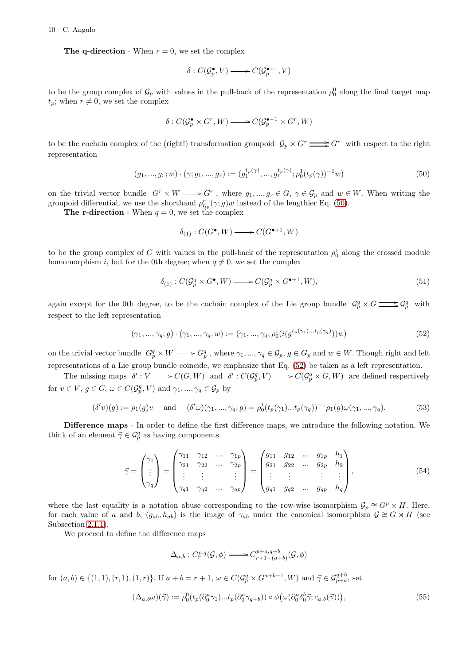The q-direction - When  $r = 0$ , we set the complex

$$
\delta: C(\mathcal{G}_p^{\bullet}, V) \longrightarrow C(\mathcal{G}_p^{\bullet+1}, V)
$$

to be the group complex of  $\mathcal{G}_p$  with values in the pull-back of the representation  $\rho_0^0$  along the final target map  $t_p$ ; when  $r \neq 0$ , we set the complex

$$
\delta: C(\mathcal{G}_p^{\bullet} \times G^r, W) \longrightarrow C(\mathcal{G}_p^{\bullet+1} \times G^r, W)
$$

to be the cochain complex of the (right!) transformation groupoid  $\mathcal{G}_p \ltimes G^r \longrightarrow G^r$  with respect to the right representation

$$
(g_1, ..., g_r; w) \cdot (\gamma; g_1, ..., g_r) := (g_1^{t_p(\gamma)}, ..., g_r^{t_p(\gamma)}; \rho_0^1(t_p(\gamma))^{-1}w)
$$
\n
$$
(50)
$$

on the trivial vector bundle  $G^r \times W \longrightarrow G^r$ , where  $g_1, ..., g_r \in G$ ,  $\gamma \in \mathcal{G}_p$  and  $w \in W$ . When writing the groupoid differential, we use the shorthand  $\rho_{\mathcal{G}_p}^r(\gamma; g)w$  instead of the lengthier Eq. [\(50\)](#page-9-0).

The r-direction - When  $q = 0$ , we set the complex

<span id="page-9-1"></span><span id="page-9-0"></span>
$$
\delta_{(1)}: C(G^{\bullet}, W) \longrightarrow C(G^{\bullet+1}, W)
$$

to be the group complex of G with values in the pull-back of the representation  $\rho_0^1$  along the crossed module homomorphism i, but for the 0th degree; when  $q \neq 0$ , we set the complex

$$
\delta_{(1)}: C(\mathcal{G}_p^q \times G^\bullet, W) \longrightarrow C(\mathcal{G}_p^q \times G^{\bullet+1}, W), \tag{51}
$$

again except for the 0th degree, to be the cochain complex of the Lie group bundle  $\mathcal{G}_p^q \times G \longrightarrow \mathcal{G}_p^q$  with respect to the left representation

$$
(\gamma_1, ..., \gamma_q; g) \cdot (\gamma_1, ..., \gamma_q; w) := (\gamma_1, ..., \gamma_q; \rho_0^1(i(g^{t_p(\gamma_1)...t_p(\gamma_q)}))w)
$$
\n(52)

on the trivial vector bundle  $G_p^q \times W \longrightarrow G_p^q$ , where  $\gamma_1, ..., \gamma_q \in \mathcal{G}_p$ ,  $g \in G_p$  and  $w \in W$ . Though right and left representations of a Lie group bundle coincide, we emphasize that Eq. [\(52\)](#page-9-1) be taken as a left representation.

The missing maps  $\delta': V \longrightarrow C(G, W)$  and  $\delta': C(\mathcal{G}_p^q, V) \longrightarrow C(\mathcal{G}_p^q \times G, W)$  are defined respectively for  $v \in V$ ,  $g \in G$ ,  $\omega \in C(\mathcal{G}_{p}^{q}, V)$  and  $\gamma_{1}, ..., \gamma_{q} \in \mathcal{G}_{p}$  by

<span id="page-9-3"></span>
$$
(\delta'v)(g) := \rho_1(g)v \quad \text{and} \quad (\delta'\omega)(\gamma_1, ..., \gamma_q; g) = \rho_0^1(t_p(\gamma_1)...t_p(\gamma_q))^{-1}\rho_1(g)\omega(\gamma_1, ..., \gamma_q). \tag{53}
$$

Difference maps - In order to define the first difference maps, we introduce the following notation. We think of an element  $\vec{\gamma} \in \mathcal{G}_p^q$  as having components

<span id="page-9-2"></span>
$$
\vec{\gamma} = \begin{pmatrix} \gamma_1 \\ \vdots \\ \gamma_q \end{pmatrix} = \begin{pmatrix} \gamma_{11} & \gamma_{12} & \dots & \gamma_{1p} \\ \gamma_{21} & \gamma_{22} & \dots & \gamma_{2p} \\ \vdots & \vdots & & \vdots \\ \gamma_{q1} & \gamma_{q2} & \dots & \gamma_{qp} \end{pmatrix} = \begin{pmatrix} g_{11} & g_{12} & \dots & g_{1p} & h_1 \\ g_{21} & g_{22} & \dots & g_{2p} & h_2 \\ \vdots & \vdots & & \vdots & \vdots \\ g_{q1} & g_{q2} & \dots & g_{qp} & h_q \end{pmatrix},
$$
(54)

where the last equality is a notation abuse corresponding to the row-wise isomorphism  $\mathcal{G}_p \cong G^p \times H$ . Here, for each value of a and b,  $(g_{ab}, h_{ab})$  is the image of  $\gamma_{ab}$  under the canonical isomorphism  $\mathcal{G} \cong G \rtimes H$  (see Subsection [2.1.1\)](#page-3-2).

We proceed to define the difference maps

$$
\Delta_{a,b}: C^{p,q}_r(\mathcal{G},\phi)\longrightarrow C^{p+a,q+b}_{r+1-(a+b)}(\mathcal{G},\phi)
$$

for  $(a, b) \in \{(1, 1), (r, 1), (1, r)\}$ . If  $a + b = r + 1$ ,  $\omega \in C(\mathcal{G}_{p}^{q} \times G^{a+b-1}, W)$  and  $\vec{\gamma} \in \mathcal{G}_{p+a}^{q+b}$ , set  $(\Delta_{a,b}\omega)(\vec{\gamma}):=\rho^0_0(\iota_p(\partial_0^a\gamma_1)... \iota_p(\partial_0^a\gamma_{q+b}))\circ \phi\big(\omega(\partial_0^a\delta_0^b\vec{\gamma};c_{a,b}(\vec{\gamma}))\big)$  $(55)$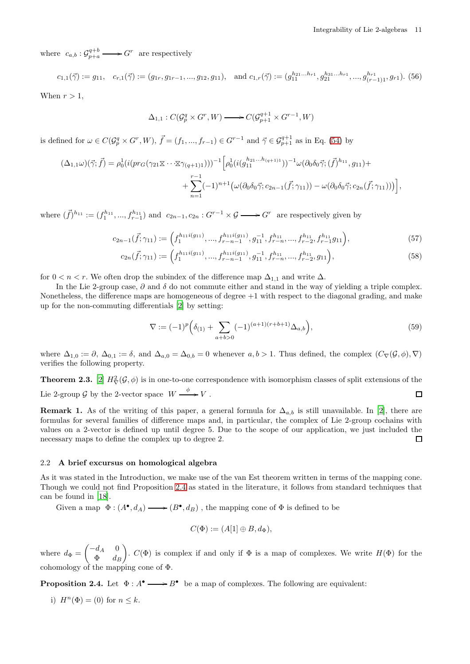where  $c_{a,b}: \mathcal{G}_{p+a}^{q+b} \longrightarrow G^r$  are respectively

 $c_{1,1}(\vec{\gamma}) := g_{11}, \quad c_{r,1}(\vec{\gamma}) := (g_{1r}, g_{1r-1}, ..., g_{12}, g_{11}), \text{ and } c_{1,r}(\vec{\gamma}) := (g_{11}^{h_{21}...h_{r1}}, g_{21}^{h_{31}...h_{r1}}, ..., g_{(r-1)1}^{h_{r1}}, g_{r1}).$  (56) When  $r > 1$ ,

$$
\Delta_{1,1}: C(\mathcal{G}_p^q \times G^r, W) \longrightarrow C(\mathcal{G}_{p+1}^{q+1} \times G^{r-1}, W)
$$

is defined for  $\omega \in C(\mathcal{G}_{p}^q \times G^r, W), \vec{f} = (f_1, ..., f_{r-1}) \in G^{r-1}$  and  $\vec{\gamma} \in \mathcal{G}_{p+1}^{q+1}$  as in Eq. [\(54\)](#page-9-2) by

$$
(\Delta_{1,1}\omega)(\vec{\gamma};\vec{f}) = \rho_0^1(i(pr_G(\gamma_{21}\Sigma\cdots\Sigma\gamma_{(q+1)1})))^{-1} \Big[\rho_0^1(i(g_{11}^{h_{21}...h_{(q+1)1}}))^{-1}\omega(\partial_0\delta_0\vec{\gamma};(\vec{f})^{h_{11}},g_{11}) + + \sum_{n=1}^{r-1}(-1)^{n+1}(\omega(\partial_0\delta_0\vec{\gamma};c_{2n-1}(\vec{f};\gamma_{11})) - \omega(\partial_0\delta_0\vec{\gamma};c_{2n}(\vec{f};\gamma_{11})))\Big],
$$

where  $({\vec f})^{h_{11}} := (f_1^{h_{11}},...,f_{r-1}^{h_{11}})$  and  $c_{2n-1},c_{2n}:G^{r-1}\times\mathcal{G} \longrightarrow G^r$  are respectively given by

$$
c_{2n-1}(\vec{f};\gamma_{11}) := \left(f_1^{h_{11}i(g_{11})},...,f_{r-n-1}^{h_{11}i(g_{11})},g_{11}^{-1},f_{r-n}^{h_{11}},...,f_{r-2}^{h_{11}},f_{r-1}^{h_{11}}g_{11}\right),\tag{57}
$$

$$
c_{2n}(\vec{f};\gamma_{11}) := \left(f_1^{h_{11}i(g_{11})}, \dots, f_{r-n-1}^{h_{11}i(g_{11})}, g_{11}^{-1}, f_{r-n}^{h_{11}}, \dots, f_{r-2}^{h_{11}}, g_{11}\right),\tag{58}
$$

for  $0 < n < r$ . We often drop the subindex of the difference map  $\Delta_{1,1}$  and write  $\Delta$ .

In the Lie 2-group case,  $\partial$  and  $\delta$  do not commute either and stand in the way of yielding a triple complex. Nonetheless, the difference maps are homogeneous of degree +1 with respect to the diagonal grading, and make up for the non-commuting differentials [\[2\]](#page-31-5) by setting:

<span id="page-10-1"></span>
$$
\nabla := (-1)^p \left( \delta_{(1)} + \sum_{a+b>0} (-1)^{(a+1)(r+b+1)} \Delta_{a,b} \right),\tag{59}
$$

where  $\Delta_{1,0} := \partial, \Delta_{0,1} := \delta$ , and  $\Delta_{a,0} = \Delta_{0,b} = 0$  whenever  $a, b > 1$ . Thus defined, the complex  $(C_{\nabla}(\mathcal{G}, \phi), \nabla)$ verifies the following property.

<span id="page-10-2"></span>**Theorem 2.3.** [\[2\]](#page-31-5)  $H^2_{\nabla}(\mathcal{G}, \phi)$  is in one-to-one correspondence with isomorphism classes of split extensions of the Lie 2-group  $\mathcal G$  by the 2-vector space  $W \xrightarrow{\phi} V$ .  $\Box$ 

<span id="page-10-3"></span>Remark 1. As of the writing of this paper, a general formula for  $\Delta_{a,b}$  is still unavailable. In [\[2\]](#page-31-5), there are formulas for several families of difference maps and, in particular, the complex of Lie 2-group cochains with values on a 2-vector is defined up until degree 5. Due to the scope of our application, we just included the necessary maps to define the complex up to degree 2. □

#### 2.2 A brief excursus on homological algebra

As it was stated in the Introduction, we make use of the van Est theorem written in terms of the mapping cone. Though we could not find Proposition [2.4](#page-10-0) as stated in the literature, it follows from standard techniques that can be found in [\[18](#page-32-6)].

Given a map  $\Phi: (A^{\bullet}, d_A) \longrightarrow (B^{\bullet}, d_B)$ , the mapping cone of  $\Phi$  is defined to be

$$
C(\Phi) := (A[1] \oplus B, d_{\Phi}),
$$

where  $d_{\Phi} = \begin{pmatrix} -d_A & 0 \\ \Phi & d_A \end{pmatrix}$  $\Phi$  d<sub>B</sub> ).  $C(\Phi)$  is complex if and only if  $\Phi$  is a map of complexes. We write  $H(\Phi)$  for the cohomology of the mapping cone of  $\Phi$ .

<span id="page-10-0"></span>**Proposition 2.4.** Let  $\Phi: A^{\bullet} \longrightarrow B^{\bullet}$  be a map of complexes. The following are equivalent:

i)  $H^{n}(\Phi) = (0)$  for  $n \leq k$ .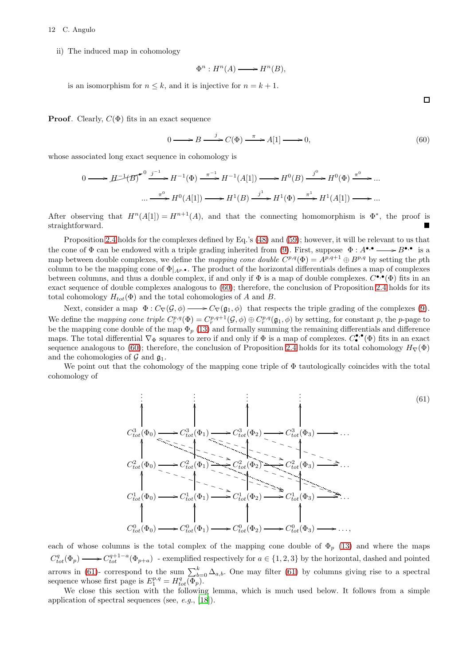#### 12 C. Angulo

ii) The induced map in cohomology

<span id="page-11-1"></span>
$$
\Phi^n: H^n(A) \longrightarrow H^n(B),
$$

is an isomorphism for  $n \leq k$ , and it is injective for  $n = k + 1$ .

**Proof.** Clearly,  $C(\Phi)$  fits in an exact sequence

$$
0 \longrightarrow B \stackrel{j}{\longrightarrow} C(\Phi) \stackrel{\pi}{\longrightarrow} A[1] \longrightarrow 0,
$$
\n(60)

whose associated long exact sequence in cohomology is

$$
0 \longrightarrow H^{-1}(B)^{\bullet} \xrightarrow{j^{-1}} H^{-1}(\Phi) \xrightarrow{\pi^{-1}} H^{-1}(A[1]) \longrightarrow H^{0}(B) \xrightarrow{j^{0}} H^{0}(\Phi) \xrightarrow{\pi^{0}} \dots
$$

$$
\dots \xrightarrow{\pi^{0}} H^{0}(A[1]) \longrightarrow H^{1}(B) \xrightarrow{j^{1}} H^{1}(\Phi) \xrightarrow{\pi^{1}} H^{1}(A[1]) \longrightarrow \dots
$$

After observing that  $H^n(A[1]) = H^{n+1}(A)$ , and that the connecting homomorphism is  $\Phi^*$ , the proof is straightforward.

Proposition [2.4](#page-10-0) holds for the complexes defined by Eq.'s [\(48\)](#page-8-1) and [\(59\)](#page-10-1); however, it will be relevant to us that the cone of  $\Phi$  can be endowed with a triple grading inherited from [\(9\)](#page-2-0). First, suppose  $\Phi: A^{\bullet,\bullet} \longrightarrow B^{\bullet,\bullet}$  is a map between double complexes, we define the *mapping cone double*  $C^{p,q}(\Phi) = A^{p,q+1} \oplus B^{p,q}$  by setting the pth column to be the mapping cone of  $\Phi|_{A^p,\bullet}$ . The product of the horizontal differentials defines a map of complexes between columns, and thus a double complex, if and only if  $\Phi$  is a map of double complexes.  $C^{\bullet,\bullet}(\Phi)$  fits in an exact sequence of double complexes analogous to [\(60\)](#page-11-1); therefore, the conclusion of Proposition [2.4](#page-10-0) holds for its total cohomology  $H_{tot}(\Phi)$  and the total cohomologies of A and B.

Next, consider a map  $\Phi: C_{\nabla}(\mathcal{G}, \phi) \longrightarrow C_{\nabla}(\mathfrak{g}_1, \phi)$  that respects the triple grading of the complexes [\(9\)](#page-2-0). We define the mapping cone triple  $C_r^{p,q}(\Phi) = C_r^{p,q+1}(\mathcal{G}, \phi) \oplus C_r^{p,q}(\mathfrak{g}_1, \phi)$  by setting, for constant p, the p-page to be the mapping cone double of the map  $\Phi_p$  [\(13\)](#page-3-3) and formally summing the remaining differentials and difference maps. The total differential  $\nabla_{\Phi}$  squares to zero if and only if  $\Phi$  is a map of complexes.  $C_{\bullet}^{\bullet,\bullet}(\Phi)$  fits in an exact sequence analogous to [\(60\)](#page-11-1); therefore, the conclusion of Proposition [2.4](#page-10-0) holds for its total cohomology  $H_{\nabla}(\Phi)$ and the cohomologies of  $\mathcal G$  and  $\mathfrak g_1$ .

We point out that the cohomology of the mapping cone triple of  $\Phi$  tautologically coincides with the total cohomology of

<span id="page-11-0"></span>
$$
C_{tot}^{3}(\Phi_{0}) \longrightarrow C_{tot}^{3}(\Phi_{1}) \longrightarrow C_{tot}^{3}(\Phi_{2}) \longrightarrow C_{tot}^{3}(\Phi_{3}) \longrightarrow \cdots
$$
\n
$$
C_{tot}^{2}(\Phi_{0}) \longrightarrow C_{tot}^{2}(\Phi_{1}) \longrightarrow C_{tot}^{2}(\Phi_{2}) \longrightarrow C_{tot}^{3}(\Phi_{3}) \longrightarrow \cdots
$$
\n
$$
C_{tot}^{2}(\Phi_{0}) \longrightarrow C_{tot}^{2}(\Phi_{1}) \longrightarrow C_{tot}^{2}(\Phi_{2}) \longrightarrow C_{tot}^{2}(\Phi_{3}) \longrightarrow \cdots
$$
\n
$$
C_{tot}^{1}(\Phi_{0}) \longrightarrow C_{tot}^{1}(\Phi_{1}) \longrightarrow C_{tot}^{1}(\Phi_{2}) \longrightarrow C_{tot}^{1}(\Phi_{3}) \longrightarrow \cdots
$$
\n
$$
C_{tot}^{0}(\Phi_{0}) \longrightarrow C_{tot}^{0}(\Phi_{1}) \longrightarrow C_{tot}^{0}(\Phi_{2}) \longrightarrow C_{tot}^{0}(\Phi_{3}) \longrightarrow \cdots,
$$
\n(9)

each of whose columns is the total complex of the mapping cone double of  $\Phi_p$  [\(13\)](#page-3-3) and where the maps  $C_{tot}^q(\Phi_p) \longrightarrow C_{tot}^{q+1-a}(\Phi_{p+a})$  - exemplified respectively for  $a \in \{1,2,3\}$  by the horizontal, dashed and pointed arrows in [\(61\)](#page-11-0)- correspond to the sum  $\sum_{b=0}^{k} \Delta_{a,b}$ . One may filter (61) by columns giving rise to a spectral sequence whose first page is  $E_1^{p,q} = H_{tot}^q(\overline{\Phi}_p)$ .

We close this section with the following lemma, which is much used below. It follows from a simple application of spectral sequences (see, e.g., [\[18](#page-32-6)]).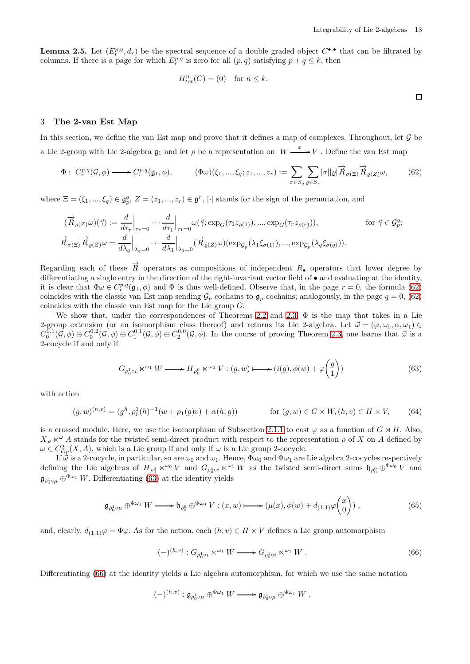<span id="page-12-2"></span><span id="page-12-1"></span> $\Box$ 

<span id="page-12-5"></span>**Lemma 2.5.** Let  $(E_r^{p,q}, d_r)$  be the spectral sequence of a double graded object  $C^{\bullet,\bullet}$  that can be filtrated by columns. If there is a page for which  $E_r^{p,q}$  is zero for all  $(p,q)$  satisfying  $p+q \leq k$ , then

$$
H_{tot}^n(C) = (0) \quad \text{for } n \le k.
$$

#### <span id="page-12-0"></span>3 The 2-van Est Map

In this section, we define the van Est map and prove that it defines a map of complexes. Throughout, let  $\mathcal G$  be a Lie 2-group with Lie 2-algebra  $\mathfrak{g}_1$  and let  $\rho$  be a representation on  $W \xrightarrow{\phi} V$ . Define the van Est map

$$
\Phi: C_r^{p,q}(\mathcal{G}, \phi) \longrightarrow C_r^{p,q}(\mathfrak{g}_1, \phi), \qquad (\Phi \omega)(\xi_1, ..., \xi_q; z_1, ..., z_r) := \sum_{\sigma \in S_q} \sum_{\varrho \in S_r} |\sigma||\varrho| \overrightarrow{R}_{\sigma(\Xi)} \overrightarrow{R}_{\varrho(Z)} \omega, \qquad (62)
$$

where  $\Xi = (\xi_1, ..., \xi_q) \in \mathfrak{g}_p^q$ ,  $Z = (z_1, ..., z_r) \in \mathfrak{g}^r$ , || stands for the sign of the permutation, and

$$
(\overrightarrow{R}_{\varrho(Z)}\omega)(\overrightarrow{\gamma}) := \frac{d}{d\tau_r}\Big|_{\tau_r=0} \cdots \frac{d}{d\tau_1}\Big|_{\tau_1=0} \omega(\overrightarrow{\gamma}; \exp_G(\tau_1 z_{\varrho(1)}), ..., \exp_G(\tau_r z_{\varrho(r)})), \qquad \text{for } \overrightarrow{\gamma} \in \mathcal{G}_p^q;
$$
  

$$
\overrightarrow{R}_{\sigma(\Xi)} \overrightarrow{R}_{\varrho(Z)}\omega = \frac{d}{d\lambda_q}\Big|_{\lambda_q=0} \cdots \frac{d}{d\lambda_1}\Big|_{\lambda_1=0} (\overrightarrow{R}_{\varrho(Z)}\omega)(\exp_{\mathcal{G}_p}(\lambda_1 \xi_{\sigma(1)}), ..., \exp_{\mathcal{G}_p}(\lambda_q \xi_{\sigma(q)})).
$$

Regarding each of these  $\vec{R}$  operators as compositions of independent  $R_{\bullet}$  operators that lower degree by differentiating a single entry in the direction of the right-invariant vector field of • and evaluating at the identity, it is clear that  $\Phi \omega \in C_r^{p,q}(\mathfrak{g}_1, \phi)$  and  $\Phi$  is thus well-defined. Observe that, in the page  $r = 0$ , the formula [\(62\)](#page-12-1) coincides with the classic van Est map sending  $\mathcal{G}_p$  cochains to  $\mathfrak{g}_p$  cochains; analogously, in the page  $q = 0$ , [\(62\)](#page-12-1) coincides with the classic van Est map for the Lie group G.

We show that, under the correspondences of Theorems [2.2](#page-8-2) and [2.3,](#page-10-2)  $\Phi$  is the map that takes in a Lie 2-group extension (or an isomorphism class thereof) and returns its Lie 2-algebra. Let  $\vec{\omega} = (\varphi, \omega_0, \alpha, \omega_1) \in$  $C_0^{1,1}(\mathcal{G},\phi) \oplus C_0^{0,2}(\mathcal{G},\phi) \oplus C_1^{0,1}(\mathcal{G},\phi) \oplus C_2^{0,0}(\mathcal{G},\phi)$ . In the course of proving Theorem [2.3,](#page-10-2) one learns that  $\vec{\omega}$  is a 2-cocycle if and only if

$$
G_{\rho_0^1 \circ i} \ltimes^{\omega_1} W \longrightarrow H_{\rho_0^0} \ltimes^{\omega_0} V : (g, w) \longmapsto (i(g), \phi(w) + \varphi \binom{g}{1})
$$
\n
$$
(63)
$$

with action

$$
(g, w)^{(h, v)} = (g^h, \rho_0^1(h)^{-1}(w + \rho_1(g)v) + \alpha(h; g)) \qquad \text{for } (g, w) \in G \times W, (h, v) \in H \times V,
$$
 (64)

is a crossed module. Here, we use the isomorphism of Subsection [2.1.1](#page-3-2) to cast  $\varphi$  as a function of  $G \rtimes H$ . Also,  $X_\rho \ltimes \omega$  A stands for the twisted semi-direct product with respect to the representation  $\rho$  of X on A defined by  $\omega \in C^2_{G_p}(X, A)$ , which is a Lie group if and only if  $\omega$  is a Lie group 2-cocycle.

If  $\vec{\omega}$  is a 2-cocycle, in particular, so are  $\omega_0$  and  $\omega_1$ . Hence,  $\Phi\omega_0$  and  $\Phi\omega_1$  are Lie algebra 2-cocycles respectively defining the Lie algebras of  $H_{\rho_0^0} \ltimes^{\omega_0} V$  and  $G_{\rho_0^1 \circ i} \ltimes^{\omega_1} W$  as the twisted semi-direct sums  $\mathfrak{h}_{\rho_0^0} \oplus^{\Phi_{\omega_0}} V$  and  $\mathfrak{g}_{\dot{\rho}_0^1 \circ \mu} \oplus^{\Phi_{\omega_1}} W$ . Differentiating [\(63\)](#page-12-2) at the identity yields

$$
\mathfrak{g}_{\dot{\rho}_0^1 \circ \mu} \oplus^{\Phi \omega_1} W \longrightarrow \mathfrak{h}_{\dot{\rho}_0^0} \oplus^{\Phi \omega_0} V : (x, w) \longmapsto (\mu(x), \phi(w) + d_{(1, 1)} \varphi \begin{pmatrix} x \\ 0 \end{pmatrix}), \tag{65}
$$

and, clearly,  $d_{(1,1)}\varphi = \Phi\varphi$ . As for the action, each  $(h, v) \in H \times V$  defines a Lie group automorphism

<span id="page-12-4"></span><span id="page-12-3"></span>
$$
(-)^{(h,v)}: G_{\rho_0^1 \circ i} \ltimes^{\omega_1} W \longrightarrow G_{\rho_0^1 \circ i} \ltimes^{\omega_1} W . \tag{66}
$$

Differentiating [\(66\)](#page-12-3) at the identity yields a Lie algebra automorphism, for which we use the same notation

$$
(-)^{(h,v)}:\mathfrak{g}_{\rho_0^1\circ\mu}\oplus^{\Phi\omega_1}W\longrightarrow \mathfrak{g}_{\rho_0^1\circ\mu}\oplus^{\Phi\omega_1}W.
$$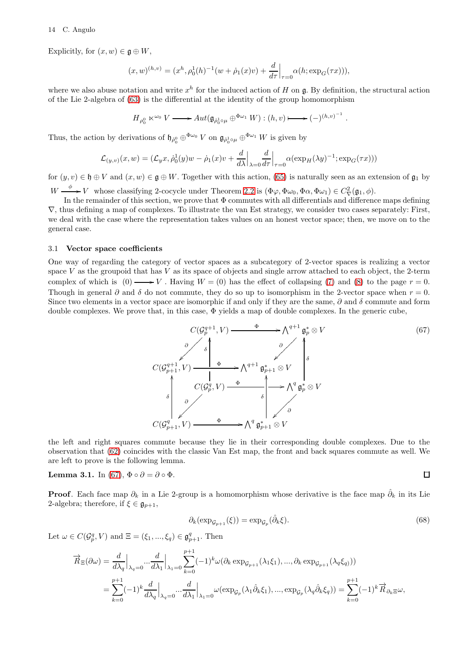Explicitly, for  $(x, w) \in \mathfrak{g} \oplus W$ ,

$$
(x,w)^{(h,v)} = (x^h, \rho_0^1(h)^{-1}(w + \dot{\rho}_1(x)v) + \frac{d}{d\tau}\Big|_{\tau=0} \alpha(h; \exp_G(\tau x))),
$$

where we also abuse notation and write  $x^h$  for the induced action of H on  $\mathfrak g$ . By definition, the structural action of the Lie 2-algebra of [\(63\)](#page-12-2) is the differential at the identity of the group homomorphism

$$
H_{\rho_0^0} \ltimes^{\omega_0} V \longrightarrow Aut(\mathfrak{g}_{\rho_0^1 \circ \mu} \oplus^{\Phi \omega_1} W) : (h, v) \longmapsto (-)^{(h, v)^{-1}}.
$$

Thus, the action by derivations of  $\mathfrak{h}_{\rho_0^0} \oplus^{\Phi\omega_0} V$  on  $\mathfrak{g}_{\rho_0^1 \circ \mu} \oplus^{\Phi\omega_1} W$  is given by

$$
\mathcal{L}_{(y,v)}(x,w) = (\mathcal{L}_y x, \dot{\rho}_0^1(y)w - \dot{\rho}_1(x)v + \frac{d}{d\lambda}\Big|_{\lambda=0} \frac{d}{d\tau}\Big|_{\tau=0} \alpha(\exp_H(\lambda y)^{-1}; \exp_G(\tau x)))
$$

for  $(y, v) \in \mathfrak{h} \oplus V$  and  $(x, w) \in \mathfrak{g} \oplus W$ . Together with this action, [\(65\)](#page-12-4) is naturally seen as an extension of  $\mathfrak{g}_1$  by  $W \longrightarrow V$  whose classifying 2-cocycle under Theorem [2.2](#page-8-2) is  $(\Phi \varphi, \Phi \omega_0, \Phi \alpha, \Phi \omega_1) \in C^2_{\nabla}(\mathfrak{g}_1, \phi)$ .

In the remainder of this section, we prove that Φ commutes with all differentials and difference maps defining ∇, thus defining a map of complexes. To illustrate the van Est strategy, we consider two cases separately: First, we deal with the case where the representation takes values on an honest vector space; then, we move on to the general case.

#### 3.1 Vector space coefficients

One way of regarding the category of vector spaces as a subcategory of 2-vector spaces is realizing a vector space  $V$  as the groupoid that has  $V$  as its space of objects and single arrow attached to each object, the 2-term complex of which is (0)  $\longrightarrow V$ . Having  $W = (0)$  has the effect of collapsing [\(7\)](#page-1-0) and [\(8\)](#page-1-1) to the page  $r = 0$ . Though in general  $\partial$  and  $\delta$  do not commute, they do so up to isomorphism in the 2-vector space when  $r = 0$ . Since two elements in a vector space are isomorphic if and only if they are the same,  $\partial$  and  $\delta$  commute and form double complexes. We prove that, in this case,  $\Phi$  yields a map of double complexes. In the generic cube,

$$
C(\mathcal{G}_{p}^{q+1}, V) \xrightarrow{\Phi} \wedge^{q+1} \mathfrak{g}_{p}^{*} \otimes V
$$
\n
$$
C(\mathcal{G}_{p+1}^{q+1}, V) \xrightarrow{\Phi} \wedge^{q+1} \mathfrak{g}_{p+1}^{*} \otimes V
$$
\n
$$
\uparrow \qquad \qquad \downarrow \qquad \downarrow
$$
\n
$$
C(\mathcal{G}_{p}^{q}, V) \xrightarrow{\Phi} \wedge^{q+1} \mathfrak{g}_{p+1}^{*} \otimes V
$$
\n
$$
\downarrow \qquad \downarrow \qquad \downarrow
$$
\n
$$
C(\mathcal{G}_{p+1}^{q}, V) \xrightarrow{\Phi} \wedge^{q} \mathfrak{g}_{p+1}^{*} \otimes V
$$
\n
$$
(67)
$$

the left and right squares commute because they lie in their corresponding double complexes. Due to the observation that [\(62\)](#page-12-1) coincides with the classic Van Est map, the front and back squares commute as well. We are left to prove is the following lemma.

Lemma 3.1. In [\(67\)](#page-13-0),  $\Phi \circ \partial = \partial \circ \Phi$ .

<span id="page-13-1"></span><span id="page-13-0"></span>
$$
\Box
$$

**Proof.** Each face map  $\partial_k$  in a Lie 2-group is a homomorphism whose derivative is the face map  $\hat{\partial}_k$  in its Lie 2-algebra; therefore, if  $\xi \in \mathfrak{g}_{p+1}$ ,

$$
\partial_k(\exp_{\mathcal{G}_{p+1}}(\xi)) = \exp_{\mathcal{G}_p}(\hat{\partial}_k \xi). \tag{68}
$$

Let  $\omega \in C(\mathcal{G}_{p}^{q}, V)$  and  $\Xi = (\xi_1, ..., \xi_q) \in \mathfrak{g}_{p+1}^{q}$ . Then

$$
\begin{split} \overrightarrow{R}_{\Xi}(\partial\omega) &= \frac{d}{d\lambda_q}\Big|_{\lambda_q=0}...\frac{d}{d\lambda_1}\Big|_{\lambda_1=0}\sum_{k=0}^{p+1}(-1)^k\omega(\partial_k\exp_{\mathcal{G}_{p+1}}(\lambda_1\xi_1),...,\partial_k\exp_{\mathcal{G}_{p+1}}(\lambda_q\xi_q))\\ &= \sum_{k=0}^{p+1}(-1)^k\frac{d}{d\lambda_q}\Big|_{\lambda_q=0}...\frac{d}{d\lambda_1}\Big|_{\lambda_1=0}\omega(\exp_{\mathcal{G}_p}(\lambda_1\hat{\partial}_k\xi_1),...,\exp_{\mathcal{G}_p}(\lambda_q\hat{\partial}_k\xi_q))=\sum_{k=0}^{p+1}(-1)^k\overrightarrow{R}_{\partial_k\Xi}\omega, \end{split}
$$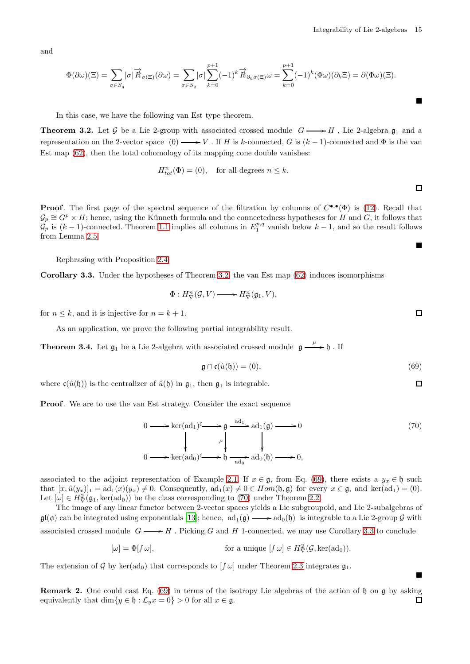and

$$
\Phi(\partial\omega)(\Xi) = \sum_{\sigma \in S_q} |\sigma| \overrightarrow{R}_{\sigma(\Xi)}(\partial\omega) = \sum_{\sigma \in S_q} |\sigma| \sum_{k=0}^{p+1} (-1)^k \overrightarrow{R}_{\partial_k \sigma(\Xi)} \omega = \sum_{k=0}^{p+1} (-1)^k (\Phi \omega)(\partial_k \Xi) = \partial(\Phi \omega)(\Xi).
$$

In this case, we have the following van Est type theorem.

<span id="page-14-0"></span>**Theorem 3.2.** Let G be a Lie 2-group with associated crossed module  $G \rightarrow H$ , Lie 2-algebra  $\mathfrak{g}_1$  and a representation on the 2-vector space  $(0) \longrightarrow V$ . If H is k-connected, G is  $(k-1)$ -connected and  $\Phi$  is the van Est map [\(62\)](#page-12-1), then the total cohomology of its mapping cone double vanishes:

$$
H_{tot}^n(\Phi) = (0), \quad \text{for all degrees } n \le k.
$$

**Proof.** The first page of the spectral sequence of the filtration by columns of  $C^{\bullet,\bullet}(\Phi)$  is [\(12\)](#page-3-0). Recall that  $\mathcal{G}_p \cong G^p \times H$ ; hence, using the Künneth formula and the connectedness hypotheses for H and G, it follows that  $\mathcal{G}_p$  is  $(k-1)$ -connected. Theorem [1.1](#page-0-0) implies all columns in  $E_1^{p,q}$  vanish below  $k-1$ , and so the result follows from Lemma [2.5.](#page-12-5)

Rephrasing with Proposition [2.4:](#page-10-0)

<span id="page-14-3"></span>Corollary 3.3. Under the hypotheses of Theorem [3.2,](#page-14-0) the van Est map [\(62\)](#page-12-1) induces isomorphisms

$$
\Phi: H^n_{\nabla}(\mathcal{G}, V) \longrightarrow H^n_{\nabla}(\mathfrak{g}_1, V),
$$

for  $n \leq k$ , and it is injective for  $n = k + 1$ .

As an application, we prove the following partial integrability result.

**Theorem 3.4.** Let  $\mathfrak{g}_1$  be a Lie 2-algebra with associated crossed module  $\mathfrak{g} \xrightarrow{\mu} \mathfrak{h}$ . If

$$
\mathfrak{g} \cap \mathfrak{c}(\hat{u}(\mathfrak{h})) = (0),\tag{69}
$$

where  $c(\hat{u}(\mathfrak{h}))$  is the centralizer of  $\hat{u}(\mathfrak{h})$  in  $\mathfrak{g}_1$ , then  $\mathfrak{g}_1$  is integrable.

Proof. We are to use the van Est strategy. Consider the exact sequence

<span id="page-14-2"></span>
$$
0 \longrightarrow \ker(\mathrm{ad}_{1}) \longrightarrow \mathfrak{g} \xrightarrow{\mathrm{ad}_{1}} \mathrm{ad}_{1}(\mathfrak{g}) \longrightarrow 0
$$
  
\n
$$
\downarrow \qquad \qquad \downarrow \qquad \qquad \downarrow
$$
\n
$$
0 \longrightarrow \ker(\mathrm{ad}_{0}) \longrightarrow \mathfrak{h} \xrightarrow{\mathrm{ad}_{0}} \mathrm{ad}_{0}(\mathfrak{h}) \longrightarrow 0,
$$
\n
$$
(70)
$$

associated to the adjoint representation of Example [2.1.](#page-6-0) If  $x \in \mathfrak{g}$ , from Eq. [\(69\)](#page-14-1), there exists a  $y_x \in \mathfrak{h}$  such that  $[x, \hat{u}(y_x)]_1 = ad_1(x)(y_x) \neq 0$ . Consequently,  $ad_1(x) \neq 0 \in Hom(\mathfrak{h}, \mathfrak{g})$  for every  $x \in \mathfrak{g}$ , and  $\ker(ad_1) = (0)$ . Let  $[\omega] \in H^2_{\nabla}(\mathfrak{g}_1, \ker(\text{ad}_0))$  be the class corresponding to [\(70\)](#page-14-2) under Theorem [2.2.](#page-8-2)

The image of any linear functor between 2-vector spaces yields a Lie subgroupoid, and Lie 2-subalgebras of  $\mathfrak{gl}(\phi)$  can be integrated using exponentials [\[13](#page-32-5)]; hence,  $ad_1(\mathfrak{g}) \longrightarrow ad_0(\mathfrak{h})$  is integrable to a Lie 2-group G with associated crossed module  $G \longrightarrow H$ . Picking G and H 1-connected, we may use Corollary [3.3](#page-14-3) to conclude

$$
[\omega] = \Phi[f \omega], \qquad \text{for a unique } [f \omega] \in H^2_{\nabla}(\mathcal{G}, \ker(\text{ad}_0)).
$$

The extension of G by ker(ad<sub>0</sub>) that corresponds to  $[(\omega)]$  under Theorem [2.3](#page-10-2) integrates  $\mathfrak{g}_1$ .

Remark 2. One could cast Eq. [\(69\)](#page-14-1) in terms of the isotropy Lie algebras of the action of h on g by asking equivalently that dim{ $y \in \mathfrak{h} : \mathcal{L}_y x = 0$ } > 0 for all  $x \in \mathfrak{g}$ .  $\Box$ 

 $\Box$ 

 $\blacksquare$ 

П

 $\Box$ 

<span id="page-14-1"></span> $\Box$ 

П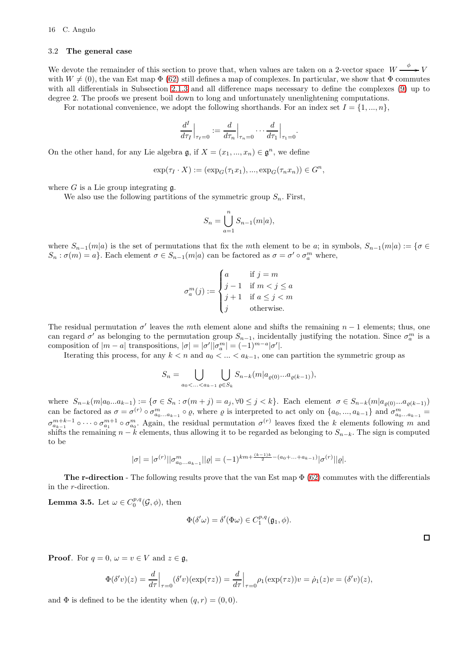## 3.2 The general case

We devote the remainder of this section to prove that, when values are taken on a 2-vector space  $W$ - $\xrightarrow{\phi} V$ with  $W \neq (0)$ , the van Est map  $\Phi$  [\(62\)](#page-12-1) still defines a map of complexes. In particular, we show that  $\Phi$  commutes with all differentials in Subsection [2.1.3](#page-6-1) and all difference maps necessary to define the complexes [\(9\)](#page-2-0) up to degree 2. The proofs we present boil down to long and unfortunately unenlightening computations.

For notational convenience, we adopt the following shorthands. For an index set  $I = \{1, ..., n\}$ ,

$$
\frac{d^I}{d\tau_I}\Big|_{\tau_I=0} := \frac{d}{d\tau_n}\Big|_{\tau_n=0} \cdots \frac{d}{d\tau_1}\Big|_{\tau_1=0}.
$$

On the other hand, for any Lie algebra  $\mathfrak{g}$ , if  $X = (x_1, ..., x_n) \in \mathfrak{g}^n$ , we define

$$
\exp(\tau_I \cdot X) := (\exp_G(\tau_1 x_1), ..., \exp_G(\tau_n x_n)) \in G^n,
$$

where  $G$  is a Lie group integrating  $\mathfrak{g}$ .

We also use the following partitions of the symmetric group  $S_n$ . First,

$$
S_n = \bigcup_{a=1}^n S_{n-1}(m|a),
$$

where  $S_{n-1}(m|a)$  is the set of permutations that fix the mth element to be a; in symbols,  $S_{n-1}(m|a) := \{\sigma \in$  $S_n : \sigma(m) = a$ . Each element  $\sigma \in S_{n-1}(m|a)$  can be factored as  $\sigma = \sigma' \circ \sigma_a^m$  where,

$$
\sigma_a^m(j) := \begin{cases} a & \text{if } j = m \\ j - 1 & \text{if } m < j \le a \\ j + 1 & \text{if } a \le j < m \\ j & \text{otherwise.} \end{cases}
$$

The residual permutation  $\sigma'$  leaves the mth element alone and shifts the remaining  $n-1$  elements; thus, one can regard  $\sigma'$  as belonging to the permutation group  $S_{n-1}$ , incidentally justifying the notation. Since  $\sigma_a^m$  is a composition of  $|m - a|$  transpositions,  $|\sigma| = |\sigma'||\sigma_a^m| = (-1)^{m-a} |\sigma'|$ .

Iterating this process, for any  $k < n$  and  $a_0 < \ldots < a_{k-1}$ , one can partition the symmetric group as

$$
S_n = \bigcup_{a_0 < \ldots < a_{k-1}} \bigcup_{\varrho \in S_k} S_{n-k}(m|a_{\varrho(0)}...a_{\varrho(k-1)}),
$$

where  $S_{n-k}(m|a_0...a_{k-1}) := \{\sigma \in S_n : \sigma(m+j) = a_j, \forall 0 \leq j < k\}.$  Each element  $\sigma \in S_{n-k}(m|a_{\rho(0)}...a_{\rho(k-1)})$ can be factored as  $\sigma = \sigma^{(r)} \circ \sigma_{a_0...a_{k-1}}^m \circ \varrho$ , where  $\varrho$  is interpreted to act only on  $\{a_0, ..., a_{k-1}\}$  and  $\sigma_{a_0...a_{k-1}}^m =$  $\sigma_{a_{k-1}}^{m+k-1} \circ \cdots \circ \sigma_{a_1}^{m+1} \circ \sigma_{a_0}^m$ . Again, the residual permutation  $\sigma^{(r)}$  leaves fixed the k elements following m and shifts the remaining  $n - k$  elements, thus allowing it to be regarded as belonging to  $S_{n-k}$ . The sign is computed to be

$$
|\sigma|=|\sigma^{(r)}||\sigma^m_{a_0\ldots a_{k-1}}||\varrho|=(-1)^{km+\frac{(k-1)k}{2}-(a_0+\ldots+a_{k-1})}|\sigma^{(r)}||\varrho|.
$$

**The r-direction** - The following results prove that the van Est map  $\Phi$  [\(62\)](#page-12-1) commutes with the differentials in the r-direction.

**Lemma 3.5.** Let  $\omega \in C_0^{p,q}(\mathcal{G}, \phi)$ , then

$$
\Phi(\delta'\omega) = \delta'(\Phi\omega) \in C_1^{p,q}(\mathfrak{g}_1, \phi).
$$

**Proof.** For  $q = 0$ ,  $\omega = v \in V$  and  $z \in \mathfrak{g}$ ,

$$
\Phi(\delta'v)(z) = \frac{d}{d\tau}\Big|_{\tau=0} (\delta'v)(\exp(\tau z)) = \frac{d}{d\tau}\Big|_{\tau=0} \rho_1(\exp(\tau z))v = \dot{\rho}_1(z)v = (\delta'v)(z),
$$

and  $\Phi$  is defined to be the identity when  $(q, r) = (0, 0)$ .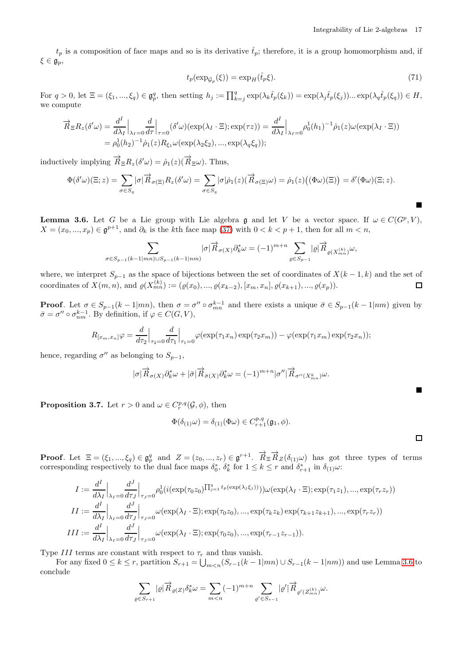$t_p$  is a composition of face maps and so is its derivative  $\hat{t}_p$ ; therefore, it is a group homomorphism and, if  $\xi \in \mathfrak{g}_p$ ,

<span id="page-16-1"></span>
$$
t_p(\exp_{\mathcal{G}_p}(\xi)) = \exp_H(\hat{t}_p \xi). \tag{71}
$$

For  $q > 0$ , let  $\Xi = (\xi_1, ..., \xi_q) \in \mathfrak{g}_{p}^q$ , then setting  $h_j := \prod_{k=j}^q \exp(\lambda_k \hat{t}_p(\xi_k)) = \exp(\lambda_j \hat{t}_p(\xi_j)) \dots \exp(\lambda_q \hat{t}_p(\xi_q)) \in H$ , we compute

$$
\overrightarrow{R}_{\Xi}R_z(\delta'\omega) = \frac{d^I}{d\lambda_I}\Big|_{\lambda_I=0} \frac{d}{d\tau}\Big|_{\tau=0} (\delta'\omega)(\exp(\lambda_I \cdot \Xi); \exp(\tau z)) = \frac{d^I}{d\lambda_I}\Big|_{\lambda_I=0} \rho_0^1(h_1)^{-1}\dot{\rho}_1(z)\omega(\exp(\lambda_I \cdot \Xi))
$$
  
=  $\rho_0^1(h_2)^{-1}\dot{\rho}_1(z)R_{\xi_1}\omega(\exp(\lambda_2\xi_2), ..., \exp(\lambda_q\xi_q));$ 

inductively implying  $\vec{R} \equiv R_z(\delta' \omega) = \dot{\rho}_1(z)(\vec{R} \equiv \omega)$ . Thus,

$$
\Phi(\delta'\omega)(\Xi;z) = \sum_{\sigma \in S_q} |\sigma| \overrightarrow{R}_{\sigma(\Xi)} R_z(\delta'\omega) = \sum_{\sigma \in S_q} |\sigma| \dot{\rho}_1(z) (\overrightarrow{R}_{\sigma(\Xi)}\omega) = \dot{\rho}_1(z) ((\Phi\omega)(\Xi)) = \delta'(\Phi\omega)(\Xi;z).
$$

<span id="page-16-0"></span>**Lemma 3.6.** Let G be a Lie group with Lie algebra g and let V be a vector space. If  $\omega \in C(G^p, V)$ ,  $X = (x_0, ..., x_p) \in \mathfrak{g}^{p+1}$ , and  $\partial_k$  is the kth face map [\(37\)](#page-6-4) with  $0 < k < p+1$ , then for all  $m < n$ ,

$$
\sum_{\sigma \in S_{p-1}(k-1|mn)\cup S_{p-1}(k-1|nm)} |\sigma| \overrightarrow{R}_{\sigma(X)} \partial_k^* \omega = (-1)^{m+n} \sum_{\varrho \in S_{p-1}} |\varrho| \overrightarrow{R}_{\varrho(X_{mn}^{(k)})} \omega,
$$

where, we interpret  $S_{p-1}$  as the space of bijections between the set of coordinates of  $X(k-1,k)$  and the set of coordinates of  $X(m, n)$ , and  $\varrho(X_{mn}^{(k)}) := (\varrho(x_0), ..., \varrho(x_{k-2}), [x_m, x_n], \varrho(x_{k+1}), ..., \varrho(x_p)).$  $\Box$ 

**Proof.** Let  $\sigma \in S_{p-1}(k-1|mn)$ , then  $\sigma = \sigma'' \circ \sigma_{mn}^{k-1}$  and there exists a unique  $\bar{\sigma} \in S_{p-1}(k-1|nm)$  given by  $\bar{\sigma} = \sigma'' \circ \sigma_{nm}^{k-1}$ . By definition, if  $\varphi \in C(G, V)$ ,

$$
R_{[x_m,x_n]}\varphi = \frac{d}{d\tau_2}\Big|_{\tau_2=0}\frac{d}{d\tau_1}\Big|_{\tau_1=0}\varphi(\exp(\tau_1x_n)\exp(\tau_2x_m)) - \varphi(\exp(\tau_1x_m)\exp(\tau_2x_n));
$$

hence, regarding  $\sigma''$  as belonging to  $S_{p-1}$ ,

$$
|\sigma|\overrightarrow{R}_{\sigma(X)}\partial_k^*\omega+|\bar{\sigma}|\overrightarrow{R}_{\bar{\sigma}(X)}\partial_k^*\omega=(-1)^{m+n}|\sigma''|\overrightarrow{R}_{\sigma''(X^k_{mn})}\omega.
$$

<span id="page-16-2"></span>**Proposition 3.7.** Let  $r > 0$  and  $\omega \in C_r^{p,q}(\mathcal{G}, \phi)$ , then

$$
\Phi(\delta_{(1)}\omega) = \delta_{(1)}(\Phi\omega) \in C^{p,q}_{r+1}(\mathfrak{g}_1, \phi).
$$

 $\Box$ 

 $\blacksquare$ 

**Proof.** Let  $\Xi = (\xi_1, ..., \xi_q) \in \mathfrak{g}_p^q$  and  $Z = (z_0, ..., z_r) \in \mathfrak{g}^{r+1}$ .  $\overrightarrow{R}_{\Xi} \overrightarrow{R}_Z(\delta_{(1)} \omega)$  has got three types of terms corresponding respectively to the dual face maps  $\delta_0^*, \delta_k^*$  for  $1 \leq k \leq r$  and  $\delta_{r+1}^*$  in  $\delta_{(1)}\omega$ :

$$
I := \frac{d^I}{d\lambda_I} \Big|_{\lambda_I=0} \frac{d^J}{d\tau_J} \Big|_{\tau_J=0} \rho_0^1(i(\exp(\tau_0 z_0) \Pi_{j=1}^{q} t_p(\exp(\lambda_j \xi_j))))\omega(\exp(\lambda_I \cdot \Xi); \exp(\tau_1 z_1), ..., \exp(\tau_r z_r))
$$
  
\n
$$
II := \frac{d^I}{d\lambda_I} \Big|_{\lambda_I=0} \frac{d^J}{d\tau_J} \Big|_{\tau_J=0} \omega(\exp(\lambda_I \cdot \Xi); \exp(\tau_0 z_0), ..., \exp(\tau_k z_k) \exp(\tau_{k+1} z_{k+1}), ..., \exp(\tau_r z_r))
$$
  
\n
$$
III := \frac{d^I}{d\lambda_I} \Big|_{\lambda_I=0} \frac{d^J}{d\tau_J} \Big|_{\tau_J=0} \omega(\exp(\lambda_I \cdot \Xi); \exp(\tau_0 z_0), ..., \exp(\tau_{r-1} z_{r-1})).
$$

Type III terms are constant with respect to  $\tau_r$  and thus vanish.

For any fixed  $0 \le k \le r$ , partition  $S_{r+1} = \bigcup_{m \le n} (S_{r-1}(k-1|mn) \cup S_{r-1}(k-1|nm))$  and use Lemma [3.6](#page-16-0) to conclude

$$
\sum_{\varrho \in S_{r+1}} |\varrho| \overrightarrow{R}_{\varrho(Z)} \delta_k^* \omega = \sum_{m < n} (-1)^{m+n} \sum_{\varrho' \in S_{r-1}} |\varrho'| \overrightarrow{R}_{\varrho'(Z_{mn}^{(k)})} \omega.
$$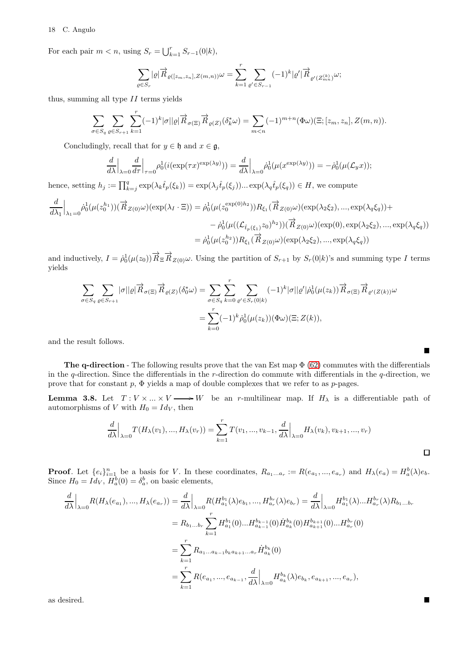### 18 C. Angulo

For each pair  $m < n$ , using  $S_r = \bigcup_{k=1}^r S_{r-1}(0|k)$ ,

$$
\sum_{\varrho \in S_r} |\varrho| \overrightarrow{R}_{\varrho([z_m, z_n], Z(m, n))} \omega = \sum_{k=1}^r \sum_{\varrho' \in S_{r-1}} (-1)^k |\varrho'| \overrightarrow{R}_{\varrho'(Z_{mn}^{(k)})} \omega;
$$

thus, summing all type  $II$  terms yields

$$
\sum_{\sigma \in S_q} \sum_{\varrho \in S_{r+1}} \sum_{k=1}^r (-1)^k |\sigma| |\varrho| \overrightarrow{R}_{\sigma(\Xi)} \overrightarrow{R}_{\varrho(Z)}(\delta_k^* \omega) = \sum_{m < n} (-1)^{m+n} (\Phi \omega) (\Xi; [z_m, z_n], Z(m, n)).
$$

Concludingly, recall that for  $y \in \mathfrak{h}$  and  $x \in \mathfrak{g}$ ,

$$
\frac{d}{d\lambda}\Big|_{\lambda=0}\frac{d}{d\tau}\Big|_{\tau=0}\rho_0^1(i(\exp(\tau x)^{\exp(\lambda y)}))=\frac{d}{d\lambda}\Big|_{\lambda=0}\dot{\rho}_0^1(\mu(x^{\exp(\lambda y)}))=-\dot{\rho}_0^1(\mu(\mathcal{L}_y x));
$$

hence, setting  $h_j := \prod_{k=j}^q \exp(\lambda_k \hat{t}_p(\xi_k)) = \exp(\lambda_j \hat{t}_p(\xi_j)) \dots \exp(\lambda_q \hat{t}_p(\xi_q)) \in H$ , we compute

$$
\frac{d}{d\lambda_1}\Big|_{\lambda_1=0} \dot{\rho}_0^1(\mu(z_0^{h_1}))(\overrightarrow{R}_{Z(0)}\omega)(\exp(\lambda_I \cdot \Xi)) = \dot{\rho}_0^1(\mu(z_0^{\exp(0)h_2}))R_{\xi_1}(\overrightarrow{R}_{Z(0)}\omega)(\exp(\lambda_2\xi_2), ..., \exp(\lambda_q\xi_q)) + \n- \dot{\rho}_0^1(\mu((\mathcal{L}_{\hat{t}_p(\xi_1)}z_0)^{h_2}))(\overrightarrow{R}_{Z(0)}\omega)(\exp(0), \exp(\lambda_2\xi_2), ..., \exp(\lambda_q\xi_q)) \n= \dot{\rho}_0^1(\mu(z_0^{h_2}))R_{\xi_1}(\overrightarrow{R}_{Z(0)}\omega)(\exp(\lambda_2\xi_2), ..., \exp(\lambda_q\xi_q))
$$

and inductively,  $I = \dot{\rho}_0^1(\mu(z_0)) \overrightarrow{R}_{\Xi} \overrightarrow{R}_{Z(0)} \omega$ . Using the partition of  $S_{r+1}$  by  $S_r(0|k)$ 's and summing type I terms yields

$$
\sum_{\sigma \in S_q} \sum_{\varrho \in S_{r+1}} |\sigma||\varrho| \overrightarrow{R}_{\sigma(\Xi)} \overrightarrow{R}_{\varrho(Z)} (\delta_0^* \omega) = \sum_{\sigma \in S_q} \sum_{k=0}^r \sum_{\varrho' \in S_r(0|k)} (-1)^k |\sigma||\varrho'| \dot{\rho}_0^1(\mu(z_k)) \overrightarrow{R}_{\sigma(\Xi)} \overrightarrow{R}_{\varrho'(Z(k))} \omega
$$

$$
= \sum_{k=0}^r (-1)^k \dot{\rho}_0^1(\mu(z_k)) (\Phi \omega)(\Xi; Z(k)),
$$

and the result follows.

**The q-direction** - The following results prove that the van Est map  $\Phi$  [\(62\)](#page-12-1) commutes with the differentials in the  $q$ -direction. Since the differentials in the  $r$ -direction do commute with differentials in the  $q$ -direction, we prove that for constant  $p$ ,  $\Phi$  yields a map of double complexes that we refer to as p-pages.

<span id="page-17-0"></span>**Lemma 3.8.** Let  $T: V \times ... \times V \longrightarrow W$  be an r-multilinear map. If  $H_{\lambda}$  is a differentiable path of automorphisms of V with  $H_0 = Id_V$ , then

$$
\frac{d}{d\lambda}\Big|_{\lambda=0}T(H_{\lambda}(v_1),...,H_{\lambda}(v_r))=\sum_{k=1}^rT(v_1,...,v_{k-1},\frac{d}{d\lambda}\Big|_{\lambda=0}H_{\lambda}(v_k),v_{k+1},...,v_r)
$$

**Proof.** Let  $\{e_i\}_{i=1}^n$  be a basis for V. In these coordinates,  $R_{a_1...a_r} := R(e_{a_1},...,e_{a_r})$  and  $H_\lambda(e_a) = H_a^b(\lambda)e_b$ . Since  $H_0 = Id_V$ ,  $H_a^b(0) = \delta_a^b$ , on basic elements,

$$
\frac{d}{d\lambda}\Big|_{\lambda=0} R(H_{\lambda}(e_{a_1}),...,H_{\lambda}(e_{a_r})) = \frac{d}{d\lambda}\Big|_{\lambda=0} R(H_{a_1}^{b_1}(\lambda)e_{b_1},...,H_{a_r}^{b_r}(\lambda)e_{b_r}) = \frac{d}{d\lambda}\Big|_{\lambda=0} H_{a_1}^{b_1}(\lambda)...H_{a_r}^{b_r}(\lambda)R_{b_1...b_r}
$$
\n
$$
= R_{b_1...b_r} \sum_{k=1}^r H_{a_1}^{b_1}(0)...H_{a_{k-1}}^{b_{k-1}}(0)H_{a_k}^{b_k}(0)H_{a_{k+1}}^{b_{k+1}}(0)...H_{a_r}^{b_r}(0)
$$
\n
$$
= \sum_{k=1}^r R_{a_1...a_{k-1}b_ka_{k+1}...a_r}H_{a_k}^{b_k}(0)
$$
\n
$$
= \sum_{k=1}^r R(e_{a_1},...,e_{a_{k-1}},\frac{d}{d\lambda}\Big|_{\lambda=0}H_{a_k}^{b_k}(\lambda)e_{b_k},e_{a_{k+1}},...,e_{a_r}),
$$

as desired.

 $\blacksquare$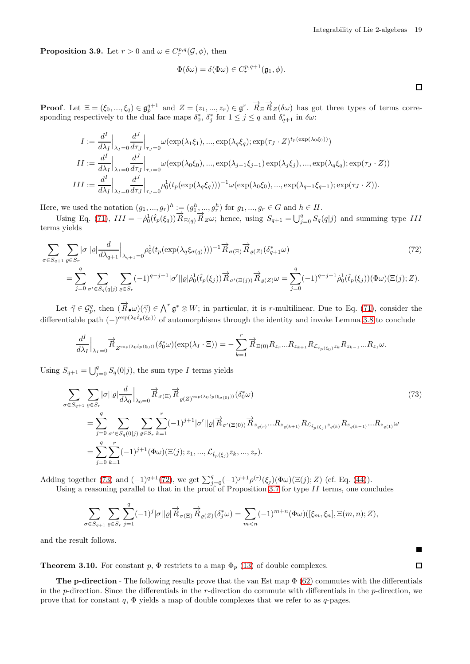<span id="page-18-1"></span> $\Box$ 

**Proposition 3.9.** Let  $r > 0$  and  $\omega \in C_r^{p,q}(\mathcal{G}, \phi)$ , then

$$
\Phi(\delta \omega) = \delta(\Phi \omega) \in C_r^{p,q+1}(\mathfrak{g}_1, \phi).
$$

**Proof.** Let  $\Xi = (\xi_0, ..., \xi_q) \in \mathfrak{g}_p^{q+1}$  and  $Z = (z_1, ..., z_r) \in \mathfrak{g}^r$ .  $\overrightarrow{R}_{\Xi} \overrightarrow{R}_Z(\delta \omega)$  has got three types of terms corresponding respectively to the dual face maps  $\delta_0^*$ ,  $\delta_j^*$  for  $1 \leq j \leq q$  and  $\delta_{q+1}^*$  in  $\delta \omega$ :

$$
I := \frac{d^{I}}{d\lambda_{I}} \Big|_{\lambda_{I} = 0} \frac{d^{J}}{d\tau_{J}} \Big|_{\tau_{J} = 0} \omega(\exp(\lambda_{1} \xi_{1}), ..., \exp(\lambda_{q} \xi_{q}); \exp(\tau_{J} \cdot Z)^{t_{p}(\exp(\lambda_{0} \xi_{0}))})
$$
  
\n
$$
II := \frac{d^{I}}{d\lambda_{I}} \Big|_{\lambda_{I} = 0} \frac{d^{J}}{d\tau_{J}} \Big|_{\tau_{J} = 0} \omega(\exp(\lambda_{0} \xi_{0}), ..., \exp(\lambda_{j-1} \xi_{j-1}) \exp(\lambda_{j} \xi_{j}), ..., \exp(\lambda_{q} \xi_{q}); \exp(\tau_{J} \cdot Z))
$$
  
\n
$$
III := \frac{d^{I}}{d\lambda_{I}} \Big|_{\lambda_{I} = 0} \frac{d^{J}}{d\tau_{J}} \Big|_{\tau_{J} = 0} \rho_{0}^{1} (t_{p}(\exp(\lambda_{q} \xi_{q})))^{-1} \omega(\exp(\lambda_{0} \xi_{0}), ..., \exp(\lambda_{q-1} \xi_{q-1}); \exp(\tau_{J} \cdot Z)).
$$

Here, we used the notation  $(g_1, ..., g_r)^h := (g_1^h, ..., g_r^h)$  for  $g_1, ..., g_r \in G$  and  $h \in H$ .

Using Eq. [\(71\)](#page-16-1),  $III = -\dot{\rho}_0^1(\hat{t}_p(\xi_q)) \vec{R}_{\Xi(q)} \vec{R}_{Z\omega}$ ; hence, using  $S_{q+1} = \bigcup_{j=0}^q S_q(q|j)$  and summing type III terms yields

$$
\sum_{\sigma \in S_{q+1}} \sum_{\varrho \in S_r} |\sigma||\varrho| \frac{d}{d\lambda_{q+1}} \Big|_{\lambda_{q+1}=0} \rho_0^1(t_p(\exp(\lambda_q \xi_{\sigma(q)})))^{-1} \overrightarrow{R}_{\sigma(\Xi)} \overrightarrow{R}_{\varrho(Z)} (\delta_{q+1}^* \omega) \tag{72}
$$
\n
$$
= \sum_{j=0}^q \sum_{\sigma' \in S_q(q|j)} \sum_{\varrho \in S_r} (-1)^{q-j+1} |\sigma'||\varrho| \rho_0^1(\hat{t}_p(\xi_j)) \overrightarrow{R}_{\sigma'(\Xi(j))} \overrightarrow{R}_{\varrho(Z)} \omega = \sum_{j=0}^q (-1)^{q-j+1} \rho_0^1(\hat{t}_p(\xi_j)) (\Phi \omega) (\Xi(j); Z).
$$

Let  $\vec{\gamma} \in \mathcal{G}_{p}^q$ , then  $(\vec{R}_{\bullet}\omega)(\vec{\gamma}) \in \bigwedge^r \mathfrak{g}^* \otimes W$ ; in particular, it is r-multilinear. Due to Eq. [\(71\)](#page-16-1), consider the differentiable path  $(-)^{\exp(\lambda_0 \hat{t}_p(\xi_0))}$  of automorphisms through the identity and invoke Lemma [3.8](#page-17-0) to conclude

$$
\frac{d^I}{d\lambda_I}\Big|_{\lambda_I=0} \overrightarrow{R}_{Z^{\exp(\lambda_0 \hat{t}_P(\xi_0))}}(\delta_0^*\omega)(\exp(\lambda_I \cdot \Xi)) = -\sum_{k=1}^r \overrightarrow{R}_{\Xi(0)} R_{z_r}...R_{z_{k+1}} R_{\mathcal{L}_{\hat{t}_P(\xi_0)}z_k} R_{z_{k-1}}...R_{z_1} \omega.
$$

Using  $S_{q+1} = \bigcup_{j=0}^{q} S_q(0|j)$ , the sum type I terms yields

$$
\sum_{\sigma \in S_{q+1}} \sum_{\varrho \in S_r} |\sigma||\varrho| \frac{d}{d\lambda_0} \Big|_{\lambda_0 = 0} \overrightarrow{R}_{\sigma(\Xi)} \overrightarrow{R}_{\varrho(Z)^{\exp(\lambda_0 \hat{t}_p(\xi_{\sigma(0)}))}} (\delta_0^* \omega) \tag{73}
$$
\n
$$
= \sum_{j=0}^q \sum_{\sigma' \in S_q(0|j)} \sum_{\varrho \in S_r} \sum_{k=1}^r (-1)^{j+1} |\sigma'||\varrho| \overrightarrow{R}_{\sigma'(\Xi(0))} \overrightarrow{R}_{z_{\varrho(r)}} \dots R_{z_{\varrho(k+1)}} R_{\mathcal{L}_{\hat{t}_p(\xi_j)} z_{\varrho(k)}} R_{z_{\varrho(k-1)}} \dots R_{z_{\varrho(1)}} \omega
$$
\n
$$
= \sum_{j=0}^q \sum_{k=1}^r (-1)^{j+1} (\Phi \omega)(\Xi(j); z_1, \dots, \mathcal{L}_{\hat{t}_p(\xi_j)} z_k, \dots, z_r).
$$

Adding together [\(73\)](#page-18-0) and  $(-1)^{q+1}(72)$  $(-1)^{q+1}(72)$ , we get  $\sum_{j=0}^{q}(-1)^{j+1}\rho^{(r)}(\xi_j)(\Phi\omega)(\Xi(j);Z)$  (cf. Eq. [\(44\)](#page-7-1)).

Using a reasoning parallel to that in the proof of Proposition [3.7](#page-16-2) for type  $II$  terms, one concludes

$$
\sum_{\sigma\in S_{q+1}}\sum_{\varrho\in S_r}\sum_{j=1}^q(-1)^j|\sigma||\varrho|\overrightarrow{R}_{\sigma(\Xi)}\overrightarrow{R}_{\varrho(Z)}(\delta_j^*\omega)=\sum_{m
$$

and the result follows.

<span id="page-18-2"></span>**Theorem 3.10.** For constant p,  $\Phi$  restricts to a map  $\Phi_p$  [\(13\)](#page-3-3) of double complexes.

**The p-direction** - The following results prove that the van Est map  $\Phi$  [\(62\)](#page-12-1) commutes with the differentials in the p-direction. Since the differentials in the r-direction do commute with differentials in the p-direction, we prove that for constant q,  $\Phi$  yields a map of double complexes that we refer to as q-pages.

<span id="page-18-0"></span>Г  $\Box$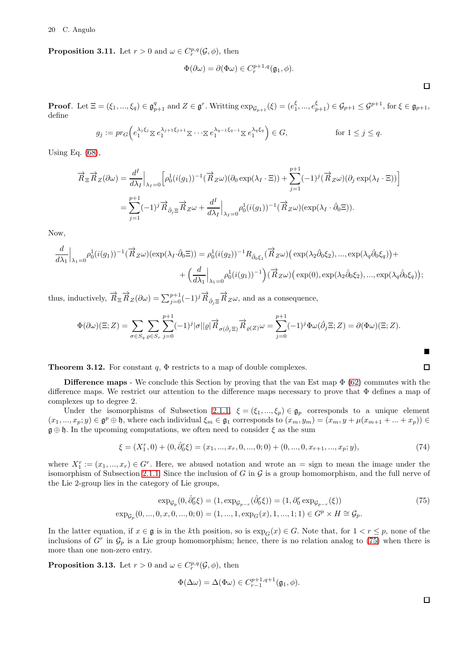**Proposition 3.11.** Let  $r > 0$  and  $\omega \in C_r^{p,q}(\mathcal{G}, \phi)$ , then

$$
\Phi(\partial \omega) = \partial(\Phi \omega) \in C_r^{p+1,q}(\mathfrak{g}_1, \phi).
$$

 $\Box$ 

**Proof.** Let  $\Xi = (\xi_1, ..., \xi_q) \in \mathfrak{g}_{p+1}^q$  and  $Z \in \mathfrak{g}^r$ . Writting  $\exp_{\mathcal{G}_{p+1}}(\xi) = (e_1^{\xi}, ..., e_{p+1}^{\xi}) \in \mathcal{G}_{p+1} \leq \mathcal{G}^{p+1}$ , for  $\xi \in \mathfrak{g}_{p+1}$ , define

$$
g_j := pr_G\left(e_1^{\lambda_j \xi_j} \boxtimes e_1^{\lambda_{j+1} \xi_{j+1}} \boxtimes \cdots \boxtimes e_1^{\lambda_{q-1} \xi_{q-1}} \boxtimes e_1^{\lambda_q \xi_q}\right) \in G, \qquad \text{for } 1 \le j \le q.
$$

Using Eq. [\(68\)](#page-13-1),

$$
\overrightarrow{R}_{\Xi}\overrightarrow{R}_{Z}(\partial\omega) = \frac{d^{I}}{d\lambda_{I}}\Big|_{\lambda_{I}=0} \Big[\rho_{0}^{1}(i(g_{1}))^{-1}(\overrightarrow{R}_{Z}\omega)(\partial_{0}\exp(\lambda_{I}\cdot\Xi)) + \sum_{j=1}^{p+1}(-1)^{j}(\overrightarrow{R}_{Z}\omega)(\partial_{j}\exp(\lambda_{I}\cdot\Xi))\Big]
$$

$$
= \sum_{j=1}^{p+1}(-1)^{j}\overrightarrow{R}_{\partial_{j}\Xi}\overrightarrow{R}_{Z}\omega + \frac{d^{I}}{d\lambda_{I}}\Big|_{\lambda_{I}=0}\rho_{0}^{1}(i(g_{1}))^{-1}(\overrightarrow{R}_{Z}\omega)(\exp(\lambda_{I}\cdot\hat{\partial}_{0}\Xi)).
$$

Now,

$$
\frac{d}{d\lambda_1}\Big|_{\lambda_1=0} \rho_0^1(i(g_1))^{-1}(\overrightarrow{R}_{Z}\omega)(\exp(\lambda_I \cdot \hat{\partial}_0 \Xi)) = \rho_0^1(i(g_2))^{-1}R_{\hat{\partial}_0\xi_1}(\overrightarrow{R}_{Z}\omega)(\exp(\lambda_2 \hat{\partial}_0 \xi_2), ..., \exp(\lambda_q \hat{\partial}_0 \xi_q)) + \n+ \left(\frac{d}{d\lambda_1}\Big|_{\lambda_1=0} \rho_0^1(i(g_1))^{-1}\right)(\overrightarrow{R}_{Z}\omega)(\exp(0), \exp(\lambda_2 \hat{\partial}_0 \xi_2), ..., \exp(\lambda_q \hat{\partial}_0 \xi_q));
$$

thus, inductively,  $\overrightarrow{R}_{\Xi} \overrightarrow{R}_{Z}(\partial \omega) = \sum_{j=0}^{p+1} (-1)^{j} \overrightarrow{R}_{\hat{\partial}_{j} \Xi} \overrightarrow{R}_{Z} \omega$ , and as a consequence,

$$
\Phi(\partial\omega)(\Xi;Z) = \sum_{\sigma \in S_q} \sum_{\varrho \in S_r} \sum_{j=0}^{p+1} (-1)^j |\sigma||\varrho| \overrightarrow{R}_{\sigma(\hat{\partial}_j\Xi)} \overrightarrow{R}_{\varrho(Z)} \omega = \sum_{j=0}^{p+1} (-1)^j \Phi(\omega(\hat{\partial}_j\Xi;Z)) = \partial(\Phi\omega)(\Xi;Z).
$$

**Theorem 3.12.** For constant  $q$ ,  $\Phi$  restricts to a map of double complexes.

**Difference maps** - We conclude this Section by proving that the van Est map  $\Phi$  [\(62\)](#page-12-1) commutes with the difference maps. We restrict our attention to the difference maps necessary to prove that Φ defines a map of complexes up to degree 2.

Under the isomorphisms of Subsection [2.1.1,](#page-3-2)  $\xi = (\xi_1, ..., \xi_p) \in \mathfrak{g}_p$  corresponds to a unique element  $(x_1, ..., x_p; y) \in \mathfrak{g}^p \oplus \mathfrak{h}$ , where each individual  $\xi_m \in \mathfrak{g}_1$  corresponds to  $(x_m, y_m) = (x_m, y + \mu(x_{m+1} + ... + x_p)) \in$  $\mathfrak{g} \oplus \mathfrak{h}$ . In the upcoming computations, we often need to consider  $\xi$  as the sum

$$
\xi = (X_1^r, 0) + (0, \hat{\partial}_0^r \xi) = (x_1, ..., x_r, 0, ..., 0; 0) + (0, ..., 0, x_{r+1}, ..., x_p; y),
$$
\n(74)

where  $X_1^r := (x_1, ..., x_r) \in G^r$ . Here, we abused notation and wrote an = sign to mean the image under the isomorphism of Subsection [2.1.1.](#page-3-2) Since the inclusion of G in  $\mathcal G$  is a group homomorphism, and the full nerve of the Lie 2-group lies in the category of Lie groups,

$$
\exp_{\mathcal{G}_p}(0, \hat{\partial}_0^r \xi) = (1, \exp_{\mathcal{G}_{p-r}}(\hat{\partial}_0^r \xi)) = (1, \partial_0^r \exp_{\mathcal{G}_{p-r}}(\xi))
$$
\n
$$
\exp_{\mathcal{G}_p}(0, \dots, 0, x, 0, \dots, 0; 0) = (1, \dots, 1, \exp_G(x), 1, \dots, 1; 1) \in G^p \times H \cong \mathcal{G}_p.
$$
\n(75)

In the latter equation, if  $x \in \mathfrak{g}$  is in the kth position, so is  $\exp_G(x) \in G$ . Note that, for  $1 < r \leq p$ , none of the inclusions of  $G<sup>r</sup>$  in  $\mathcal{G}<sub>p</sub>$  is a Lie group homomorphism; hence, there is no relation analog to [\(75\)](#page-19-0) when there is more than one non-zero entry.

<span id="page-19-2"></span>**Proposition 3.13.** Let  $r > 0$  and  $\omega \in C_r^{p,q}(\mathcal{G}, \phi)$ , then

$$
\Phi(\Delta \omega) = \Delta(\Phi \omega) \in C_{r-1}^{p+1,q+1}(\mathfrak{g}_1, \phi).
$$

<span id="page-19-1"></span><span id="page-19-0"></span> $\Box$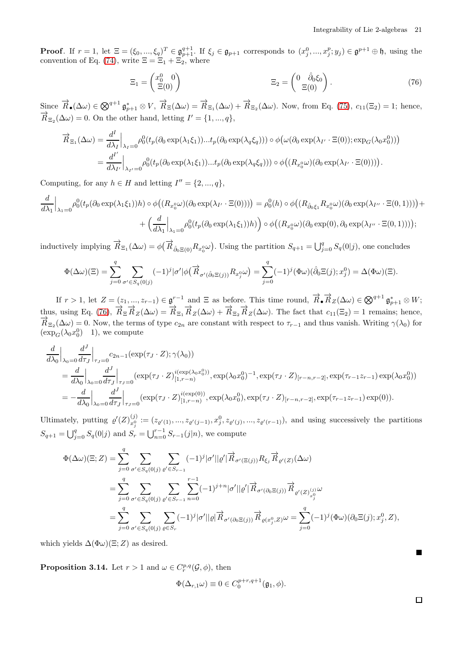**Proof.** If  $r = 1$ , let  $\Xi = (\xi_0, ..., \xi_q)^T \in \mathfrak{g}_{p+1}^{q+1}$ . If  $\xi_j \in \mathfrak{g}_{p+1}$  corresponds to  $(x_j^0, ..., x_j^p; y_j) \in \mathfrak{g}^{p+1} \oplus \mathfrak{h}$ , using the convention of Eq. [\(74\)](#page-19-1), write  $\Xi = \Xi_1 + \Xi_2$ , where

<span id="page-20-0"></span>
$$
\Xi_1 = \begin{pmatrix} x_0^0 & 0 \\ \Xi(0) & \end{pmatrix} \qquad \qquad \Xi_2 = \begin{pmatrix} 0 & \hat{\partial}_0 \xi_0 \\ \Xi(0) & \end{pmatrix} . \tag{76}
$$

Since  $\vec{R}_{\bullet}(\Delta\omega) \in \bigotimes^{q+1} \mathfrak{g}_{p+1}^* \otimes V$ ,  $\vec{R}_{\Xi}(\Delta\omega) = \vec{R}_{\Xi_1}(\Delta\omega) + \vec{R}_{\Xi_2}(\Delta\omega)$ . Now, from Eq. [\(75\)](#page-19-0),  $c_{11}(\Xi_2) = 1$ ; hence,  $\overrightarrow{R}_{\Xi_2}(\Delta\omega) = 0$ . On the other hand, letting  $I' = \{1, ..., q\}$ ,

$$
\overrightarrow{R}_{\Xi_1}(\Delta\omega) = \frac{d^I}{d\lambda_I} \Big|_{\lambda_I=0} \rho_0^0(t_p(\partial_0 \exp(\lambda_1 \xi_1))...t_p(\partial_0 \exp(\lambda_q \xi_q))) \circ \phi\big(\omega(\partial_0 \exp(\lambda_{I'} \cdot \Xi(0)); \exp_G(\lambda_0 x_0^0))\big)
$$

$$
= \frac{d^{I'}}{d\lambda_{I'}} \Big|_{\lambda_{I'}=0} \rho_0^0(t_p(\partial_0 \exp(\lambda_1 \xi_1))...t_p(\partial_0 \exp(\lambda_q \xi_q))) \circ \phi\big((R_{x_0^0}\omega)(\partial_0 \exp(\lambda_{I'} \cdot \Xi(0)))\big).
$$

Computing, for any  $h \in H$  and letting  $I'' = \{2, ..., q\},\$ 

$$
\frac{d}{d\lambda_1}\Big|_{\lambda_1=0} \rho_0^0(t_p(\partial_0 \exp(\lambda_1\xi_1))h) \circ \phi\big((R_{x_0^0}\omega)(\partial_0 \exp(\lambda_{I'} \cdot \Xi(0)))\big) = \rho_0^0(h) \circ \phi\big((R_{\hat{\partial}_0\xi_1}R_{x_0^0}\omega)(\partial_0 \exp(\lambda_{I''} \cdot \Xi(0,1)))\big) + \Big(\frac{d}{d\lambda_1}\Big|_{\lambda_1=0} \rho_0^0(t_p(\partial_0 \exp(\lambda_1\xi_1))h)\Big) \circ \phi\big((R_{x_0^0}\omega)(\partial_0 \exp(0), \partial_0 \exp(\lambda_{I''} \cdot \Xi(0,1)))\big);
$$

inductively implying  $\overrightarrow{R}_{\Xi_1}(\Delta \omega) = \phi(\overrightarrow{R}_{\hat{\partial}_0 \Xi(0)} R_{x_0^0} \omega)$ . Using the partition  $S_{q+1} = \bigcup_{j=0}^q S_q(0|j)$ , one concludes

$$
\Phi(\Delta\omega)(\Xi) = \sum_{j=0}^q \sum_{\sigma' \in S_q(0|j)} (-1)^j |\sigma'| \phi(\overrightarrow{R}_{\sigma'(\hat{\partial}_0 \Xi(j))} R_{x_j^0} \omega) = \sum_{j=0}^q (-1)^j (\Phi \omega)(\hat{\partial}_0 \Xi(j); x_j^0) = \Delta(\Phi \omega)(\Xi).
$$

If  $r > 1$ , let  $Z = (z_1, ..., z_{r-1}) \in \mathfrak{g}^{r-1}$  and  $\Xi$  as before. This time round,  $\overrightarrow{R}_\bullet \overrightarrow{R}_Z(\Delta \omega) \in \bigotimes^{q+1} \mathfrak{g}^*_{p+1} \otimes W$ ; thus, using Eq. [\(76\)](#page-20-0),  $\overrightarrow{R}_{\Xi} \overrightarrow{R}_{Z}(\Delta \omega) = \overrightarrow{R}_{\Xi_1} \overrightarrow{R}_{Z}(\Delta \omega) + \overrightarrow{R}_{\Xi_2} \overrightarrow{R}_{Z}(\Delta \omega)$ . The fact that  $c_{11}(\Xi_2) = 1$  remains; hence,  $\overrightarrow{R}_{\Xi_2}(\Delta\omega) = 0$ . Now, the terms of type  $c_{2n}$  are constant with respect to  $\tau_{r-1}$  and thus vanish. Writing  $\gamma(\lambda_0)$  for  $(\exp_G(\lambda_0 x_0^0)$  1), we compute

$$
\frac{d}{d\lambda_0}\Big|_{\lambda_0=0} \frac{d^J}{d\tau_J}\Big|_{\tau_J=0} c_{2n-1}(\exp(\tau_J \cdot Z); \gamma(\lambda_0))
$$
\n
$$
= \frac{d}{d\lambda_0}\Big|_{\lambda_0=0} \frac{d^J}{d\tau_J}\Big|_{\tau_J=0} (\exp(\tau_J \cdot Z)^{i(\exp(\lambda_0 x_0^0))}_{[1,r-n)}, \exp(\lambda_0 x_0^0)^{-1}, \exp(\tau_J \cdot Z)_{[r-n,r-2]}, \exp(\tau_{r-1} z_{r-1}) \exp(\lambda_0 x_0^0))
$$
\n
$$
= -\frac{d}{d\lambda_0}\Big|_{\lambda_0=0} \frac{d^J}{d\tau_J}\Big|_{\tau_J=0} (\exp(\tau_J \cdot Z)^{i(\exp(0))}_{[1,r-n)}, \exp(\lambda_0 x_0^0), \exp(\tau_J \cdot Z)_{[r-n,r-2]}, \exp(\tau_{r-1} z_{r-1}) \exp(0)).
$$

Ultimately, putting  $\varrho'(Z)_{x^0}^{(j)}$  $x_1^{(j)} := (z_{\varrho'(1)},...,z_{\varrho'(j-1)},x_j^0,z_{\varrho'(j)},...,z_{\varrho'(r-1)}),$  and using successively the partitions  $S_{q+1} = \bigcup_{j=0}^{q} S_q(0|j)$  and  $S_r = \bigcup_{n=0}^{r-1} S_{r-1}(j|n)$ , we compute

$$
\Phi(\Delta\omega)(\Xi;Z) = \sum_{j=0}^{q} \sum_{\sigma' \in S_q(0|j)} \sum_{\varrho' \in S_{r-1}} (-1)^j |\sigma'||\varrho'|\overrightarrow{R}_{\sigma'(\Xi(j))} R_{\xi_j} \overrightarrow{R}_{\varrho'(Z)}(\Delta\omega)
$$
  
\n
$$
= \sum_{j=0}^{q} \sum_{\sigma' \in S_q(0|j)} \sum_{\varrho' \in S_{r-1}} \sum_{n=0}^{r-1} (-1)^{j+n} |\sigma'||\varrho'|\overrightarrow{R}_{\sigma'(\partial_0 \Xi(j))} \overrightarrow{R}_{\varrho'(Z)_{x_{j}^{0}}^{(j)}}\omega
$$
  
\n
$$
= \sum_{j=0}^{q} \sum_{\sigma' \in S_q(0|j)} \sum_{\varrho \in S_r} (-1)^j |\sigma'||\varrho|\overrightarrow{R}_{\sigma'(\partial_0 \Xi(j))} \overrightarrow{R}_{\varrho(x_j^0, Z)}\omega = \sum_{j=0}^{q} (-1)^j (\Phi\omega)(\partial_0 \Xi(j); x_j^0, Z),
$$

which yields  $\Delta(\Phi\omega)(\Xi;Z)$  as desired.

**Proposition 3.14.** Let  $r > 1$  and  $\omega \in C_r^{p,q}(\mathcal{G}, \phi)$ , then

$$
\Phi(\Delta_{r,1}\omega) \equiv 0 \in C_0^{p+r,q+1}(\mathfrak{g}_1,\phi).
$$

 $\Box$ 

П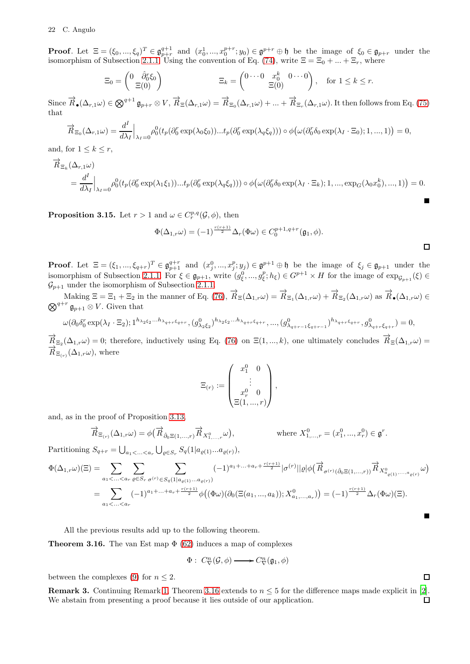**Proof.** Let  $\Xi = (\xi_0, ..., \xi_q)^T \in \mathfrak{g}_{p+r}^{q+1}$  and  $(x_0^1, ..., x_0^{p+r}; y_0) \in \mathfrak{g}_{p+r}^{p+r} \oplus \mathfrak{h}$  be the image of  $\xi_0 \in \mathfrak{g}_{p+r}$  under the isomorphism of Subsection [2.1.1.](#page-3-2) Using the convention of Eq. [\(74\)](#page-19-1), write  $\Xi = \Xi_0 + ... + \Xi_r$ , where

$$
\Xi_0 = \begin{pmatrix} 0 & \hat{\partial}_0^r \xi_0 \\ \Xi(0) & \end{pmatrix} \qquad \qquad \Xi_k = \begin{pmatrix} 0 \cdots 0 & x_0^k & 0 \cdots 0 \\ \Xi(0) & \end{pmatrix}, \quad \text{for } 1 \le k \le r.
$$

Since  $\overrightarrow{R}_{\bullet}(\Delta_{r,1}\omega) \in \bigotimes^{q+1} \mathfrak{g}_{p+r} \otimes V$ ,  $\overrightarrow{R}_{\Xi}(\Delta_{r,1}\omega) = \overrightarrow{R}_{\Xi_0}(\Delta_{r,1}\omega) + ... + \overrightarrow{R}_{\Xi_r}(\Delta_{r,1}\omega)$ . It then follows from Eq. [\(75\)](#page-19-0) that

$$
\overrightarrow{R}_{\Xi_0}(\Delta_{r,1}\omega) = \frac{d^I}{d\lambda_I}\Big|_{\lambda_I=0} \rho_0^0(t_p(\partial_0^r \exp(\lambda_0\xi_0))...t_p(\partial_0^r \exp(\lambda_q\xi_q))) \circ \phi\big(\omega(\partial_0^r \delta_0 \exp(\lambda_I \cdot \Xi_0); 1,...,1)\big) = 0,
$$

and, for  $1 \leq k \leq r$ ,

$$
\begin{split} \overrightarrow{R}_{\Xi_k}(\Delta_{r,1}\omega) \\ & \quad = \frac{d^I}{d\lambda_I}\Big|_{\lambda_I=0} \rho_0^0(t_p(\partial_0^r\exp(\lambda_1\xi_1))...t_p(\partial_0^r\exp(\lambda_q\xi_q)))\circ \phi\big(\omega(\partial_0^r\delta_0\exp(\lambda_I\cdot\Xi_k);1,...,\exp_G(\lambda_0x_0^k),...,1)\big) = 0. \end{split}
$$

**Proposition 3.15.** Let  $r > 1$  and  $\omega \in C_r^{p,q}(\mathcal{G}, \phi)$ , then

$$
\Phi(\Delta_{1,r}\omega) = (-1)^{\frac{r(r+1)}{2}} \Delta_r(\Phi \omega) \in C_0^{p+1,q+r}(\mathfrak{g}_1, \phi).
$$

**Proof.** Let  $\Xi = (\xi_1, ..., \xi_{q+r})^T \in \mathfrak{g}_{p+1}^{q+r}$  and  $(x_j^0, ..., x_j^p; y_j) \in \mathfrak{g}_{p+1}^p \oplus \mathfrak{h}$  be the image of  $\xi_j \in \mathfrak{g}_{p+1}$  under the isomorphism of Subsection [2.1.1.](#page-3-2) For  $\xi \in \mathfrak{g}_{p+1}$ , write  $(g_{\xi}^0, ..., g_{\xi}^p; h_{\xi}) \in G^{p+1} \times H$  for the image of  $\exp_{\mathcal{G}_{p+1}}(\xi) \in$  $\mathcal{G}_{p+1}$  under the isomorphism of Subsection [2.1.1.](#page-3-2)

Making  $\Xi = \Xi_1 + \Xi_2$  in the manner of Eq. [\(76\)](#page-20-0),  $\vec{R}_{\Xi}(\Delta_{1,r}\omega) = \vec{R}_{\Xi_1}(\Delta_{1,r}\omega) + \vec{R}_{\Xi_2}(\Delta_{1,r}\omega)$  as  $\vec{R}_{\bullet}(\Delta_{1,r}\omega) \in$  $\bigotimes^{q+r} \mathfrak{g}_{p+1} \otimes V$ . Given that

$$
\omega(\partial_0 \delta_0^r \exp(\lambda_I \cdot \Xi_2); 1^{h_{\lambda_2 \xi_2} \dots h_{\lambda_{q+r} \xi_{q+r}}}, (g^0_{\lambda_2 \xi_2})^{h_{\lambda_2 \xi_2} \dots h_{\lambda_{q+r} \xi_{q+r}}}, \dots, (g^0_{\lambda_{q+r-1} \xi_{q+r-1}})^{h_{\lambda_{q+r} \xi_{q+r}}}, g^0_{\lambda_{q+r} \xi_{q+r}}) = 0,
$$

 $\overrightarrow{R}_{\Xi_2}(\Delta_{1,r}\omega) = 0$ ; therefore, inductively using Eq. [\(76\)](#page-20-0) on  $\Xi(1,...,k)$ , one ultimately concludes  $\overrightarrow{R}_{\Xi}(\Delta_{1,r}\omega) =$  $\overrightarrow{R}_{\Xi_{(r)}}(\Delta_{1,r}\omega)$ , where

$$
\Xi_{(r)} := \begin{pmatrix} x_1^0 & 0 \\ \vdots & \vdots \\ x_r^0 & 0 \\ \Xi(1, \ldots, r) \end{pmatrix},
$$

and, as in the proof of Proposition [3.13,](#page-19-2)

$$
\overrightarrow{R}_{\Xi_{(r)}}(\Delta_{1,r}\omega) = \phi\left(\overrightarrow{R}_{\hat{\partial}_0\Xi(1,\ldots,r)}\overrightarrow{R}_{X^0_{1,\ldots,r}}\omega\right), \qquad \text{where } X^0_{1,\ldots,r} = (x^0_1,\ldots,x^0_r) \in \mathfrak{g}^r.
$$

Partitioning  $S_{q+r} = \bigcup_{a_1 < \ldots < a_r} \bigcup_{\varrho \in S_r} S_q(1|a_{\varrho(1)}...a_{\varrho(r)}),$ 

$$
\Phi(\Delta_{1,r}\omega)(\Xi) = \sum_{a_1 < \ldots < a_r} \sum_{\varrho \in S_r} \sum_{\sigma^{(r)} \in S_q(1|a_{\varrho(1)}\ldots a_{\varrho(r)})} (-1)^{a_1 + \ldots + a_r + \frac{r(r+1)}{2}} |\sigma^{(r)}||\varrho|\phi(\overrightarrow{R}_{\sigma^{(r)}(\hat{\partial}_0 \Xi(1,\ldots,r))} \overrightarrow{R}_{X^0_{\alpha_{\varrho(1)}},\ldots,\alpha_{\varrho(r)}} \omega)
$$
\n
$$
= \sum_{a_1 < \ldots < a_r} (-1)^{a_1 + \ldots + a_r + \frac{r(r+1)}{2}} \phi\big((\Phi\omega)(\partial_0(\Xi(a_1,\ldots,a_k));X^0_{a_1,\ldots,a_r})\big) = (-1)^{\frac{r(r+1)}{2}} \Delta_r(\Phi\omega)(\Xi).
$$

All the previous results add up to the following theorem.

<span id="page-21-0"></span>**Theorem 3.16.** The van Est map  $\Phi$  [\(62\)](#page-12-1) induces a map of complexes

$$
\Phi: C_{\nabla}^n(\mathcal{G}, \phi) \longrightarrow C_{\nabla}^n(\mathfrak{g}_1, \phi)
$$

between the complexes [\(9\)](#page-2-0) for  $n \leq 2$ .

**Remark 3.** Continuing Remark [1,](#page-10-3) Theorem [3.16](#page-21-0) extends to  $n \leq 5$  for the difference maps made explicit in [\[2\]](#page-31-5). We abstain from presenting a proof because it lies outside of our application. $\Box$ 

 $\Box$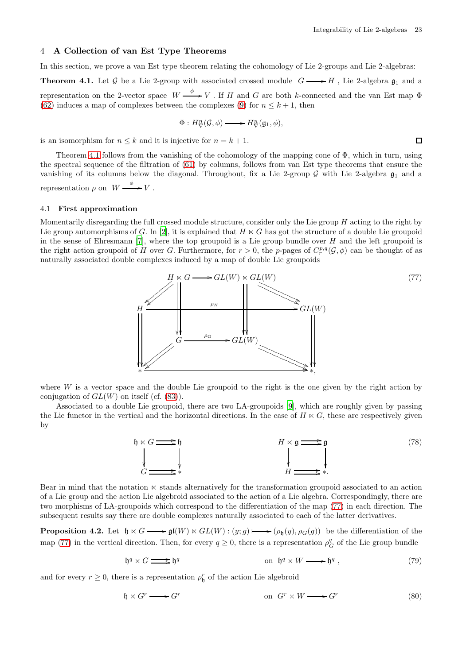<span id="page-22-2"></span> $\Box$ 

# <span id="page-22-0"></span>4 A Collection of van Est Type Theorems

<span id="page-22-1"></span>In this section, we prove a van Est type theorem relating the cohomology of Lie 2-groups and Lie 2-algebras: **Theorem 4.1.** Let G be a Lie 2-group with associated crossed module  $G \longrightarrow H$ , Lie 2-algebra  $\mathfrak{g}_1$  and a representation on the 2-vector space  $W \xrightarrow{\phi} V$ . If H and G are both k-connected and the van Est map  $\Phi$ [\(62\)](#page-12-1) induces a map of complexes between the complexes [\(9\)](#page-2-0) for  $n \leq k+1$ , then

$$
\Phi: H^n_\nabla({\mathcal G},\phi) \longrightarrow H^n_\nabla({\mathfrak g}_1,\phi),
$$

is an isomorphism for  $n \leq k$  and it is injective for  $n = k + 1$ .

Theorem [4.1](#page-22-1) follows from the vanishing of the cohomology of the mapping cone of  $\Phi$ , which in turn, using the spectral sequence of the filtration of [\(61\)](#page-11-0) by columns, follows from van Est type theorems that ensure the vanishing of its columns below the diagonal. Throughout, fix a Lie 2-group  $\mathcal G$  with Lie 2-algebra  $\mathfrak g_1$  and a representation  $\rho$  on  $W \xrightarrow{\phi} V$ .

#### <span id="page-22-6"></span>4.1 First approximation

Momentarily disregarding the full crossed module structure, consider only the Lie group  $H$  acting to the right by Lie group automorphisms of G. In [\[2\]](#page-31-5), it is explained that  $H \ltimes G$  has got the structure of a double Lie groupoid in the sense of Ehresmann  $[7]$ , where the top groupoid is a Lie group bundle over H and the left groupoid is the right action groupoid of H over G. Furthermore, for  $r > 0$ , the p-pages of  $C_r^{p,q}(\mathcal{G}, \phi)$  can be thought of as naturally associated double complexes induced by a map of double Lie groupoids



where  $W$  is a vector space and the double Lie groupoid to the right is the one given by the right action by conjugation of  $GL(W)$  on itself (cf. [\(83\)](#page-24-0)).

Associated to a double Lie groupoid, there are two LA-groupoids [\[9](#page-31-11)], which are roughly given by passing the Lie functor in the vertical and the horizontal directions. In the case of  $H \ltimes G$ , these are respectively given by

<span id="page-22-7"></span>

Bear in mind that the notation ⋉ stands alternatively for the transformation groupoid associated to an action of a Lie group and the action Lie algebroid associated to the action of a Lie algebra. Correspondingly, there are two morphisms of LA-groupoids which correspond to the differentiation of the map [\(77\)](#page-22-2) in each direction. The subsequent results say there are double complexes naturally associated to each of the latter derivatives.

<span id="page-22-5"></span>**Proposition 4.2.** Let  $\mathfrak{h} \ltimes G \longrightarrow \mathfrak{gl}(W) \ltimes GL(W) : (y; g) \longmapsto (\rho_{\mathfrak{h}}(y), \rho_{G}(g))$  be the differentiation of the map [\(77\)](#page-22-2) in the vertical direction. Then, for every  $q \ge 0$ , there is a representation  $\rho_G^q$  of the Lie group bundle

<span id="page-22-3"></span>
$$
\mathfrak{h}^q \times G \longrightarrow \mathfrak{h}^q \qquad \text{on } \mathfrak{h}^q \times W \longrightarrow \mathfrak{h}^q , \tag{79}
$$

and for every  $r \geq 0$ , there is a representation  $\rho_{\mathfrak{h}}^r$  of the action Lie algebroid

<span id="page-22-4"></span>
$$
\mathfrak{h} \ltimes G^r \longrightarrow G^r \qquad \text{on } G^r \times W \longrightarrow G^r \tag{80}
$$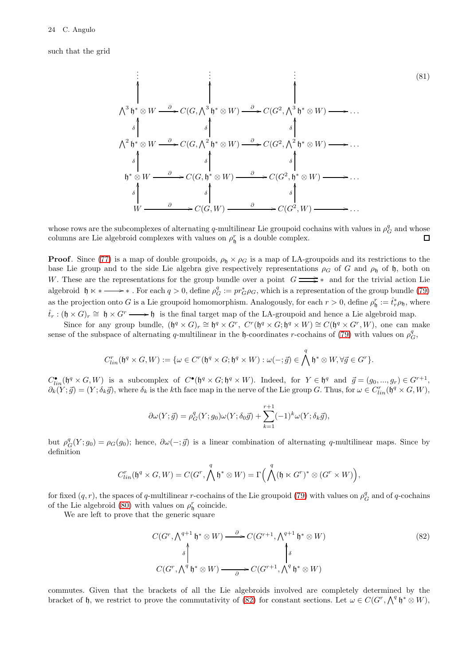such that the grid

<span id="page-23-1"></span>
$$
\begin{array}{c}\n\vdots \\
\uparrow \\
\uparrow \\
\uparrow \\
\uparrow \\
\uparrow \\
\uparrow \\
\uparrow \\
\uparrow \\
\uparrow \\
\downarrow \\
\uparrow \\
\uparrow \\
\downarrow \\
\uparrow \\
\downarrow \\
\uparrow \\
\downarrow \\
\uparrow \\
\downarrow \\
\uparrow \\
\downarrow \\
\uparrow \\
\downarrow \\
\uparrow \\
\downarrow \\
\uparrow \\
\downarrow \\
\uparrow \\
\uparrow \\
\downarrow \\
\downarrow \\
\uparrow \\
\uparrow \\
\downarrow \\
\downarrow \\
\uparrow \\
\uparrow \\
\downarrow \\
\uparrow \\
\downarrow \\
\uparrow \\
\uparrow \\
\downarrow \\
\uparrow \\
\uparrow \\
\downarrow \\
\uparrow \\
\uparrow \\
\downarrow \\
\uparrow \\
\uparrow \\
\uparrow \\
\downarrow \\
\uparrow \\
\uparrow \\
\uparrow \\
\downarrow \\
\uparrow \\
\uparrow \\
\downarrow \\
\uparrow \\
\uparrow \\
\downarrow \\
\uparrow \\
\uparrow \\
\downarrow \\
\uparrow \\
\uparrow \\
\uparrow \\
\downarrow \\
\uparrow \\
\uparrow \\
\uparrow \\
\uparrow \\
\downarrow \\
\uparrow \\
\uparrow \\
\uparrow \\
\downarrow \\
\uparrow \\
\uparrow \\
\uparrow \\
\downarrow \\
\uparrow \\
\uparrow \\
\uparrow \\
\downarrow \\
\uparrow \\
\uparrow \\
\downarrow \\
\uparrow \\
\downarrow \\
\uparrow \\
\downarrow \\
\uparrow \\
\downarrow \\
\uparrow \\
\downarrow \\
\uparrow \\
\downarrow \\
\uparrow \\
\downarrow \\
\uparrow \\
\downarrow \\
\uparrow \\
\downarrow \\
\uparrow \\
\downarrow \\
\uparrow \\
\downarrow \\
\uparrow \\
\downarrow \\
\uparrow \\
\downarrow \\
\uparrow \\
\downarrow \\
\uparrow \\
\downarrow \\
\uparrow \\
\downarrow \\
\uparrow \\
\downarrow \\
\uparrow \\
\downarrow \\
\uparrow \\
\downarrow \\
\uparrow \\
\downarrow \\
\uparrow \\
\downarrow \\
\downarrow \\
\downarrow \\
\downarrow \\
\uparrow \\
\downarrow \\
\downarrow \\
\uparrow \\
\downarrow \\
\downarrow \\
\uparrow \\
\downarrow \\
\downarrow \\
\uparrow \\
\downarrow \\
\uparrow \\
\downarrow \\
\uparrow \\
\downarrow \\
\uparrow \\
\downarrow \\
\uparrow \\
\downarrow \\
\uparrow \\
\downarrow \\
\uparrow \\
\downarrow \\
\uparrow \\
\downarrow \\
\uparrow \\
\downarrow \\
\uparrow \\
\downarrow \\
\uparrow \\
\downarrow \\
\uparrow \\
\downarrow \\
\uparrow \\
\downarrow \\
\uparrow \\
\downarrow \\
\uparrow \\
\downarrow \\
\uparrow \\
\downarrow \\
\uparrow \\
\downarrow \\
\uparrow \\
\downarrow \\
\uparrow \\
\downarrow \\
\uparrow \\
\downarrow \\
\uparrow \\
\downarrow \\
\uparrow \\
\downarrow \\
\uparrow \\
$$

whose rows are the subcomplexes of alternating q-multilinear Lie groupoid cochains with values in  $\rho_G^q$  and whose columns are Lie algebroid complexes with values on  $\rho_{\mathfrak{h}}^r$  is a double complex.

**Proof.** Since [\(77\)](#page-22-2) is a map of double groupoids,  $\rho_{\mathfrak{h}} \times \rho_G$  is a map of LA-groupoids and its restrictions to the base Lie group and to the side Lie algebra give respectively representations  $\rho_G$  of G and  $\rho_{\mathfrak{h}}$  of h, both on W. These are the representations for the group bundle over a point  $G \longrightarrow^*$  and for the trivial action Lie algebroid  $\mathfrak{h} \lt \ast \longrightarrow \ast$ . For each  $q > 0$ , define  $\rho_G^q := pr_G^* \rho_G$ , which is a representation of the group bundle [\(79\)](#page-22-3) as the projection onto G is a Lie groupoid homomorphism. Analogously, for each  $r > 0$ , define  $\rho_{\mathfrak{h}}^r := \hat{t}_r^* \rho_{\mathfrak{h}}$ , where  $\hat{t}_r : (\mathfrak{h} \times G)_r \cong \mathfrak{h} \times G^r \longrightarrow \mathfrak{h}$  is the final target map of the LA-groupoid and hence a Lie algebroid map.

Since for any group bundle,  $(\mathfrak{h}^q \times G)_r \cong \mathfrak{h}^q \times G^r$ ,  $C^r(\mathfrak{h}^q \times G; \mathfrak{h}^q \times W) \cong C(\mathfrak{h}^q \times G^r, W)$ , one can make sense of the subspace of alternating q-multilinear in the h-coordinates r-cochains of [\(79\)](#page-22-3) with values on  $\rho_G^q$ ,

$$
C_{lin}^r(\mathfrak{h}^q \times G, W) := \{ \omega \in C^r(\mathfrak{h}^q \times G; \mathfrak{h}^q \times W) : \omega(-; \vec{g}) \in \bigwedge^q \mathfrak{h}^* \otimes W, \forall \vec{g} \in G^r \}.
$$

 $C_{lin}^{\bullet}(\mathfrak{h}^q \times G, W)$  is a subcomplex of  $C^{\bullet}(\mathfrak{h}^q \times G; \mathfrak{h}^q \times W)$ . Indeed, for  $Y \in \mathfrak{h}^q$  and  $\vec{g} = (g_0, ..., g_r) \in G^{r+1}$ ,  $\partial_k(Y;\vec{g}) = (Y;\delta_k\vec{g})$ , where  $\delta_k$  is the kth face map in the nerve of the Lie group G. Thus, for  $\omega \in C_{lin}^r(\mathfrak{h}^q \times G, W)$ ,

$$
\partial \omega(Y; \vec{g}) = \rho_G^q(Y; g_0)\omega(Y; \delta_0 \vec{g}) + \sum_{k=1}^{r+1} (-1)^k \omega(Y; \delta_k \vec{g}),
$$

but  $\rho_G^q(Y; g_0) = \rho_G(g_0)$ ; hence,  $\partial \omega(-; \vec{g})$  is a linear combination of alternating q-multilinear maps. Since by definition

$$
C^r_{lin}(\mathfrak{h}^q\times G,W)=C(G^r,\bigwedge^q\mathfrak{h}^*\otimes W)=\Gamma\Big(\bigwedge^q(\mathfrak{h}\ltimes G^r)^*\otimes (G^r\times W)\Big),
$$

for fixed  $(q, r)$ , the spaces of q-multilinear r-cochains of the Lie groupoid [\(79\)](#page-22-3) with values on  $\rho_G^q$  and of q-cochains of the Lie algebroid [\(80\)](#page-22-4) with values on  $\rho_{\mathfrak{h}}^r$  coincide.

We are left to prove that the generic square

<span id="page-23-0"></span>
$$
C(G^r, \bigwedge^{q+1} \mathfrak{h}^* \otimes W) \xrightarrow{\partial} C(G^{r+1}, \bigwedge^{q+1} \mathfrak{h}^* \otimes W)
$$
  
\n
$$
\uparrow \qquad \qquad \uparrow
$$
  
\n
$$
C(G^r, \bigwedge^q \mathfrak{h}^* \otimes W) \xrightarrow{\partial} C(G^{r+1}, \bigwedge^q \mathfrak{h}^* \otimes W)
$$
  
\n(82)

commutes. Given that the brackets of all the Lie algebroids involved are completely determined by the bracket of h, we restrict to prove the commutativity of [\(82\)](#page-23-0) for constant sections. Let  $\omega \in C(G^r, \bigwedge^q \mathfrak{h}^* \otimes W)$ ,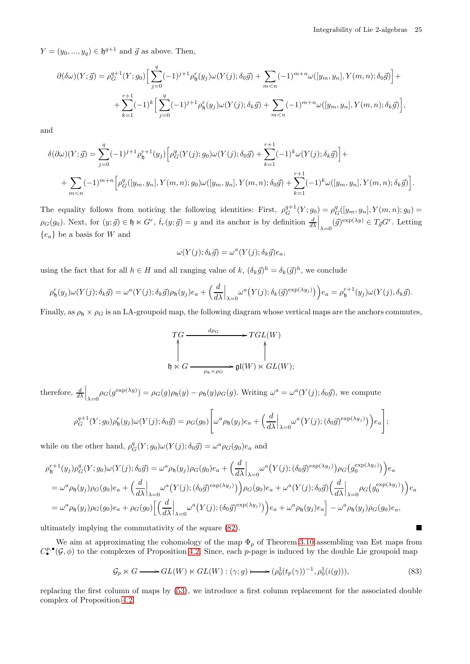Integrability of Lie 2-algebras 25

 $Y = (y_0, ..., y_q) \in \mathfrak{h}^{q+1}$  and  $\vec{g}$  as above. Then,

$$
\partial(\delta\omega)(Y;\vec{g}) = \rho_G^{q+1}(Y;g_0) \Big[ \sum_{j=0}^q (-1)^{j+1} \rho_{\mathfrak{h}}^r(y_j) \omega(Y(j);\delta_0 \vec{g}) + \sum_{m < n} (-1)^{m+n} \omega([y_m, y_n], Y(m, n); \delta_0 \vec{g}) \Big] + \\ + \sum_{k=1}^{r+1} (-1)^k \Big[ \sum_{j=0}^q (-1)^{j+1} \rho_{\mathfrak{h}}^r(y_j) \omega(Y(j);\delta_k \vec{g}) + \sum_{m < n} (-1)^{m+n} \omega([y_m, y_n], Y(m, n); \delta_k \vec{g}) \Big],
$$

and

$$
\delta(\partial \omega)(Y; \vec{g}) = \sum_{j=0}^{q} (-1)^{j+1} \rho_{\mathfrak{h}}^{r+1}(y_j) \left[ \rho_G^q(Y(j); g_0) \omega(Y(j); \delta_0 \vec{g}) + \sum_{k=1}^{r+1} (-1)^k \omega(Y(j); \delta_k \vec{g}) \right] +
$$
  
+ 
$$
\sum_{m \leq n} (-1)^{m+n} \left[ \rho_G^q([y_m, y_n], Y(m, n); g_0) \omega([y_m, y_n], Y(m, n); \delta_0 \vec{g}) + \sum_{k=1}^{r+1} (-1)^k \omega([y_m, y_n], Y(m, n); \delta_k \vec{g}) \right].
$$

The equality follows from noticing the following identities: First,  $\rho_G^{q+1}(Y; g_0) = \rho_G^q([y_m, y_n], Y(m, n); g_0) =$  $\rho_G(g_0)$ . Next, for  $(y; \vec{g}) \in \mathfrak{h} \ltimes G^r$ ,  $\hat{t}_r(y; \vec{g}) = y$  and its anchor is by definition  $\frac{d}{d\lambda}\Big|_{\lambda=0} (\vec{g})^{\exp(\lambda y)} \in T_{\vec{g}}G^r$ . Letting  ${e_a}$  be a basis for W and

$$
\omega(Y(j);\delta_k \vec{g}) = \omega^a(Y(j);\delta_k \vec{g})e_a,
$$

using the fact that for all  $h \in H$  and all ranging value of  $k$ ,  $(\delta_k \vec{g})^h = \delta_k(\vec{g})^h$ , we conclude

$$
\rho_{\mathfrak{h}}^r(y_j)\omega(Y(j);\delta_k\vec{g}) = \omega^a(Y(j);\delta_k\vec{g})\rho_{\mathfrak{h}}(y_j)e_a + \left(\frac{d}{d\lambda}\Big|_{\lambda=0}\omega^a(Y(j);\delta_k(\vec{g})^{\exp(\lambda y_j)})\right)e_a = \rho_{\mathfrak{h}}^{r+1}(y_j)\omega(Y(j),\delta_k\vec{g}).
$$

Finally, as  $\rho_0 \times \rho_G$  is an LA-groupoid map, the following diagram whose vertical maps are the anchors commutes,

$$
\begin{array}{ccc}\nT_G & \xrightarrow{d_{\rho_G}} & TGL(W) \\
\uparrow & & \uparrow \\
\uparrow & & \uparrow \\
\uparrow & & \uparrow \\
\uparrow & & \uparrow \\
\uparrow & & \uparrow \\
\uparrow & & \uparrow \\
\uparrow & & \uparrow \\
\uparrow & & \uparrow \\
\uparrow & & \uparrow \\
\uparrow & & \uparrow \\
\uparrow & & \uparrow \\
\uparrow & & \uparrow \\
\uparrow & & \uparrow \\
\uparrow & & \uparrow \\
\uparrow & & \uparrow \\
\uparrow & & \uparrow \\
\uparrow & & \uparrow \\
\uparrow & & \uparrow \\
\uparrow & & \uparrow \\
\uparrow & & \uparrow \\
\uparrow & & \uparrow \\
\uparrow & & \uparrow \\
\uparrow & & \uparrow \\
\uparrow & & \uparrow \\
\uparrow & & \uparrow \\
\uparrow & & \uparrow \\
\uparrow & & \uparrow \\
\uparrow & & \uparrow \\
\uparrow & & \uparrow \\
\uparrow & & \uparrow \\
\uparrow & & \uparrow \\
\uparrow & & \uparrow \\
\uparrow & & \uparrow \\
\uparrow & & \uparrow \\
\uparrow & & \uparrow \\
\uparrow & & \uparrow \\
\uparrow & & \uparrow \\
\uparrow & & \uparrow \\
\uparrow & & \uparrow \\
\uparrow & & \uparrow \\
\uparrow & & \uparrow \\
\uparrow & & \uparrow \\
\uparrow & & \uparrow \\
\uparrow & & \uparrow \\
\uparrow & & \uparrow \\
\uparrow & & \uparrow \\
\uparrow & & \uparrow \\
\uparrow & & \uparrow \\
\uparrow & & \uparrow \\
\uparrow & & \uparrow \\
\uparrow & & \uparrow \\
\uparrow & & \uparrow \\
\uparrow & & \uparrow \\
\uparrow & & \uparrow \\
\uparrow & & \uparrow \\
\uparrow & & \uparrow \\
\
$$

therefore,  $\frac{d}{d\lambda}\Big|_{\lambda=0} \rho_G(g^{\exp(\lambda y)}) = \rho_G(g)\rho_{\mathfrak{h}}(y) - \rho_{\mathfrak{h}}(y)\rho_G(g)$ . Writing  $\omega^a = \omega^a(Y(j);\delta_0\vec{g})$ , we compute

$$
\rho_G^{q+1}(Y;g_0)\rho_{\mathfrak{h}}^r(y_j)\omega(Y(j);\delta_0\vec{g})=\rho_G(g_0)\Bigg[\omega^a\rho_{\mathfrak{h}}(y_j)e_a+\Big(\frac{d}{d\lambda}\Big|_{\lambda=0}\omega^a\big(Y(j);(\delta_0\vec{g})^{\exp(\lambda y_j)}\big)\Big)e_a\Bigg];
$$

while on the other hand,  $\rho_G^q(Y; g_0)\omega(Y(j);\delta_0\vec{g}) = \omega^a \rho_G(g_0)e_a$  and

$$
\rho_{\mathfrak{h}}^{r+1}(y_j)\rho_G^q(Y;g_0)\omega(Y(j);\delta_0\vec{g}) = \omega^a\rho_{\mathfrak{h}}(y_j)\rho_G(g_0)e_a + \left(\frac{d}{d\lambda}\Big|_{\lambda=0}\omega^a(Y(j);(\delta_0\vec{g})^{\exp(\lambda y_j)})\rho_G(g_0^{\exp(\lambda y_j)})\right)e_a
$$
  
\n
$$
= \omega^a\rho_{\mathfrak{h}}(y_j)\rho_G(g_0)e_a + \left(\frac{d}{d\lambda}\Big|_{\lambda=0}\omega^a(Y(j);(\delta_0\vec{g})^{\exp(\lambda y_j)})\right)\rho_G(g_0)e_a + \omega^a(Y(j);\delta_0\vec{g})\left(\frac{d}{d\lambda}\Big|_{\lambda=0}\rho_G(g_0^{\exp(\lambda y_j)})\right)e_a
$$
  
\n
$$
= \omega^a\rho_{\mathfrak{h}}(y_j)\rho_G(g_0)e_a + \rho_G(g_0)\left[\left(\frac{d}{d\lambda}\Big|_{\lambda=0}\omega^a(Y(j);(\delta_0\vec{g})^{\exp(\lambda y_j)})\right)e_a + \omega^a\rho_{\mathfrak{h}}(y_j)e_a\right] - \omega^a\rho_{\mathfrak{h}}(y_j)\rho_G(g_0)e_a,
$$

ultimately implying the commutativity of the square [\(82\)](#page-23-0).

We aim at approximating the cohomology of the map  $\Phi_p$  of Theorem [3.10](#page-18-2) assembling van Est maps from  $C^{p,\bullet}_{\bullet}(\mathcal{G},\phi)$  to the complexes of Proposition [4.2.](#page-22-5) Since, each p-page is induced by the double Lie groupoid map

<span id="page-24-0"></span>
$$
\mathcal{G}_p \ltimes G \longrightarrow GL(W) \ltimes GL(W) : (\gamma; g) \longmapsto (\rho_0^1(t_p(\gamma))^{-1}, \rho_0^1(i(g))), \tag{83}
$$

replacing the first column of maps by [\(53\)](#page-9-3), we introduce a first column replacement for the associated double complex of Proposition [4.2.](#page-22-5)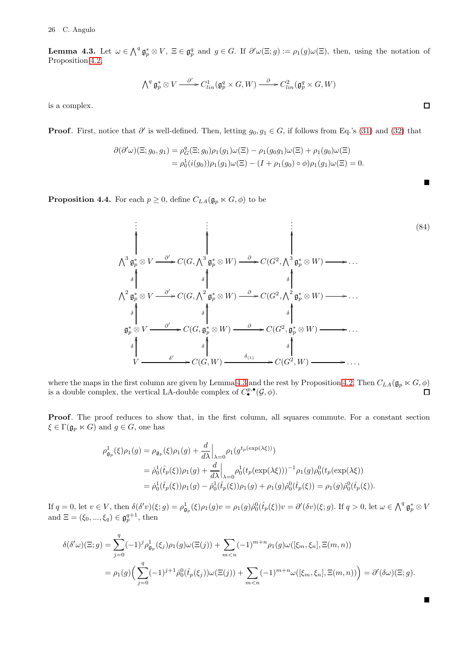<span id="page-25-0"></span>**Lemma 4.3.** Let  $\omega \in \bigwedge^q \mathfrak{g}_p^* \otimes V$ ,  $\Xi \in \mathfrak{g}_p^q$  and  $g \in G$ . If  $\partial' \omega(\Xi; g) := \rho_1(g) \omega(\Xi)$ , then, using the notation of Proposition [4.2,](#page-22-5)

$$
\bigwedge\nolimits^q \mathfrak{g}_p^* \otimes V \xrightarrow{\partial'} C^1_{lin}(\mathfrak{g}_p^q \times G,W) \xrightarrow{\partial} C^2_{lin}(\mathfrak{g}_p^q \times G,W)
$$

is a complex.

**Proof.** First, notice that  $\partial'$  is well-defined. Then, letting  $g_0, g_1 \in G$ , if follows from Eq.'s [\(31\)](#page-5-5) and [\(32\)](#page-5-6) that

$$
\partial(\partial'\omega)(\Xi;g_0,g_1) = \rho_G^q(\Xi;g_0)\rho_1(g_1)\omega(\Xi) - \rho_1(g_0g_1)\omega(\Xi) + \rho_1(g_0)\omega(\Xi)
$$
  
= 
$$
\rho_0^1(i(g_0))\rho_1(g_1)\omega(\Xi) - (I + \rho_1(g_0) \circ \phi)\rho_1(g_1)\omega(\Xi) = 0.
$$

**Proposition 4.4.** For each  $p \ge 0$ , define  $C_{LA}(\mathfrak{g}_p \ltimes G, \phi)$  to be

. . . . . . . . . V3 g ∗ <sup>p</sup> ⊗ V ∂ ′ / OO C(G, V<sup>3</sup> g ∗ <sup>p</sup> ⊗ W) <sup>∂</sup> / OO C(G<sup>2</sup> , V3 g ∗ <sup>p</sup> ⊗ W) / OO . . . V2 g ∗ <sup>p</sup> ⊗ V ∂ ′ / δ OO C(G, V<sup>2</sup> g ∗ <sup>p</sup> ⊗ W) <sup>∂</sup> / δ OO C(G<sup>2</sup> , V2 g ∗ <sup>p</sup> ⊗ W) / δ OO . . . g ∗ <sup>p</sup> ⊗ V ∂ ′ / δ OO C(G, g ∗ <sup>p</sup> ⊗ W) <sup>∂</sup> / δ OO C(G<sup>2</sup> , g ∗ <sup>p</sup> ⊗ W) / δ OO . . . V δ ′ / δ OO C(G, W) δ(1) / δ OO C(G<sup>2</sup> , W) / δ OO . . . , (84)

where the maps in the first column are given by Lemma [4.3](#page-25-0) and the rest by Proposition [4.2.](#page-22-5) Then  $C_{LA}(\mathfrak{g}_p \ltimes G, \phi)$ is a double complex, the vertical LA-double complex of  $C^{p,\bullet}_{\bullet}(\mathcal{G},\phi)$ .

Proof. The proof reduces to show that, in the first column, all squares commute. For a constant section  $\xi \in \Gamma(\mathfrak{g}_p \ltimes G)$  and  $g \in G$ , one has

$$
\rho_{\mathfrak{g}_p}^1(\xi)\rho_1(g) = \rho_{\mathfrak{g}_p}(\xi)\rho_1(g) + \frac{d}{d\lambda}\Big|_{\lambda=0} \rho_1(g^{t_p(\exp(\lambda\xi))})
$$
  
\n
$$
= \dot{\rho}_0^1(\hat{t}_p(\xi))\rho_1(g) + \frac{d}{d\lambda}\Big|_{\lambda=0} \rho_0^1(t_p(\exp(\lambda\xi)))^{-1} \rho_1(g)\rho_0^0(t_p(\exp(\lambda\xi)))
$$
  
\n
$$
= \dot{\rho}_0^1(\hat{t}_p(\xi))\rho_1(g) - \dot{\rho}_0^1(\hat{t}_p(\xi))\rho_1(g) + \rho_1(g)\dot{\rho}_0^0(\hat{t}_p(\xi)) = \rho_1(g)\dot{\rho}_0^0(\hat{t}_p(\xi)).
$$

If  $q = 0$ , let  $v \in V$ , then  $\delta(\delta'v)(\xi; g) = \rho_{\mathfrak{g}_p}^1(\xi)\rho_1(g)v = \rho_1(g)\dot{\rho}_0^0(\hat{t}_p(\xi))v = \partial'(\delta v)(\xi; g)$ . If  $q > 0$ , let  $\omega \in \bigwedge^q \mathfrak{g}_p^* \otimes V$ and  $\Xi = (\xi_0, ..., \xi_q) \in \mathfrak{g}_{p}^{q+1}$ , then

$$
\delta(\delta'\omega)(\Xi;g) = \sum_{j=0}^{q} (-1)^{j} \rho_{\mathfrak{g}_{p}}^{1}(\xi_{j})\rho_{1}(g)\omega(\Xi(j)) + \sum_{m  
= 
$$
\rho_{1}(g) \Big(\sum_{j=0}^{q} (-1)^{j+1} \rho_{0}^{0}(\hat{t}_{p}(\xi_{j}))\omega(\Xi(j)) + \sum_{m
$$
$$

 $\Box$ 

<span id="page-25-1"></span>П

 $\blacksquare$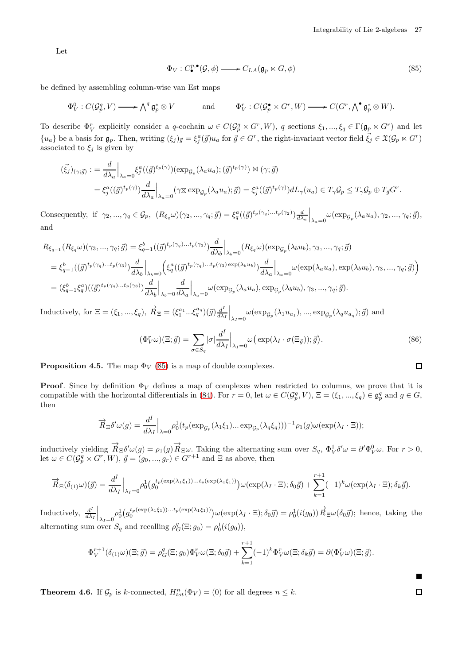Let

<span id="page-26-0"></span>
$$
\Phi_V : C^{p,\bullet}_\bullet(\mathcal{G}, \phi) \longrightarrow C_{LA}(\mathfrak{g}_p \ltimes G, \phi) \tag{85}
$$

be defined by assembling column-wise van Est maps

$$
\Phi_V^0: C(\mathcal{G}_p^q, V) \longrightarrow \bigwedge^q \mathfrak{g}_p^* \otimes V \qquad \text{and} \qquad \Phi_V^r: C(\mathcal{G}_p^{\bullet} \times G^r, W) \longrightarrow C(G^r, \bigwedge^{\bullet} \mathfrak{g}_p^* \otimes W).
$$

To describe  $\Phi_V^r$  explicitly consider a q-cochain  $\omega \in C(\mathcal{G}_p^q \times G^r, W)$ , q sections  $\xi_1, ..., \xi_q \in \Gamma(\mathfrak{g}_p \ltimes G^r)$  and let  ${u_a}$  be a basis for  $\mathfrak{g}_p$ . Then, writing  $(\xi_j)_{\vec{g}} = \xi_j^a(\vec{g})u_a$  for  $\vec{g} \in G^r$ , the right-invariant vector field  $\vec{\xi_j} \in \mathfrak{X}(\mathcal{G}_p \ltimes G^r)$ associated to  $\xi_j$  is given by

$$
(\vec{\xi_j})_{(\gamma;\vec{g})} := \frac{d}{d\lambda_a} \Big|_{\lambda_a=0} \xi_j^a ((\vec{g})^{t_p(\gamma)}) (\exp_{\mathcal{G}_p}(\lambda_a u_a); (\vec{g})^{t_p(\gamma)}) \bowtie (\gamma;\vec{g})
$$
  

$$
= \xi_j^a ((\vec{g})^{t_p(\gamma)}) \frac{d}{d\lambda_a} \Big|_{\lambda_a=0} (\gamma \Sigma \exp_{\mathcal{G}_p}(\lambda_a u_a); \vec{g}) = \xi_j^a ((\vec{g})^{t_p(\gamma)}) dL_{\gamma}(u_a) \in T_{\gamma} \mathcal{G}_p \subseteq T_{\gamma} \mathcal{G}_p \oplus T_{\vec{g}} G^r.
$$

Consequently, if  $\gamma_2, ..., \gamma_q \in \mathcal{G}_p$ ,  $(R_{\xi_q}\omega)(\gamma_2, ..., \gamma_q; \vec{g}) = \xi_q^a((\vec{g})^{t_p(\gamma_q)...t_p(\gamma_2)})\frac{d}{d\lambda_a}\Big|_{\lambda_a=0} \omega(\exp_{\mathcal{G}_p}(\lambda_a u_a), \gamma_2, ..., \gamma_q; \vec{g}),$ and

$$
R_{\xi_{q-1}}(R_{\xi_q}\omega)(\gamma_3, ..., \gamma_q; \vec{g}) = \xi_{q-1}^b((\vec{g})^{t_p(\gamma_q)...t_p(\gamma_3)})\frac{d}{d\lambda_b}\Big|_{\lambda_b=0}(R_{\xi_q}\omega)(\exp_{\mathcal{G}_p}(\lambda_b u_b), \gamma_3, ..., \gamma_q; \vec{g})
$$
  
\n
$$
= \xi_{q-1}^b((\vec{g})^{t_p(\gamma_q)...t_p(\gamma_3)})\frac{d}{d\lambda_b}\Big|_{\lambda_b=0}\Big(\xi_q^a((\vec{g})^{t_p(\gamma_q)...t_p(\gamma_3)\exp(\lambda_b u_b)})\frac{d}{d\lambda_a}\Big|_{\lambda_a=0}\omega(\exp(\lambda_a u_a), \exp(\lambda_b u_b), \gamma_3, ..., \gamma_q; \vec{g})\Big)
$$
  
\n
$$
= (\xi_{q-1}^b \xi_q^a)((\vec{g})^{t_p(\gamma_q)...t_p(\gamma_3)})\frac{d}{d\lambda_b}\Big|_{\lambda_b=0}\frac{d}{d\lambda_a}\Big|_{\lambda_a=0}\omega(\exp_{\mathcal{G}_p}(\lambda_a u_a), \exp_{\mathcal{G}_p}(\lambda_b u_b), \gamma_3, ..., \gamma_q; \vec{g}).
$$

Inductively, for  $\Xi = (\xi_1, ..., \xi_q)$ ,  $\overrightarrow{R}_{\Xi} = (\xi_1^{a_1} ... \xi_q^{a_q})(\vec{g})\frac{d^T}{d\lambda}$  $\frac{d^I}{d\lambda_I}\Big|_{\lambda_I=0} \omega(\exp_{\mathcal{G}_p}(\lambda_1 u_{a_1}),...,\exp_{\mathcal{G}_p}(\lambda_q u_{a_q});\vec{g})$  and

$$
(\Phi_V^r \omega)(\Xi; \vec{g}) = \sum_{\sigma \in S_q} |\sigma| \frac{d^I}{d\lambda_I} \Big|_{\lambda_I = 0} \omega \big( \exp(\lambda_I \cdot \sigma(\Xi_{\vec{g}})); \vec{g} \big). \tag{86}
$$

**Proposition 4.5.** The map  $\Phi_V$  [\(85\)](#page-26-0) is a map of double complexes.

**Proof.** Since by definition  $\Phi_V$  defines a map of complexes when restricted to columns, we prove that it is compatible with the horizontal differentials in [\(84\)](#page-25-1). For  $r = 0$ , let  $\omega \in C(\mathcal{G}_p^q, V)$ ,  $\Xi = (\xi_1, ..., \xi_q) \in \mathfrak{g}_p^q$  and  $g \in G$ , then

$$
\overrightarrow{R}_{\Xi}\delta'\omega(g) = \frac{d^I}{d\lambda_I}\Big|_{\lambda=0} \rho_0^1(t_p(\exp_{\mathcal{G}_p}(\lambda_1\xi_1)\dots\exp_{\mathcal{G}_p}(\lambda_q\xi_q)))^{-1}\rho_1(g)\omega(\exp(\lambda_I\cdot\Xi));
$$

inductively yielding  $\overrightarrow{R}_{\Xi} \delta' \omega(g) = \rho_1(g) \overrightarrow{R}_{\Xi} \omega$ . Taking the alternating sum over  $S_q$ ,  $\Phi_V^1 \delta' \omega = \partial' \Phi_V^0 \omega$ . For  $r > 0$ , let  $\omega \in C(\mathcal{G}_{p}^q \times G^r, W), \ \vec{g} = (g_0, ..., g_r) \in G^{r+1}$  and  $\Xi$  as above, then

$$
\overrightarrow{R}_{\Xi}(\delta_{(1)}\omega)(\vec{g}) = \frac{d^{I}}{d\lambda_{I}}\Big|_{\lambda_{I}=0} \rho_{0}^{1} \big(g_{0}^{t_{p}(\exp(\lambda_{1}\xi_{1}))...t_{p}(\exp(\lambda_{1}\xi_{1}))}\big)\omega(\exp(\lambda_{I}\cdot\Xi);\delta_{0}\vec{g}) + \sum_{k=1}^{r+1}(-1)^{k}\omega(\exp(\lambda_{I}\cdot\Xi);\delta_{k}\vec{g}).
$$

Inductively,  $\frac{d^{I}}{d\lambda}$  $\frac{d^I}{d\lambda_I}\Big|_{\lambda_I=0} \rho_0^1\big(g_0^{t_p(\exp(\lambda_1\xi_1))...t_p(\exp(\lambda_1\xi_1))}\big)\omega(\exp(\lambda_I\cdot\Xi);\delta_0\vec{g})=\rho_0^1(i(g_0))\vec{R}\,\epsilon\omega(\delta_0\vec{g});$  hence, taking the alternating sum over  $S_q$  and recalling  $\rho_G^q(\Xi; g_0) = \rho_0^1(i(g_0)),$ 

$$
\Phi_V^{r+1}(\delta_{(1)}\omega)(\Xi;\vec{g}) = \rho_G^q(\Xi;g_0)\Phi_V^r\omega(\Xi;\delta_0\vec{g}) + \sum_{k=1}^{r+1}(-1)^k\Phi_V^r\omega(\Xi;\delta_k\vec{g}) = \partial(\Phi_V^r\omega)(\Xi;\vec{g}).
$$

<span id="page-26-1"></span>**Theorem 4.6.** If  $\mathcal{G}_p$  is k-connected,  $H_{tot}^n(\Phi_V) = (0)$  for all degrees  $n \leq k$ .

<span id="page-26-2"></span> $\Box$ 

 $\blacksquare$  $\Box$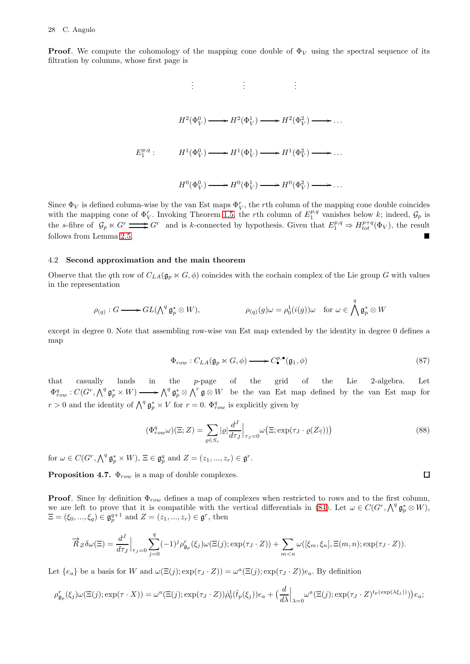**Proof.** We compute the cohomology of the mapping cone double of  $\Phi_V$  using the spectral sequence of its filtration by columns, whose first page is

$$
\vdots \qquad \vdots \qquad \vdots
$$
\n
$$
H^2(\Phi_V^0) \longrightarrow H^2(\Phi_V^1) \longrightarrow H^2(\Phi_V^2) \longrightarrow \dots
$$
\n
$$
E_1^{p,q} : \qquad H^1(\Phi_V^0) \longrightarrow H^1(\Phi_V^1) \longrightarrow H^1(\Phi_V^2) \longrightarrow \dots
$$
\n
$$
H^0(\Phi_V^0) \longrightarrow H^0(\Phi_V^1) \longrightarrow H^0(\Phi_V^2) \longrightarrow \dots
$$

Since  $\Phi_V$  is defined column-wise by the van Est maps  $\Phi_V^r$ , the rth column of the mapping cone double coincides with the mapping cone of  $\Phi_V^r$ . Invoking Theorem [1.5,](#page-2-2) the rth column of  $E_1^{p,q}$  vanishes below k; indeed,  $\mathcal{G}_p$  is the s-fibre of  $\mathcal{G}_p \ltimes G^r \longrightarrow G^r$  and is k-connected by hypothesis. Given that  $E_1^{p,q} \Rightarrow H_{tot}^{p+q}(\Phi_V)$ , the result follows from Lemma [2.5.](#page-12-5)

### 4.2 Second approximation and the main theorem

Observe that the qth row of  $C_{LA}(\mathfrak{g}_p \ltimes G, \phi)$  coincides with the cochain complex of the Lie group G with values in the representation

$$
\rho(q): G \longrightarrow GL(\textstyle \bigwedge^q \mathfrak{g}_p^* \otimes W), \qquad \qquad \rho(q)(g) \omega = \rho_0^1(i(g)) \omega \quad \text{for } \omega \in \bigwedge^q \mathfrak{g}_p^* \otimes W
$$

except in degree 0. Note that assembling row-wise van Est map extended by the identity in degree 0 defines a map

<span id="page-27-0"></span>
$$
\Phi_{row}: C_{LA}(\mathfrak{g}_p \ltimes G, \phi) \longrightarrow C^{p,\bullet}_{\bullet}(\mathfrak{g}_1, \phi) \tag{87}
$$

that casually lands in the p-page of the grid of the Lie 2-algebra. Let  $\Phi_{row}^q : C(G^r, \bigwedge^q \mathfrak{g}_{p}^* \times W) \longrightarrow \bigwedge^q \mathfrak{g}_{p}^* \otimes \bigwedge^r \mathfrak{g} \otimes W$  be the van Est map defined by the van Est map for  $r > 0$  and the identity of  $\bigwedge^q \mathfrak{g}_p^* \times V$  for  $r = 0$ .  $\Phi_{row}^q$  is explicitly given by

$$
(\Phi_{row}^q \omega)(\Xi; Z) = \sum_{\varrho \in S_r} |\varrho| \frac{d^J}{d\tau_J} \Big|_{\tau_J = 0} \omega\big(\Xi; \exp(\tau_J \cdot \varrho(Z_{\vec{\gamma}}))\big) \tag{88}
$$

for  $\omega \in C(G^r, \bigwedge^q \mathfrak{g}_p^* \times W), \, \Xi \in \mathfrak{g}_p^q$  and  $Z = (z_1, ..., z_r) \in \mathfrak{g}^r$ .

**Proposition 4.7.**  $\Phi_{row}$  is a map of double complexes.

**Proof.** Since by definition  $\Phi_{row}$  defines a map of complexes when restricted to rows and to the first column, we are left to prove that it is compatible with the vertical differentials in [\(84\)](#page-25-1). Let  $\omega \in C(G^r, \bigwedge^q \mathfrak{g}_p^* \otimes W)$ ,  $\Xi = (\xi_0, ..., \xi_q) \in \mathfrak{g}_p^{q+1}$  and  $Z = (z_1, ..., z_r) \in \mathfrak{g}^r$ , then

$$
\overrightarrow{R}_{Z}\delta\omega(\Xi) = \frac{d^{J}}{d\tau_{J}}\Big|_{\tau_{J}=0}\sum_{j=0}^{q}(-1)^{j}\rho_{\mathfrak{g}_{p}}^{r}(\xi_{j})\omega(\Xi(j);\exp(\tau_{J}\cdot Z)) + \sum_{m
$$

Let  $\{e_a\}$  be a basis for W and  $\omega(\Xi(j); \exp(\tau_J \cdot Z)) = \omega^a(\Xi(j); \exp(\tau_J \cdot Z))e_a$ . By definition

$$
\rho_{\mathfrak{g}_p}^r(\xi_j)\omega(\Xi(j);\exp(\tau \cdot X)) = \omega^a(\Xi(j);\exp(\tau_J \cdot Z))\dot{\rho}_0^1(\hat{t}_p(\xi_j))e_a + \left(\frac{d}{d\lambda}\Big|_{\lambda=0}\omega^a(\Xi(j);\exp(\tau_J \cdot Z)^{t_p(\exp(\lambda\xi_j))})\right)e_a;
$$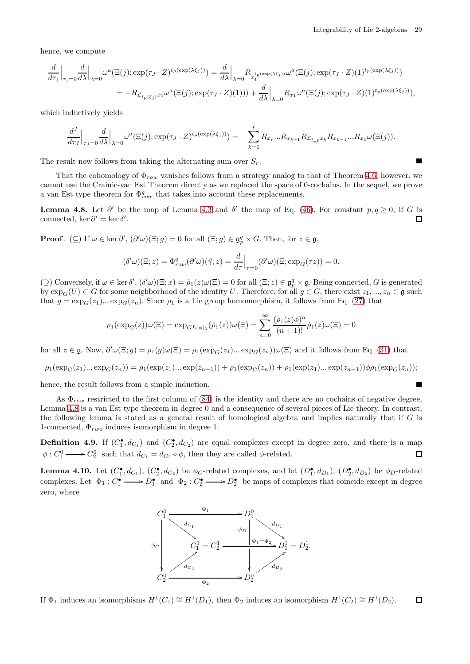hence, we compute

$$
\frac{d}{d\tau_1}\Big|_{\tau_1=0}\frac{d}{d\lambda}\Big|_{\lambda=0}\omega^a(\Xi(j);\exp(\tau_J\cdot Z)^{t_p(\exp(\lambda\xi_j))}) = \frac{d}{d\lambda}\Big|_{\lambda=0}\underset{x_1}{R_{x_1^{t_p(\exp(\lambda\xi_j))}}\omega^a(\Xi(j);\exp(\tau_J\cdot Z)(1)^{t_p(\exp(\lambda\xi_j))})}
$$
\n
$$
= -R_{\mathcal{L}_{\ell_p(\xi_j)}x_1}\omega^a(\Xi(j);\exp(\tau_J\cdot Z)(1))) + \frac{d}{d\lambda}\Big|_{\lambda=0}\underset{x_1}{R_{x_1}}\omega^a(\Xi(j);\exp(\tau_J\cdot Z)(1)^{t_p(\exp(\lambda\xi_j))}),
$$

which inductively yields

$$
\frac{d^J}{d\tau_J}\Big|_{\tau_J=0}\frac{d}{d\lambda}\Big|_{\lambda=0}\omega^a(\Xi(j);\exp(\tau_J\cdot Z)^{t_p(\exp(\lambda\xi_j))})=-\sum_{k=1}^rR_{x_r}\dots R_{x_{k+1}}R_{\mathcal{L}_{\hat{t}_p\xi}x_k}R_{x_{k-1}}\dots R_{x_1}\omega(\Xi(j)).
$$

The result now follows from taking the alternating sum over  $S_r$ .

That the cohomology of  $\Phi_{row}$  vanishes follows from a strategy analog to that of Theorem [4.6;](#page-26-1) however, we cannot use the Crainic-van Est Theorem directly as we replaced the space of 0-cochains. In the sequel, we prove a van Est type theorem for  $\Phi_{row}^q$  that takes into account these replacements.

<span id="page-28-0"></span>**Lemma 4.8.** Let  $\partial'$  be the map of Lemma [4.3](#page-25-0) and  $\delta'$  the map of Eq. [\(46\)](#page-8-3). For constant  $p, q \ge 0$ , if G is connected, ker  $\partial' = \ker \delta'$ .  $\Box$ 

**Proof.** (⊆) If  $\omega \in \ker \partial'$ ,  $(\partial' \omega)(\Xi; g) = 0$  for all  $(\Xi; g) \in \mathfrak{g}_{p}^q \times G$ . Then, for  $z \in \mathfrak{g}$ ,

$$
(\delta'\omega)(\Xi; z) = \Phi_{row}^q(\partial'\omega)(\vec{\gamma}; z) = \frac{d}{d\tau}\Big|_{\tau=0} (\partial'\omega)(\Xi; \exp_G(\tau z)) = 0.
$$

(2) Conversely, if  $\omega \in \ker \delta'$ ,  $(\delta' \omega)(\Xi; x) = \dot{\rho}_1(z) \omega(\Xi) = 0$  for all  $(\Xi; z) \in \mathfrak{g}_p^q \times \mathfrak{g}$ . Being connected, G is generated by  $\exp_G(U) \subset G$  for some neighborhood of the identity U. Therefore, for all  $g \in G$ , there exist  $z_1, ..., z_n \in \mathfrak{g}$  such that  $g = \exp_G(z_1) \dots \exp_G(z_n)$ . Since  $\rho_1$  is a Lie group homomorphism, it follows from Eq. [\(27\)](#page-5-7) that

$$
\rho_1(\exp_G(z))\omega(\Xi)=\exp_{GL(\phi)_1}(\dot{\rho}_1(z))\omega(\Xi)=\sum_{n=0}^\infty\frac{(\dot{\rho}_1(z)\phi)^n}{(n+1)!}\dot{\rho}_1(z)\omega(\Xi)=0
$$

for all  $z \in \mathfrak{g}$ . Now,  $\partial' \omega(\Xi; g) = \rho_1(g) \omega(\Xi) = \rho_1(\exp_G(z_1) \dots \exp_G(z_n)) \omega(\Xi)$  and it follows from Eq. [\(31\)](#page-5-5) that

$$
\rho_1(\exp_G(z_1)\dots \exp_G(z_n)) = \rho_1(\exp(z_1)\dots \exp(z_{n-1})) + \rho_1(\exp_G(z_n)) + \rho_1(\exp(z_1)\dots \exp(z_{n-1}))\phi_1(\exp_G(z_n));
$$

hence, the result follows from a simple induction.

As  $\Phi_{row}$  restricted to the first column of [\(84\)](#page-25-1) is the identity and there are no cochains of negative degree, Lemma [4.8](#page-28-0) is a van Est type theorem in degree 0 and a consequence of several pieces of Lie theory. In contrast, the following lemma is stated as a general result of homological algebra and implies naturally that if G is 1-connected,  $\Phi_{rwo}$  induces isomorphism in degree 1.

**Definition 4.9.** If  $(C_1^{\bullet}, d_{C_1})$  and  $(C_2^{\bullet}, d_{C_2})$  are equal complexes except in degree zero, and there is a map  $\phi: C_1^0 \longrightarrow C_2^0$  such that  $d_{C_1} = d_{C_2} \circ \phi$ , then they are called  $\phi$ -related.  $\Box$ 

<span id="page-28-1"></span>**Lemma 4.10.** Let  $(C_1^{\bullet}, d_{C_1})$ ,  $(C_2^{\bullet}, d_{C_2})$  be  $\phi_C$ -related complexes, and let  $(D_1^{\bullet}, d_{D_1})$ ,  $(D_2^{\bullet}, d_{D_2})$  be  $\phi_D$ -related complexes. Let  $\Phi_1: C_1^{\bullet} \longrightarrow D_1^{\bullet}$  and  $\Phi_2: C_2^{\bullet} \longrightarrow D_2^{\bullet}$  be maps of complexes that coincide except in degree zero, where



If  $\Phi_1$  induces an isomorphisms  $H^1(C_1) \cong H^1(D_1)$ , then  $\Phi_2$  induces an isomorphism  $H^1(C_2) \cong H^1(D_2)$ .  $\Box$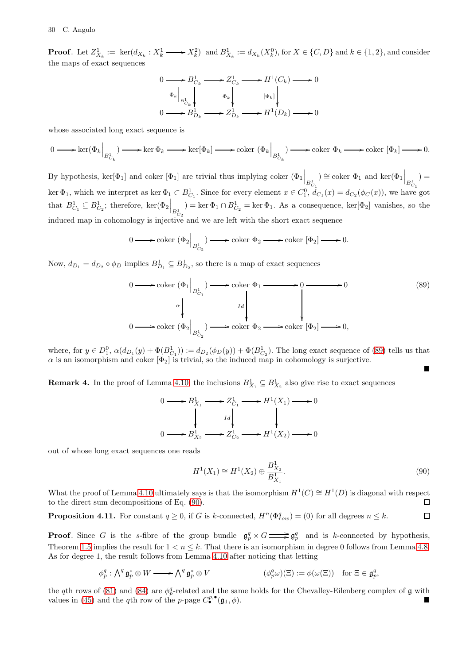**Proof.** Let  $Z_{X_k}^1 := \text{ ker}(d_{X_k}: X_k^1 \longrightarrow X_k^2)$  and  $B_{X_k}^1 := d_{X_k}(X_k^0)$ , for  $X \in \{C, D\}$  and  $k \in \{1, 2\}$ , and consider the maps of exact sequences

$$
\begin{array}{ccc}\n0 & \longrightarrow B^1_{C_k} & \longrightarrow Z^1_{C_k} & \longrightarrow H^1(C_k) & \longrightarrow 0 \\
\left.\begin{array}{c|c}\n\Phi_k\n\end{array}\right|_{B^1_{C_k}} & \Phi_k\n\end{array}\n\begin{array}{c}\n\Phi_k\n\end{array}\n\begin{array}{c}\n\Phi_k\n\end{array}\n\begin{array}{c}\n\Phi_k\n\end{array}\n\end{array}\n\begin{array}{c}\n\Phi_k\n\end{array}\n\begin{array}{c}\n\Phi_k\n\end{array}\n\end{array}\n\begin{array}{c}\n\Phi_k\n\end{array}\n\end{array}\n\begin{array}{c}\n\Phi_k\n\end{array}\n\begin{array}{c}\n\Phi_k\n\end{array}\n\end{array}\n\begin{array}{c}\n\Phi_k\n\end{array}\n\end{array}\n\begin{array}{c}\n\Phi_k\n\end{array}\n\end{array}
$$

whose associated long exact sequence is

$$
0 \longrightarrow \ker(\Phi_k \Big|_{B^1_{C_k}}) \longrightarrow \ker \Phi_k \longrightarrow \ker[\Phi_k] \longrightarrow \operatorname{coker}(\Phi_k \Big|_{B^1_{C_k}}) \longrightarrow \operatorname{coker} \Phi_k \longrightarrow \operatorname{coker}[\Phi_k] \longrightarrow 0.
$$

By hypothesis, ker $[\Phi_1]$  and coker  $[\Phi_1]$  are trivial thus implying coker  $(\Phi_1\Big|_{B_{C_1}^1}$ ) ≅ coker  $Φ_1$  and ker( $Φ_1$   $B_{C_1}$ <sup>1</sup>  $) =$ ker  $\Phi_1$ , which we interpret as ker  $\Phi_1 \subset B^1_{C_1}$ . Since for every element  $x \in C_1^0$ ,  $d_{C_1}(x) = d_{C_2}(\phi_C(x))$ , we have got that  $B_{C_1}^1 \subseteq B_{C_2}^1$ ; therefore, ker $(\Phi_2 \Big|_{B_{C_2}^1}$  $) = \ker \Phi_1 \cap B_{C_2}^1 = \ker \Phi_1$ . As a consequence,  $\ker[\Phi_2]$  vanishes, so the induced map in cohomology is injective and we are left with the short exact sequence

$$
0 \longrightarrow \operatorname{coker} (\Phi_2 \Big|_{B^1_{C_2}}) \longrightarrow \operatorname{coker} \Phi_2 \longrightarrow \operatorname{coker} [\Phi_2] \longrightarrow 0.
$$

Now,  $d_{D_1} = d_{D_2} \circ \phi_D$  implies  $B_{D_1}^1 \subseteq B_{D_2}^1$ , so there is a map of exact sequences

$$
0 \longrightarrow \operatorname{coker} (\Phi_1 \Big|_{B^1_{C_1}}) \longrightarrow \operatorname{coker} \Phi_1 \longrightarrow 0 \longrightarrow 0
$$
\n
$$
\begin{array}{c} \begin{array}{c} \alpha \\ \downarrow \end{array} & \begin{array}{c} \alpha \\ \downarrow \end{array} & \begin{array}{c} \text{Id} \\ \downarrow \end{array} & \begin{array}{c} \text{Id} \\ \downarrow \end{array} & \begin{array}{c} \text{Id} \\ \downarrow \end{array} & \begin{array}{c} \text{I}d \\ \downarrow \end{array} & \begin{array}{c} \text{O} \longrightarrow \operatorname{coker} (\Phi_2 \Big|_{D^1_{C_2}}) \longrightarrow \operatorname{coker} (\Phi_2 \longrightarrow 0, \end{array} \end{array} \tag{89}
$$

where, for  $y \in D_1^0$ ,  $\alpha(d_{D_1}(y) + \Phi(B_{C_1}^1)) := d_{D_2}(\phi_D(y)) + \Phi(B_{C_2}^1)$ . The long exact sequence of [\(89\)](#page-29-0) tells us that  $\alpha$  is an isomorphism and coker  $[\Phi_2]$  is trivial, so the induced map in cohomology is surjective.

**Remark 4.** In the proof of Lemma [4.10,](#page-28-1) the inclusions  $B_{X_1}^1 \subseteq B_{X_2}^1$  also give rise to exact sequences

<span id="page-29-0"></span>
$$
0 \longrightarrow B_{X_1}^1 \longrightarrow Z_{C_1}^1 \longrightarrow H^1(X_1) \longrightarrow 0
$$
  
\n
$$
\downarrow \qquad \qquad Id \qquad \qquad \downarrow
$$
  
\n
$$
0 \longrightarrow B_{X_2}^1 \longrightarrow Z_{C_2}^1 \longrightarrow H^1(X_2) \longrightarrow 0
$$

out of whose long exact sequences one reads

<span id="page-29-1"></span>
$$
H^{1}(X_{1}) \cong H^{1}(X_{2}) \oplus \frac{B_{X_{2}}^{1}}{B_{X_{1}}^{1}}.
$$
\n(90)

What the proof of Lemma [4.10](#page-28-1) ultimately says is that the isomorphism  $H^1(C) \cong H^1(D)$  is diagonal with respect to the direct sum decompositions of Eq. [\(90\)](#page-29-1).  $\Box$ 

<span id="page-29-2"></span>**Proposition 4.11.** For constant  $q \ge 0$ , if G is k-connected,  $H^n(\Phi_{row}^q) = (0)$  for all degrees  $n \le k$ .  $\Box$ 

**Proof.** Since G is the s-fibre of the group bundle  $\mathfrak{g}_p^q \times G \longrightarrow \mathfrak{g}_p^q$  and is k-connected by hypothesis, Theorem [1.5](#page-2-2) implies the result for  $1 < n < k$ . That there is an isomorphism in degree 0 follows from Lemma [4.8.](#page-28-0) As for degree 1, the result follows from Lemma [4.10](#page-28-1) after noticing that letting

$$
\phi_p^q : \bigwedge^q \mathfrak{g}_p^* \otimes W \longrightarrow \bigwedge^q \mathfrak{g}_p^* \otimes V \qquad (\phi_p^q \omega)(\Xi) := \phi(\omega(\Xi)) \quad \text{for } \Xi \in \mathfrak{g}_p^q,
$$

the qth rows of [\(81\)](#page-23-1) and [\(84\)](#page-25-1) are  $\phi_p^q$ -related and the same holds for the Chevalley-Eilenberg complex of  $\mathfrak g$  with values in [\(45\)](#page-8-4) and the qth row of the p-page  $C^{p,\bullet}_{\bullet}(\mathfrak{g}_1,\phi)$ .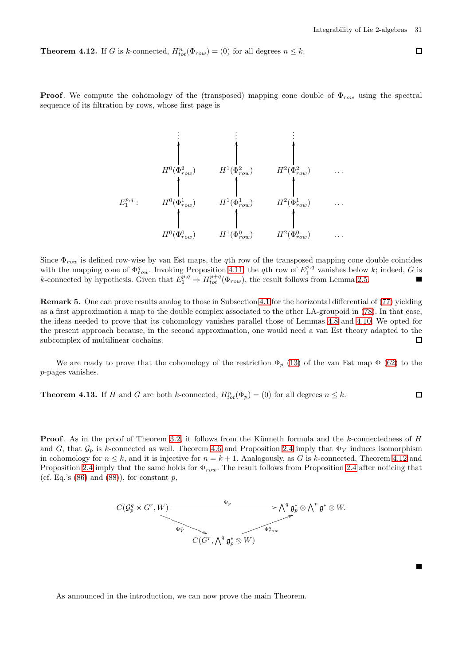<span id="page-30-0"></span>**Theorem 4.12.** If G is k-connected,  $H_{tot}^n(\Phi_{row}) = (0)$  for all degrees  $n \leq k$ .

**Proof.** We compute the cohomology of the (transposed) mapping cone double of  $\Phi_{row}$  using the spectral sequence of its filtration by rows, whose first page is

$$
E_1^{p,q}: \begin{array}{c} \vdots & \vdots & \vdots \\ \downarrow & \downarrow & \downarrow \\ H^0(\Phi_{row}^2) & H^1(\Phi_{row}^2) & H^2(\Phi_{row}^2) & \cdots \\ \uparrow & \uparrow & \uparrow \\ H^0(\Phi_{row}^1) & H^1(\Phi_{row}^1) & H^2(\Phi_{row}^1) & \cdots \\ \uparrow & \uparrow & \uparrow \\ H^0(\Phi_{row}^0) & H^1(\Phi_{row}^0) & H^2(\Phi_{row}^0) & \cdots \end{array}
$$

Since  $\Phi_{row}$  is defined row-wise by van Est maps, the qth row of the transposed mapping cone double coincides with the mapping cone of  $\Phi_{row}^q$ . Invoking Proposition [4.11,](#page-29-2) the qth row of  $E_1^{p,q}$  vanishes below k; indeed, G is k-connected by hypothesis. Given that  $E_1^{p,q} \Rightarrow H_{tot}^{p+q}(\Phi_{row})$ , the result follows from Lemma [2.5.](#page-12-5) П

Remark 5. One can prove results analog to those in Subsection [4.1](#page-22-6) for the horizontal differential of [\(77\)](#page-22-2) yielding as a first approximation a map to the double complex associated to the other LA-groupoid in [\(78\)](#page-22-7). In that case, the ideas needed to prove that its cohomology vanishes parallel those of Lemmas [4.8](#page-28-0) and [4.10.](#page-28-1) We opted for the present approach because, in the second approximation, one would need a van Est theory adapted to the subcomplex of multilinear cochains.  $\Box$ 

We are ready to prove that the cohomology of the restriction  $\Phi_p$  [\(13\)](#page-3-3) of the van Est map  $\Phi$  [\(62\)](#page-12-1) to the p-pages vanishes.

<span id="page-30-1"></span>**Theorem 4.13.** If H and G are both k-connected,  $H_{tot}^n(\Phi_p) = (0)$  for all degrees  $n \leq k$ .  $\Box$ 

**Proof.** As in the proof of Theorem [3.2,](#page-14-0) it follows from the Künneth formula and the k-connectedness of H and G, that  $\mathcal{G}_p$  is k-connected as well. Theorem [4.6](#page-26-1) and Proposition [2.4](#page-10-0) imply that  $\Phi_V$  induces isomorphism in cohomology for  $n \leq k$ , and it is injective for  $n = k + 1$ . Analogously, as G is k-connected, Theorem [4.12](#page-30-0) and Proposition [2.4](#page-10-0) imply that the same holds for  $\Phi_{row}$ . The result follows from Proposition 2.4 after noticing that (cf. Eq.'s  $(86)$  and  $(88)$ ), for constant p,

$$
C(\mathcal{G}_{p}^{q} \times G^{r}, W) \longrightarrow \mathcal{A}_{p}^{q} \circledast_{\mathcal{F}} \longrightarrow \mathcal{A}^{q} \circledast_{p}^{q} \otimes \mathcal{A}^{r} \circledast_{p}^{q} \otimes W.
$$

As announced in the introduction, we can now prove the main Theorem.

Г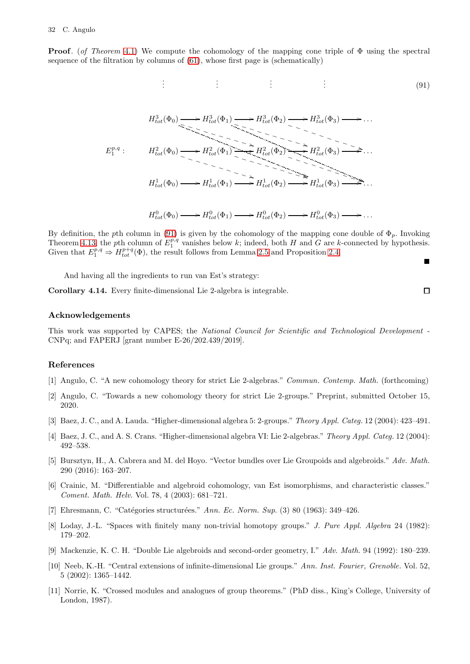**Proof.** (of Theorem [4.1\)](#page-22-1) We compute the cohomology of the mapping cone triple of  $\Phi$  using the spectral sequence of the filtration by columns of [\(61\)](#page-11-0), whose first page is (schematically)

$$
\vdots \qquad \qquad \vdots \qquad \qquad \vdots \qquad \qquad (91)
$$

$$
H_{tot}^{3}(\Phi_{0}) \longrightarrow H_{tot}^{3}(\Phi_{1}) \longrightarrow H_{tot}^{3}(\Phi_{2}) \longrightarrow H_{tot}^{3}(\Phi_{3}) \longrightarrow \dots
$$
  
\n
$$
\sum_{\lambda} P_{tot}^{p,q} : H_{tot}^{2}(\Phi_{0}) \longrightarrow H_{tot}^{2}(\Phi_{1}) \longrightarrow H_{tot}^{2}(\Phi_{2}) \longrightarrow H_{tot}^{2}(\Phi_{3}) \longrightarrow \dots
$$
  
\n
$$
H_{tot}^{1}(\Phi_{0}) \longrightarrow H_{tot}^{1}(\Phi_{1}) \longrightarrow H_{tot}^{1}(\Phi_{2}) \longrightarrow H_{tot}^{1}(\Phi_{3}) \longrightarrow \dots
$$

 $H_{tot}^0(\Phi_0) \longrightarrow H_{tot}^0(\Phi_1) \longrightarrow H_{tot}^0(\Phi_2) \longrightarrow H_{tot}^0(\Phi_3) \longrightarrow \dots$ 

By definition, the pth column in [\(91\)](#page-31-12) is given by the cohomology of the mapping cone double of  $\Phi_p$ . Invoking Theorem [4.13,](#page-30-1) the pth column of  $E_1^{p,q}$  vanishes below k; indeed, both H and G are k-connected by hypothesis. Given that  $E_1^{p,q} \Rightarrow H_{tot}^{p+q}(\Phi)$ , the result follows from Lemma [2.5](#page-12-5) and Proposition [2.4.](#page-10-0)

And having all the ingredients to run van Est's strategy:

. . .

Corollary 4.14. Every finite-dimensional Lie 2-algebra is integrable.

# Acknowledgements

This work was supported by CAPES; the National Council for Scientific and Technological Development - CNPq; and FAPERJ [grant number E-26/202.439/2019].

## <span id="page-31-0"></span>References

- <span id="page-31-4"></span>[1] Angulo, C. "A new cohomology theory for strict Lie 2-algebras." Commun. Contemp. Math. (forthcoming)
- <span id="page-31-5"></span>[2] Angulo, C. "Towards a new cohomology theory for strict Lie 2-groups." Preprint, submitted October 15, 2020.
- <span id="page-31-7"></span>[3] Baez, J. C., and A. Lauda. "Higher-dimensional algebra 5: 2-groups." Theory Appl. Categ. 12 (2004): 423–491.
- <span id="page-31-6"></span>[4] Baez, J. C., and A. S. Crans. "Higher-dimensional algebra VI: Lie 2-algebras." Theory Appl. Categ. 12 (2004): 492–538.
- <span id="page-31-2"></span>[5] Bursztyn, H., A. Cabrera and M. del Hoyo. "Vector bundles over Lie Groupoids and algebroids." Adv. Math. 290 (2016): 163–207.
- <span id="page-31-1"></span>[6] Crainic, M. "Differentiable and algebroid cohomology, van Est isomorphisms, and characteristic classes." Coment. Math. Helv. Vol. 78, 4 (2003): 681–721.
- <span id="page-31-10"></span>[7] Ehresmann, C. "Catégories structurées." Ann. Ec. Norm. Sup.  $(3)$  80 (1963): 349–426.
- <span id="page-31-8"></span>[8] Loday, J.-L. "Spaces with finitely many non-trivial homotopy groups." J. Pure Appl. Algebra 24 (1982): 179–202.
- <span id="page-31-11"></span>[9] Mackenzie, K. C. H. "Double Lie algebroids and second-order geometry, I." Adv. Math. 94 (1992): 180–239.
- <span id="page-31-3"></span>[10] Neeb, K.-H. "Central extensions of infinite-dimensional Lie groups." Ann. Inst. Fourier, Grenoble. Vol. 52, 5 (2002): 1365–1442.
- <span id="page-31-9"></span>[11] Norrie, K. "Crossed modules and analogues of group theorems." (PhD diss., King's College, University of London, 1987).

 $\Box$ 

<span id="page-31-12"></span>П